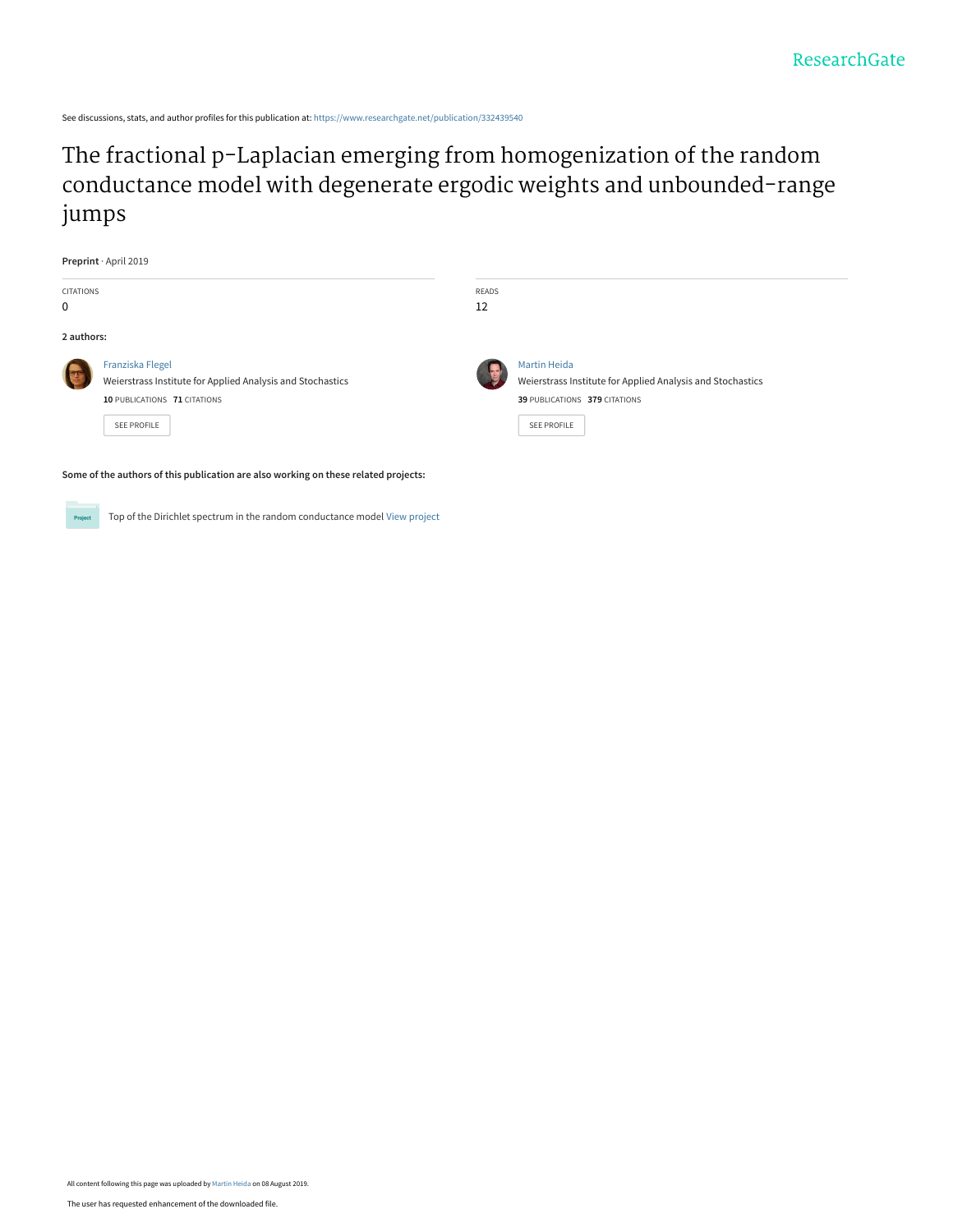See discussions, stats, and author profiles for this publication at: [https://www.researchgate.net/publication/332439540](https://www.researchgate.net/publication/332439540_The_fractional_p-Laplacian_emerging_from_homogenization_of_the_random_conductance_model_with_degenerate_ergodic_weights_and_unbounded-range_jumps?enrichId=rgreq-c0846b221f3f5a0dca64fbde5299c559-XXX&enrichSource=Y292ZXJQYWdlOzMzMjQzOTU0MDtBUzo3ODk1NTI3NTA5Mjc4NzJAMTU2NTI1NTQ1MzkwMw%3D%3D&el=1_x_2&_esc=publicationCoverPdf)

The fractional p-Laplacian emerging from homogenization of the random [conductance model with degenerate ergodic weights and unbounded-range](https://www.researchgate.net/publication/332439540_The_fractional_p-Laplacian_emerging_from_homogenization_of_the_random_conductance_model_with_degenerate_ergodic_weights_and_unbounded-range_jumps?enrichId=rgreq-c0846b221f3f5a0dca64fbde5299c559-XXX&enrichSource=Y292ZXJQYWdlOzMzMjQzOTU0MDtBUzo3ODk1NTI3NTA5Mjc4NzJAMTU2NTI1NTQ1MzkwMw%3D%3D&el=1_x_3&_esc=publicationCoverPdf) jumps

| Preprint · April 2019 |                                                                                                                |             |                                                                                                                    |
|-----------------------|----------------------------------------------------------------------------------------------------------------|-------------|--------------------------------------------------------------------------------------------------------------------|
| CITATIONS             |                                                                                                                | READS<br>12 |                                                                                                                    |
| 0                     |                                                                                                                |             |                                                                                                                    |
| 2 authors:            |                                                                                                                |             |                                                                                                                    |
|                       | Franziska Flegel<br>Weierstrass Institute for Applied Analysis and Stochastics<br>10 PUBLICATIONS 71 CITATIONS |             | <b>Martin Heida</b><br>Weierstrass Institute for Applied Analysis and Stochastics<br>39 PUBLICATIONS 379 CITATIONS |
|                       | SEE PROFILE<br>Some of the authors of this publication are also working on these related projects:             |             | <b>SEE PROFILE</b>                                                                                                 |
|                       |                                                                                                                |             |                                                                                                                    |

Top of the Dirichlet spectrum in the random conductance model [View project](https://www.researchgate.net/project/Top-of-the-Dirichlet-spectrum-in-the-random-conductance-model?enrichId=rgreq-c0846b221f3f5a0dca64fbde5299c559-XXX&enrichSource=Y292ZXJQYWdlOzMzMjQzOTU0MDtBUzo3ODk1NTI3NTA5Mjc4NzJAMTU2NTI1NTQ1MzkwMw%3D%3D&el=1_x_9&_esc=publicationCoverPdf) Project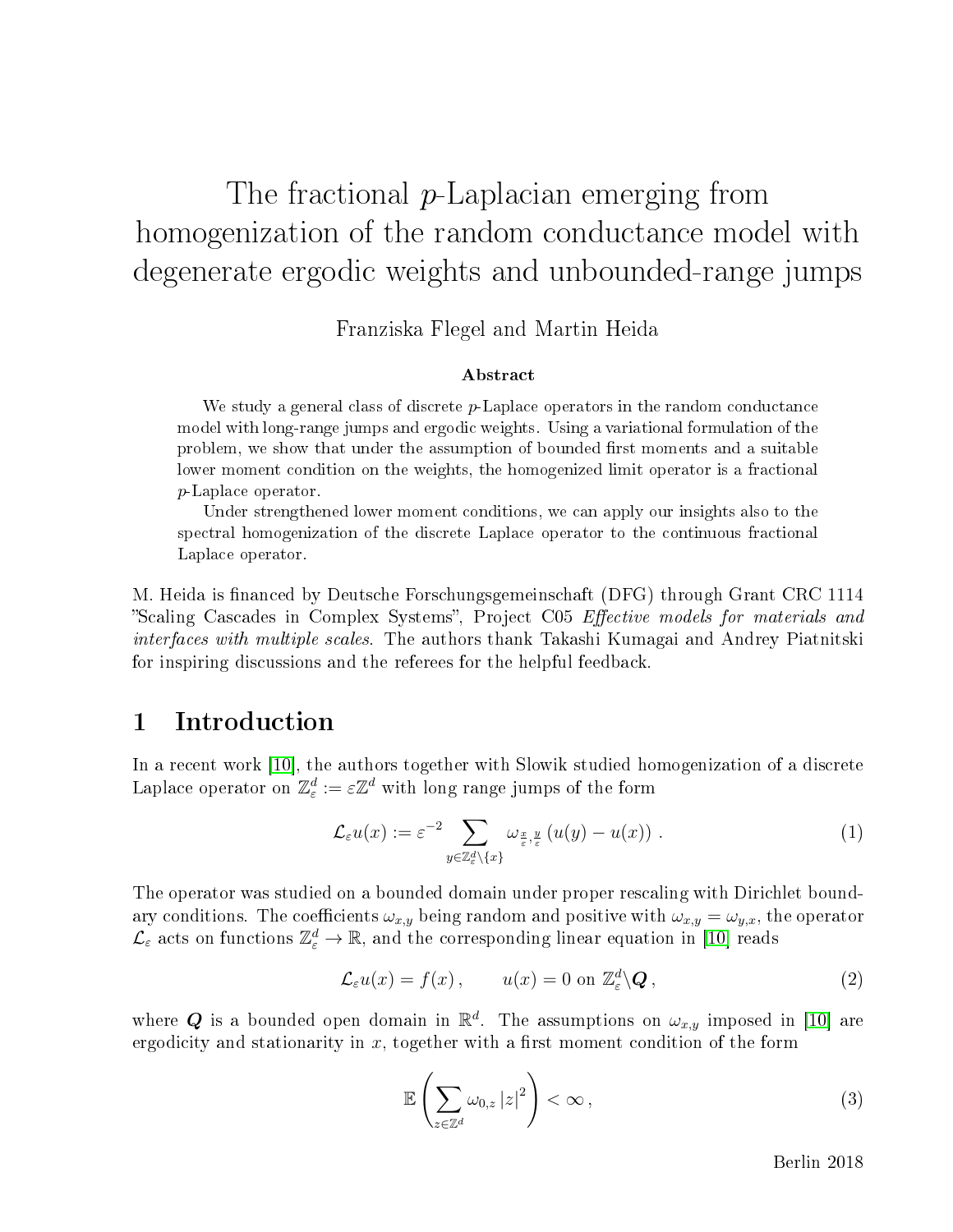# The fractional p-Laplacian emerging from homogenization of the random conductance model with degenerate ergodic weights and unbounded-range jumps

Franziska Flegel and Martin Heida

#### Abstract

We study a general class of discrete  $p$ -Laplace operators in the random conductance model with long-range jumps and ergodic weights. Using a variational formulation of the problem, we show that under the assumption of bounded first moments and a suitable lower moment condition on the weights, the homogenized limit operator is a fractional p-Laplace operator.

Under strengthened lower moment conditions, we can apply our insights also to the spectral homogenization of the discrete Laplace operator to the continuous fractional Laplace operator.

M. Heida is financed by Deutsche Forschungsgemeinschaft (DFG) through Grant CRC 1114 "Scaling Cascades in Complex Systems", Project C05 Effective models for materials and interfaces with multiple scales. The authors thank Takashi Kumagai and Andrey Piatnitski for inspiring discussions and the referees for the helpful feedback.

# 1 Introduction

In a recent work [\[10\]](#page-41-0), the authors together with Slowik studied homogenization of a discrete Laplace operator on  $\mathbb{Z}_{\varepsilon}^{d}:=\varepsilon\mathbb{Z}^{d}$  with long range jumps of the form

$$
\mathcal{L}_{\varepsilon}u(x) := \varepsilon^{-2} \sum_{y \in \mathbb{Z}_{\varepsilon}^d \setminus \{x\}} \omega_{\frac{x}{\varepsilon}, \frac{y}{\varepsilon}}(u(y) - u(x)) . \tag{1}
$$

The operator was studied on a bounded domain under proper rescaling with Dirichlet boundary conditions. The coefficients  $\omega_{x,y}$  being random and positive with  $\omega_{x,y} = \omega_{y,x}$ , the operator  $\mathcal{L}_{\varepsilon}$  acts on functions  $\mathbb{Z}_{\varepsilon}^{d} \to \mathbb{R}$ , and the corresponding linear equation in [\[10\]](#page-41-0) reads

<span id="page-1-1"></span>
$$
\mathcal{L}_{\varepsilon}u(x) = f(x), \qquad u(x) = 0 \text{ on } \mathbb{Z}_{\varepsilon}^d \backslash \mathbf{Q}, \qquad (2)
$$

where Q is a bounded open domain in  $\mathbb{R}^d$ . The assumptions on  $\omega_{x,y}$  imposed in [\[10\]](#page-41-0) are ergodicity and stationarity in  $x$ , together with a first moment condition of the form

<span id="page-1-0"></span>
$$
\mathbb{E}\left(\sum_{z\in\mathbb{Z}^d}\omega_{0,z}\left|z\right|^2\right)<\infty\,,\tag{3}
$$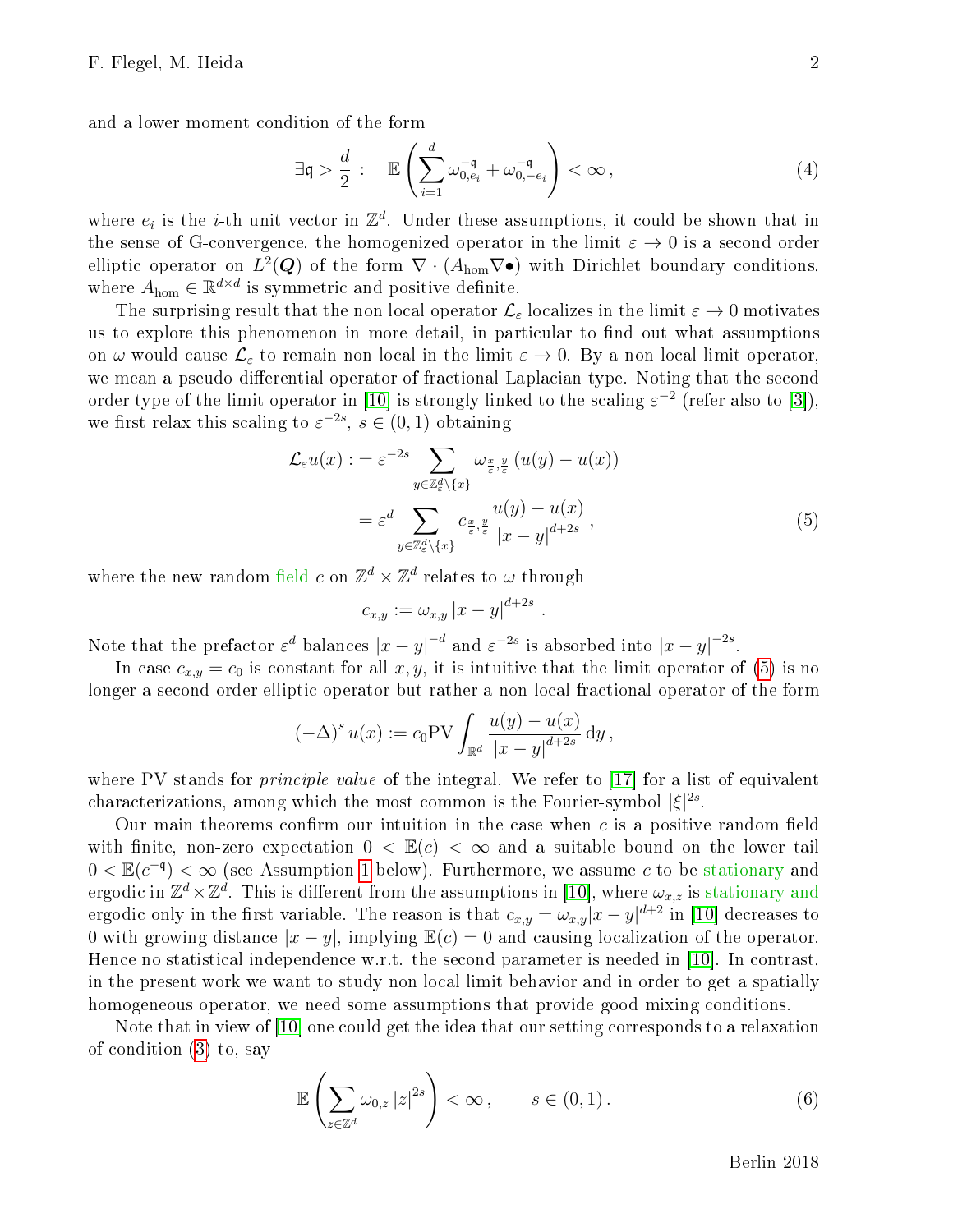and a lower moment condition of the form

<span id="page-2-2"></span>
$$
\exists \mathfrak{q} > \frac{d}{2} : \mathbb{E}\left(\sum_{i=1}^d \omega_{0,e_i}^{-\mathfrak{q}} + \omega_{0,-e_i}^{-\mathfrak{q}}\right) < \infty,
$$
\n(4)

where  $e_i$  is the *i*-th unit vector in  $\mathbb{Z}^d$ . Under these assumptions, it could be shown that in the sense of G-convergence, the homogenized operator in the limit  $\varepsilon \to 0$  is a second order elliptic operator on  $L^2(\bm{Q})$  of the form  $\nabla\cdot(A_{\text{hom}}\nabla\bullet)$  with Dirichlet boundary conditions, where  $A_{\text{hom}} \in \mathbb{R}^{d \times d}$  is symmetric and positive definite.

The surprising result that the non local operator  $\mathcal{L}_{\varepsilon}$  localizes in the limit  $\varepsilon \to 0$  motivates us to explore this phenomenon in more detail, in particular to find out what assumptions on  $\omega$  would cause  $\mathcal{L}_{\varepsilon}$  to remain non local in the limit  $\varepsilon \to 0$ . By a non local limit operator, we mean a pseudo differential operator of fractional Laplacian type. Noting that the second order type of the limit operator in [\[10\]](#page-41-0) is strongly linked to the scaling  $\varepsilon^{-2}$  (refer also to [\[3\]](#page-40-0)), we first relax this scaling to  $\varepsilon^{-2s}$ ,  $s \in (0,1)$  obtaining

$$
\mathcal{L}_{\varepsilon}u(x) := \varepsilon^{-2s} \sum_{y \in \mathbb{Z}_{\varepsilon}^d \setminus \{x\}} \omega_{\frac{x}{\varepsilon}, \frac{y}{\varepsilon}} (u(y) - u(x))
$$

$$
= \varepsilon^d \sum_{y \in \mathbb{Z}_{\varepsilon}^d \setminus \{x\}} c_{\frac{x}{\varepsilon}, \frac{y}{\varepsilon}} \frac{u(y) - u(x)}{|x - y|^{d + 2s}}, \tag{5}
$$

<span id="page-2-0"></span>.

where the new random field  $c$  on  $\mathbb{Z}^d \times \mathbb{Z}^d$  relates to  $\omega$  through

$$
c_{x,y}:=\omega_{x,y}\left\vert x-y\right\vert ^{d+2s}
$$

Note that the prefactor  $\varepsilon^d$  balances  $|x-y|^{-d}$  and  $\varepsilon^{-2s}$  is absorbed into  $|x-y|^{-2s}$ .

In case  $c_{x,y} = c_0$  is constant for all  $x, y$ , it is intuitive that the limit operator of [\(5\)](#page-2-0) is no longer a second order elliptic operator but rather a non local fractional operator of the form

$$
(-\Delta)^{s} u(x) := c_0 \text{PV} \int_{\mathbb{R}^d} \frac{u(y) - u(x)}{|x - y|^{d + 2s}} dy,
$$

where PV stands for *principle value* of the integral. We refer to [\[17\]](#page-41-1) for a list of equivalent characterizations, among which the most common is the Fourier-symbol  $|\xi|^{2s}$ .

Our main theorems confirm our intuition in the case when  $c$  is a positive random field with finite, non-zero expectation  $0 < \mathbb{E}(c) < \infty$  and a suitable bound on the lower tail  $0 < \mathbb{E}(c^{-\mathfrak{q}}) < \infty$  (see Assumption [1](#page-4-0) below). Furthermore, we assume c to be stationary and ergodic in  $\Z^d\times\Z^d$ . This is different from the assumptions in [\[10\]](#page-41-0), where  $\omega_{x,z}$  is stationary and ergodic only in the first variable. The reason is that  $c_{x,y} = \omega_{x,y}|x-y|^{d+2}$  in [\[10\]](#page-41-0) decreases to 0 with growing distance  $|x - y|$ , implying  $\mathbb{E}(c) = 0$  and causing localization of the operator. Hence no statistical independence w.r.t. the second parameter is needed in [\[10\]](#page-41-0). In contrast, in the present work we want to study non local limit behavior and in order to get a spatially homogeneous operator, we need some assumptions that provide good mixing conditions.

Note that in view of [\[10\]](#page-41-0) one could get the idea that our setting corresponds to a relaxation of condition [\(3\)](#page-1-0) to, say

<span id="page-2-1"></span>
$$
\mathbb{E}\left(\sum_{z\in\mathbb{Z}^d} \omega_{0,z} |z|^{2s}\right) < \infty, \qquad s \in (0,1). \tag{6}
$$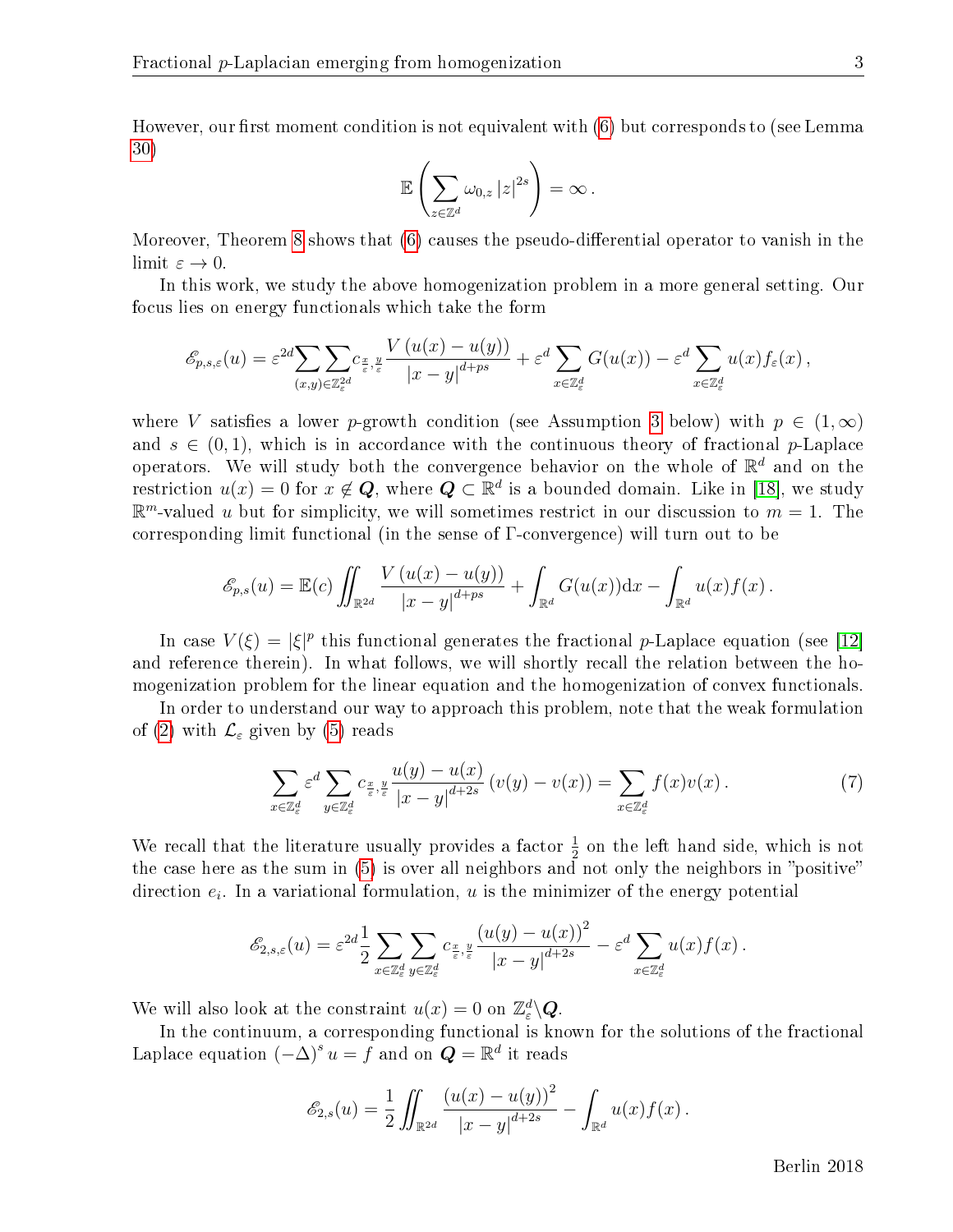However, our first moment condition is not equivalent with  $(6)$  but corresponds to (see Lemma [30\)](#page-20-0)

$$
\mathbb{E}\left(\sum_{z\in\mathbb{Z}^d}\omega_{0,z}\left|z\right|^{2s}\right)=\infty\,.
$$

Moreover, Theorem [8](#page-9-0) shows that  $(6)$  causes the pseudo-differential operator to vanish in the limit  $\varepsilon \to 0$ .

In this work, we study the above homogenization problem in a more general setting. Our focus lies on energy functionals which take the form

$$
\mathscr{E}_{p,s,\varepsilon}(u) = \varepsilon^{2d} \sum_{(x,y)\in\mathbb{Z}_{\varepsilon}^{2d}} C_{\frac{x}{\varepsilon},\frac{y}{\varepsilon}} \frac{V(u(x)-u(y))}{|x-y|^{d+ps}} + \varepsilon^d \sum_{x\in\mathbb{Z}_{\varepsilon}^d} G(u(x)) - \varepsilon^d \sum_{x\in\mathbb{Z}_{\varepsilon}^d} u(x) f_{\varepsilon}(x),
$$

where V satisfies a lower p-growth condition (see Assumption [3](#page-5-0) below) with  $p \in (1,\infty)$ and  $s \in (0,1)$ , which is in accordance with the continuous theory of fractional p-Laplace operators. We will study both the convergence behavior on the whole of  $\mathbb{R}^d$  and on the restriction  $u(x) = 0$  for  $x \notin \mathbf{Q}$ , where  $\mathbf{Q} \subset \mathbb{R}^d$  is a bounded domain. Like in [\[18\]](#page-41-2), we study  $\mathbb{R}^m$ -valued u but for simplicity, we will sometimes restrict in our discussion to  $m = 1$ . The corresponding limit functional (in the sense of  $\Gamma$ -convergence) will turn out to be

$$
\mathscr{E}_{p,s}(u) = \mathbb{E}(c) \iint_{\mathbb{R}^{2d}} \frac{V(u(x) - u(y))}{|x - y|^{d + ps}} + \int_{\mathbb{R}^d} G(u(x)) dx - \int_{\mathbb{R}^d} u(x) f(x).
$$

In case  $V(\xi) = |\xi|^p$  this functional generates the fractional p-Laplace equation (see [\[12\]](#page-41-3) and reference therein). In what follows, we will shortly recall the relation between the homogenization problem for the linear equation and the homogenization of convex functionals.

In order to understand our way to approach this problem, note that the weak formulation of [\(2\)](#page-1-1) with  $\mathcal{L}_{\varepsilon}$  given by [\(5\)](#page-2-0) reads

<span id="page-3-0"></span>
$$
\sum_{x \in \mathbb{Z}_{\varepsilon}^d} \varepsilon^d \sum_{y \in \mathbb{Z}_{\varepsilon}^d} c_{\frac{x}{\varepsilon}, \frac{y}{\varepsilon}} \frac{u(y) - u(x)}{|x - y|^{d + 2s}} \left( v(y) - v(x) \right) = \sum_{x \in \mathbb{Z}_{\varepsilon}^d} f(x) v(x) \,. \tag{7}
$$

We recall that the literature usually provides a factor  $\frac{1}{2}$  on the left hand side, which is not the case here as the sum in  $(5)$  is over all neighbors and not only the neighbors in "positive" direction  $e_i$ . In a variational formulation, u is the minimizer of the energy potential

$$
\mathscr{E}_{2,s,\varepsilon}(u) = \varepsilon^{2d} \frac{1}{2} \sum_{x \in \mathbb{Z}_{\varepsilon}^d} \sum_{y \in \mathbb{Z}_{\varepsilon}^d} c_{\frac{x}{\varepsilon},\frac{y}{\varepsilon}} \frac{\left(u(y) - u(x)\right)^2}{\left|x - y\right|^{d+2s}} - \varepsilon^d \sum_{x \in \mathbb{Z}_{\varepsilon}^d} u(x) f(x).
$$

We will also look at the constraint  $u(x) = 0$  on  $\mathbb{Z}_{\varepsilon}^d \backslash \mathbf{Q}$ .

In the continuum, a corresponding functional is known for the solutions of the fractional Laplace equation  $(-\Delta)^s u = f$  and on  $\mathbf{Q} = \mathbb{R}^d$  it reads

$$
\mathscr{E}_{2,s}(u) = \frac{1}{2} \iint_{\mathbb{R}^{2d}} \frac{\left(u(x) - u(y)\right)^2}{|x - y|^{d + 2s}} - \int_{\mathbb{R}^d} u(x) f(x) \, dx.
$$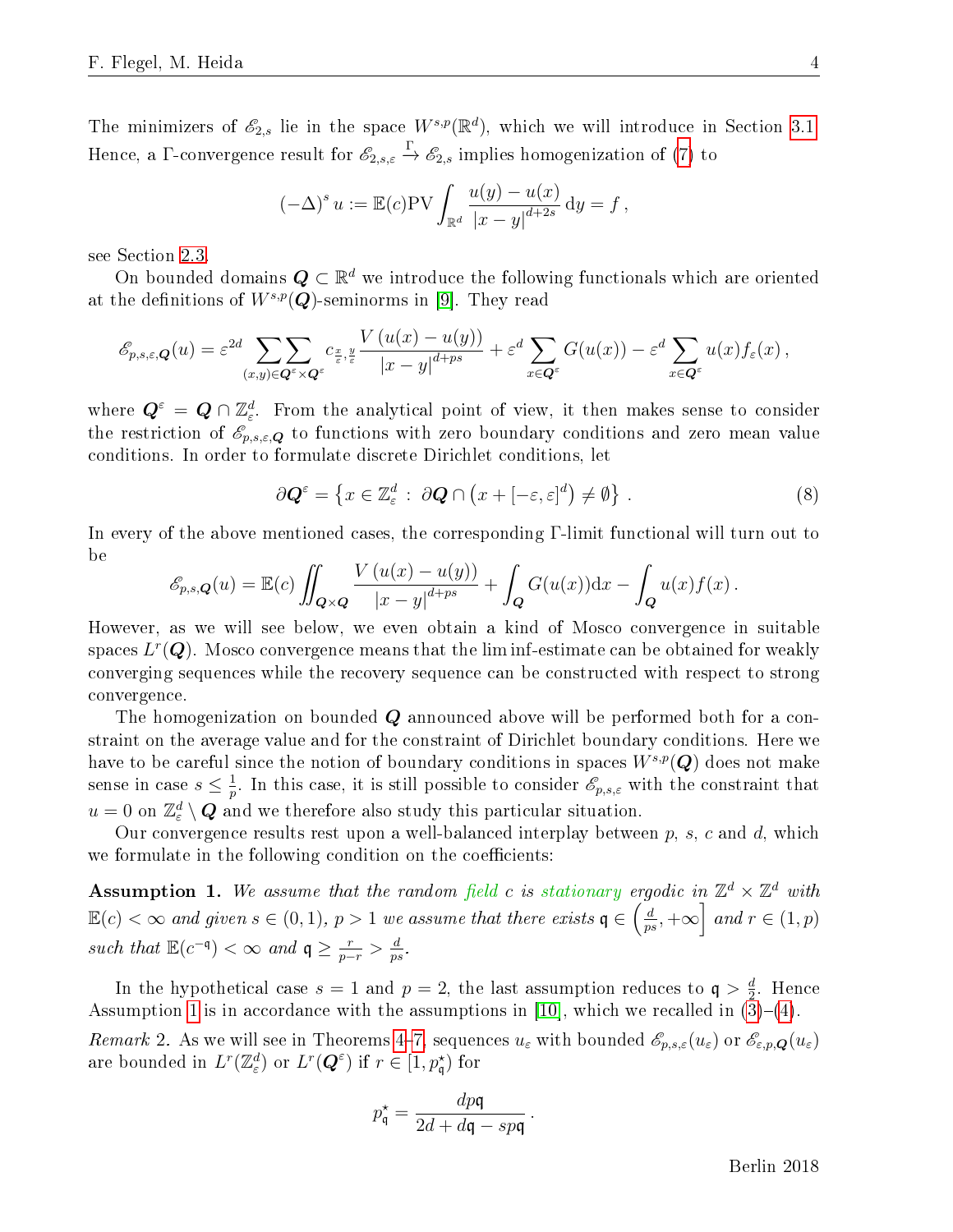The minimizers of  $\mathscr{E}_{2,s}$  lie in the space  $W^{s,p}(\mathbb{R}^d)$ , which we will introduce in Section [3.1.](#page-12-0) Hence, a  $\Gamma$ -convergence result for  $\mathscr{E}_{2,s,\varepsilon} \stackrel{\Gamma}{\to} \mathscr{E}_{2,s}$  implies homogenization of [\(7\)](#page-3-0) to

$$
(-\Delta)^s u := \mathbb{E}(c) \text{PV} \int_{\mathbb{R}^d} \frac{u(y) - u(x)}{|x - y|^{d + 2s}} \, dy = f,
$$

see Section [2.3.](#page-10-0)

On bounded domains  $\boldsymbol{Q} \subset \mathbb{R}^d$  we introduce the following functionals which are oriented at the definitions of  $W^{s,p}(\mathbf{Q})$ -seminorms in [\[9\]](#page-41-4). They read

$$
\mathscr{E}_{p,s,\varepsilon,\boldsymbol{Q}}(u) = \varepsilon^{2d} \sum_{(x,y)\in \boldsymbol{Q}^{\varepsilon}\times \boldsymbol{Q}^{\varepsilon}} \sum_{\varepsilon,\,\varepsilon} c_{\frac{x}{\varepsilon},\frac{y}{\varepsilon}} \frac{V\left(u(x)-u(y)\right)}{\left|x-y\right|^{d+ps}} + \varepsilon^{d} \sum_{x\in \boldsymbol{Q}^{\varepsilon}} G(u(x)) - \varepsilon^{d} \sum_{x\in \boldsymbol{Q}^{\varepsilon}} u(x) f_{\varepsilon}(x) ,
$$

where  $\bm{Q}^\varepsilon = \bm{Q} \cap \mathbb{Z}^d_\varepsilon.$  From the analytical point of view, it then makes sense to consider the restriction of  $\mathscr{E}_{p,s,\varepsilon,\mathbf{Q}}$  to functions with zero boundary conditions and zero mean value conditions. In order to formulate discrete Dirichlet conditions, let

<span id="page-4-2"></span>
$$
\partial \mathbf{Q}^{\varepsilon} = \left\{ x \in \mathbb{Z}_{\varepsilon}^{d} : \ \partial \mathbf{Q} \cap \left( x + [-\varepsilon, \varepsilon]^{d} \right) \neq \emptyset \right\} \,. \tag{8}
$$

In every of the above mentioned cases, the corresponding Γ-limit functional will turn out to be

$$
\mathscr{E}_{p,s,\mathbf{Q}}(u) = \mathbb{E}(c) \iint_{\mathbf{Q}\times\mathbf{Q}} \frac{V(u(x)-u(y))}{|x-y|^{d+ps}} + \int_{\mathbf{Q}} G(u(x)) \mathrm{d}x - \int_{\mathbf{Q}} u(x) f(x).
$$

However, as we will see below, we even obtain a kind of Mosco convergence in suitable spaces  $L^r(\bm{Q})$ . Mosco convergence means that the lim inf-estimate can be obtained for weakly converging sequences while the recovery sequence can be constructed with respect to strong convergence.

The homogenization on bounded Q announced above will be performed both for a constraint on the average value and for the constraint of Dirichlet boundary conditions. Here we have to be careful since the notion of boundary conditions in spaces  $W^{s,p}(\mathbf{Q})$  does not make sense in case  $s \leq \frac{1}{n}$  $\frac{1}{p}$ . In this case, it is still possible to consider  $\mathscr{E}_{p,s,\varepsilon}$  with the constraint that  $u = 0$  on  $\mathbb{Z}_{\varepsilon}^d \setminus \mathbf{Q}$  and we therefore also study this particular situation.

Our convergence results rest upon a well-balanced interplay between  $p$ ,  $s$ ,  $c$  and  $d$ , which we formulate in the following condition on the coefficients:

<span id="page-4-0"></span>**Assumption 1.** We assume that the random field c is stationary ergodic in  $\mathbb{Z}^d \times \mathbb{Z}^d$  with  $\mathbb{E}(c) < \infty$  and given  $s \in (0,1)$ ,  $p > 1$  we assume that there exists  $\mathfrak{q} \in \left(\frac{d}{d\sigma}\right)$  $\frac{d}{ps}$ ,  $+\infty$  and  $r \in (1, p)$ such that  $\mathbb{E}(c^{-\mathfrak{q}})<\infty$  and  $\mathfrak{q}\geq \frac{r}{p-r}>\frac{d}{p\sigma}$  $\frac{d}{ps}$  .

In the hypothetical case  $s=1$  and  $p=2$ , the last assumption reduces to  $\mathfrak{q} > \frac{d}{2}$  $\frac{a}{2}$ . Hence Assumption [1](#page-4-0) is in accordance with the assumptions in [\[10\]](#page-41-0), which we recalled in  $(3)-(4)$  $(3)-(4)$  $(3)-(4)$ .

<span id="page-4-1"></span>Remark 2. As we will see in Theorems [4](#page-6-0)-[7,](#page-8-0) sequences  $u_{\varepsilon}$  with bounded  $\mathscr{E}_{p,s,\varepsilon}(u_{\varepsilon})$  or  $\mathscr{E}_{\varepsilon,p,\mathbf{Q}}(u_{\varepsilon})$ are bounded in  $L^r(\mathbb{Z}_{\varepsilon}^d)$  or  $L^r(\mathbf{Q}^{\varepsilon})$  if  $r \in [1, p_{\mathsf{q}}^{\star})$  for

$$
p_{\mathfrak{q}}^* = \frac{dp\mathfrak{q}}{2d + d\mathfrak{q} - sp\mathfrak{q}}
$$

.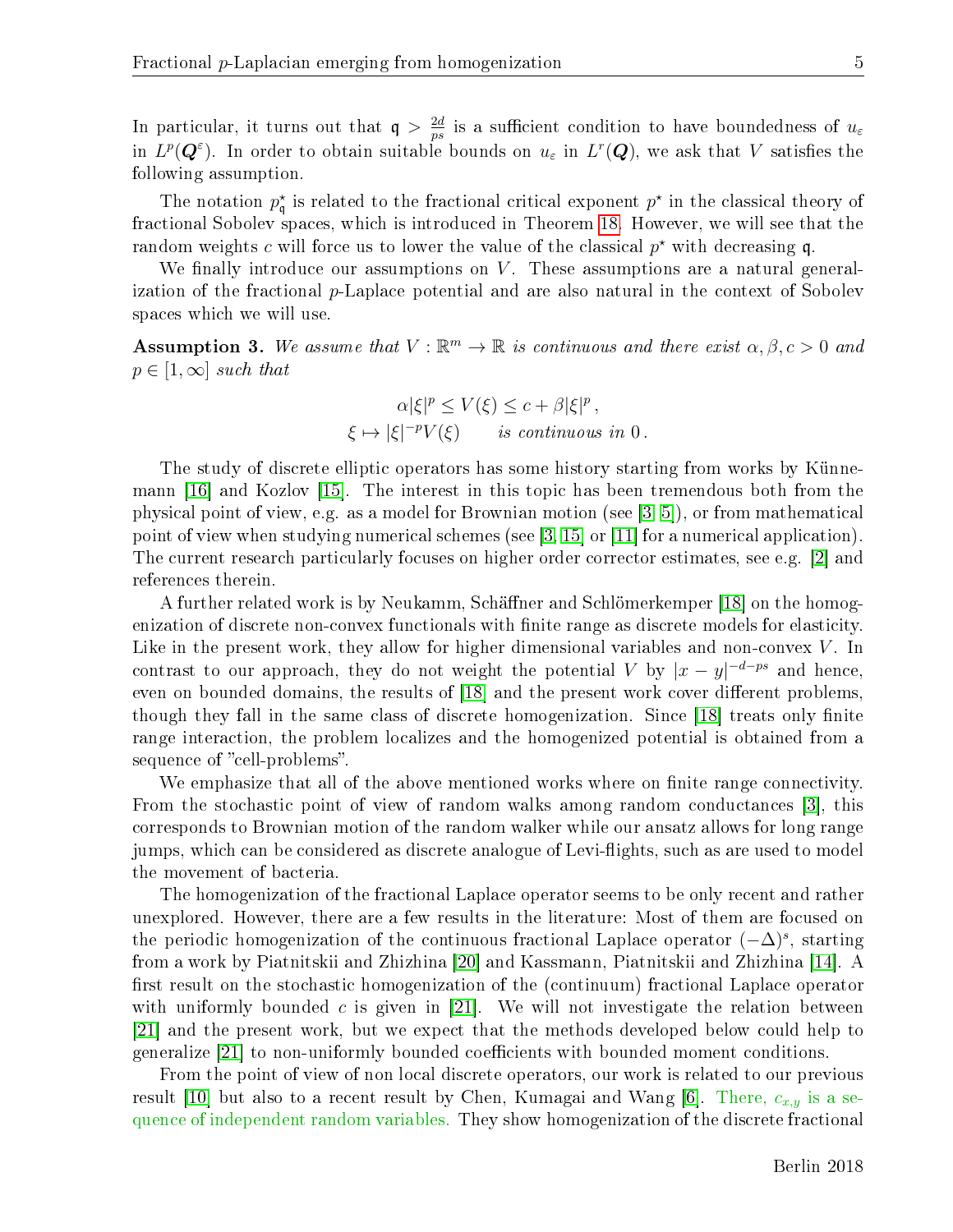In particular, it turns out that  $q > \frac{2d}{n^2}$  $\frac{2d}{ps}$  is a sufficient condition to have boundedness of  $u_\varepsilon$ in  $L^p(Q^{\varepsilon})$ . In order to obtain suitable bounds on  $u_{\varepsilon}$  in  $L^r(Q)$ , we ask that V satisfies the following assumption.

The notation  $p_{\mathfrak{q}}^*$  is related to the fractional critical exponent  $p^*$  in the classical theory of fractional Sobolev spaces, which is introduced in Theorem [18.](#page-14-0) However, we will see that the random weights c will force us to lower the value of the classical  $p^*$  with decreasing q.

We finally introduce our assumptions on  $V$ . These assumptions are a natural generalization of the fractional  $p$ -Laplace potential and are also natural in the context of Sobolev spaces which we will use.

<span id="page-5-0"></span>**Assumption 3.** We assume that  $V : \mathbb{R}^m \to \mathbb{R}$  is continuous and there exist  $\alpha, \beta, c > 0$  and  $p \in [1,\infty]$  such that

$$
\alpha |\xi|^p \le V(\xi) \le c + \beta |\xi|^p,
$$
  

$$
\xi \mapsto |\xi|^{-p} V(\xi) \quad \text{is continuous in } 0.
$$

The study of discrete elliptic operators has some history starting from works by Künnemann [\[16\]](#page-41-5) and Kozlov [\[15\]](#page-41-6). The interest in this topic has been tremendous both from the physical point of view, e.g. as a model for Brownian motion (see [\[3,](#page-40-0) [5\]](#page-40-1)), or from mathematical point of view when studying numerical schemes (see [\[3,](#page-40-0) [15\]](#page-41-6) or [\[11\]](#page-41-7) for a numerical application). The current research particularly focuses on higher order corrector estimates, see e.g. [\[2\]](#page-40-2) and references therein.

A further related work is by Neukamm, Schäffner and Schlömerkemper [\[18\]](#page-41-2) on the homogenization of discrete non-convex functionals with finite range as discrete models for elasticity. Like in the present work, they allow for higher dimensional variables and non-convex  $V$ . In contrast to our approach, they do not weight the potential V by  $|x-y|^{-d-ps}$  and hence, even on bounded domains, the results of [\[18\]](#page-41-2) and the present work cover different problems, though they fall in the same class of discrete homogenization. Since  $[18]$  treats only finite range interaction, the problem localizes and the homogenized potential is obtained from a sequence of "cell-problems".

We emphasize that all of the above mentioned works where on finite range connectivity. From the stochastic point of view of random walks among random conductances [\[3\]](#page-40-0), this corresponds to Brownian motion of the random walker while our ansatz allows for long range jumps, which can be considered as discrete analogue of Levi-flights, such as are used to model the movement of bacteria.

The homogenization of the fractional Laplace operator seems to be only recent and rather unexplored. However, there are a few results in the literature: Most of them are focused on the periodic homogenization of the continuous fractional Laplace operator  $(-\Delta)^s$ , starting from a work by Piatnitskii and Zhizhina [\[20\]](#page-41-8) and Kassmann, Piatnitskii and Zhizhina [\[14\]](#page-41-9). A first result on the stochastic homogenization of the (continuum) fractional Laplace operator with uniformly bounded c is given in [\[21\]](#page-41-10). We will not investigate the relation between [\[21\]](#page-41-10) and the present work, but we expect that the methods developed below could help to generalize [\[21\]](#page-41-10) to non-uniformly bounded coefficients with bounded moment conditions.

From the point of view of non local discrete operators, our work is related to our previous result [\[10\]](#page-41-0) but also to a recent result by Chen, Kumagai and Wang [\[6\]](#page-40-3). There,  $c_{x,y}$  is a sequence of independent random variables. They show homogenization of the discrete fractional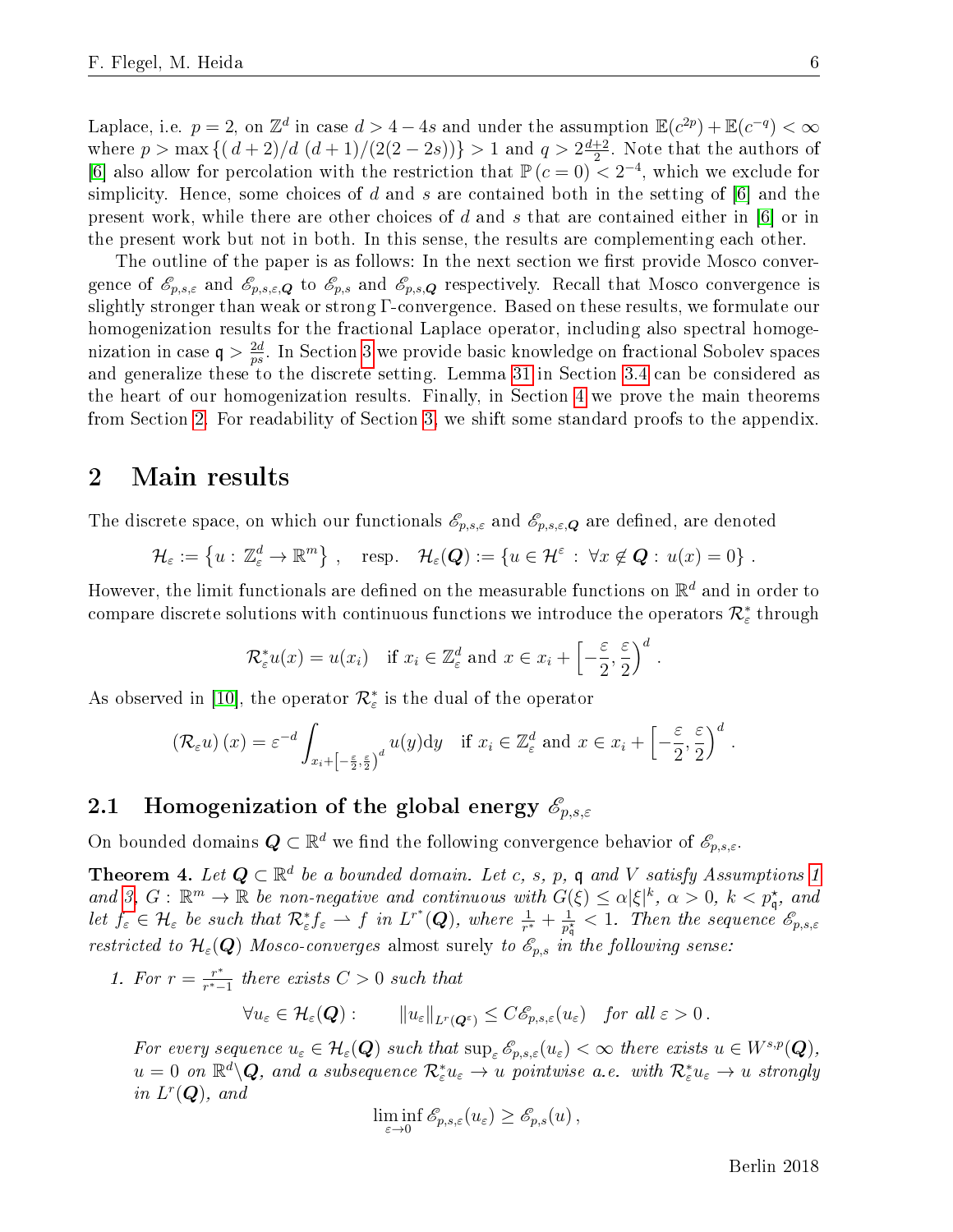Laplace, i.e.  $p = 2$ , on  $\mathbb{Z}^d$  in case  $d > 4 - 4s$  and under the assumption  $\mathbb{E}(c^{2p}) + \mathbb{E}(c^{-q}) < \infty$ where  $p > \max\left\{(d+2)/d\ (d+1)/(2(2-2s))\right\} > 1$  and  $q > 2\frac{d+2}{2}$  $\frac{+2}{2}$ . Note that the authors of [\[6\]](#page-40-3) also allow for percolation with the restriction that  $\mathbb{P}(c=0) < 2^{-4}$ , which we exclude for simplicity. Hence, some choices of d and s are contained both in the setting of  $|6|$  and the present work, while there are other choices of d and s that are contained either in  $[6]$  or in the present work but not in both. In this sense, the results are complementing each other.

The outline of the paper is as follows: In the next section we first provide Mosco convergence of  $\mathscr{E}_{p,s,\varepsilon}$  and  $\mathscr{E}_{p,s,\varepsilon,\mathbf{Q}}$  to  $\mathscr{E}_{p,s}$  and  $\mathscr{E}_{p,s,\mathbf{Q}}$  respectively. Recall that Mosco convergence is slightly stronger than weak or strong Γ-convergence. Based on these results, we formulate our homogenization results for the fractional Laplace operator, including also spectral homogenization in case  $q > \frac{2d}{n^2}$  $\frac{2d}{ps}$ . In Section [3](#page-11-0) we provide basic knowledge on fractional Sobolev spaces and generalize these to the discrete setting. Lemma [31](#page-21-0) in Section [3.4](#page-20-1) can be considered as the heart of our homogenization results. Finally, in Section [4](#page-22-0) we prove the main theorems from Section [2.](#page-6-1) For readability of Section [3,](#page-11-0) we shift some standard proofs to the appendix.

# <span id="page-6-1"></span>2 Main results

The discrete space, on which our functionals  $\mathscr{E}_{p,s,\varepsilon}$  and  $\mathscr{E}_{p,s,\varepsilon,\boldsymbol{Q}}$  are defined, are denoted

$$
\mathcal{H}_{\varepsilon} := \left\{ u : \mathbb{Z}_{\varepsilon}^d \to \mathbb{R}^m \right\}, \quad \text{resp.} \quad \mathcal{H}_{\varepsilon}(\mathbf{Q}) := \left\{ u \in \mathcal{H}^{\varepsilon} : \forall x \notin \mathbf{Q} : u(x) = 0 \right\}.
$$

However, the limit functionals are defined on the measurable functions on  $\mathbb{R}^d$  and in order to compare discrete solutions with continuous functions we introduce the operators  $\mathcal{R}^*_\varepsilon$  through

$$
\mathcal{R}_{\varepsilon}^* u(x) = u(x_i)
$$
 if  $x_i \in \mathbb{Z}_{\varepsilon}^d$  and  $x \in x_i + \left[ -\frac{\varepsilon}{2}, \frac{\varepsilon}{2} \right)^d$ .

As observed in [\[10\]](#page-41-0), the operator  $\mathcal{R}_{\varepsilon}^*$  is the dual of the operator

$$
\left(\mathcal{R}_{\varepsilon}u\right)(x) = \varepsilon^{-d} \int_{x_i + \left[-\frac{\varepsilon}{2}, \frac{\varepsilon}{2}\right)^d} u(y) \mathrm{d}y \quad \text{if } x_i \in \mathbb{Z}_{\varepsilon}^d \text{ and } x \in x_i + \left[-\frac{\varepsilon}{2}, \frac{\varepsilon}{2}\right)^d.
$$

# 2.1 Homogenization of the global energy  $\mathscr{E}_{p,s,\varepsilon}$

On bounded domains  $\bm{Q} \subset \mathbb{R}^d$  we find the following convergence behavior of  $\mathscr{E}_{p,s,\varepsilon}$ .

<span id="page-6-0"></span>**Theorem 4.** Let  $Q \subset \mathbb{R}^d$  be a bounded domain. Let c, s, p, q and V satisfy Assumptions [1](#page-4-0) and [3,](#page-5-0)  $G: \mathbb{R}^m \to \mathbb{R}$  be non-negative and continuous with  $G(\xi) \leq \alpha |\xi|^k$ ,  $\alpha > 0$ ,  $k < p_{\mathfrak{q}}^*$ , and let  $f_{\varepsilon} \in \mathcal{H}_{\varepsilon}$  be such that  $\mathcal{R}_{\varepsilon}^* f_{\varepsilon} \rightharpoonup f$  in  $L^{r^*}(\mathbf{Q})$ , where  $\frac{1}{r^*} + \frac{1}{p_{\varepsilon}^*}$  $\frac{1}{p_{\mathfrak{q}}^{\star}} < 1$ . Then the sequence  $\mathscr{E}_{p,s,\varepsilon}$ restricted to  $\mathcal{H}_{\varepsilon}(\mathbf{Q})$  Mosco-converges almost surely to  $\mathcal{E}_{p,s}$  in the following sense:

1. For  $r = \frac{r^*}{r^*}$  $\frac{r^*}{r^*-1}$  there exists  $C>0$  such that

$$
\forall u_{\varepsilon} \in \mathcal{H}_{\varepsilon}(\mathbf{Q}): \qquad \|u_{\varepsilon}\|_{L^{r}(\mathbf{Q}^{\varepsilon})} \leq C\mathscr{E}_{p,s,\varepsilon}(u_{\varepsilon}) \quad \text{for all } \varepsilon > 0\,.
$$

For every sequence  $u_{\varepsilon} \in \mathcal{H}_{\varepsilon}(\mathbf{Q})$  such that  $\sup_{\varepsilon} \mathscr{E}_{p,s,\varepsilon}(u_{\varepsilon}) < \infty$  there exists  $u \in W^{s,p}(\mathbf{Q})$ ,  $u=0$  on  $\mathbb{R}^d\backslash\boldsymbol{Q}$ , and a subsequence  $\mathcal{R}^*_\varepsilon u_\varepsilon\to u$  pointwise a.e. with  $\mathcal{R}^*_\varepsilon u_\varepsilon\to u$  strongly in  $L^r(\boldsymbol{Q})$ , and

$$
\liminf_{\varepsilon \to 0} \mathscr{E}_{p,s,\varepsilon}(u_{\varepsilon}) \geq \mathscr{E}_{p,s}(u),
$$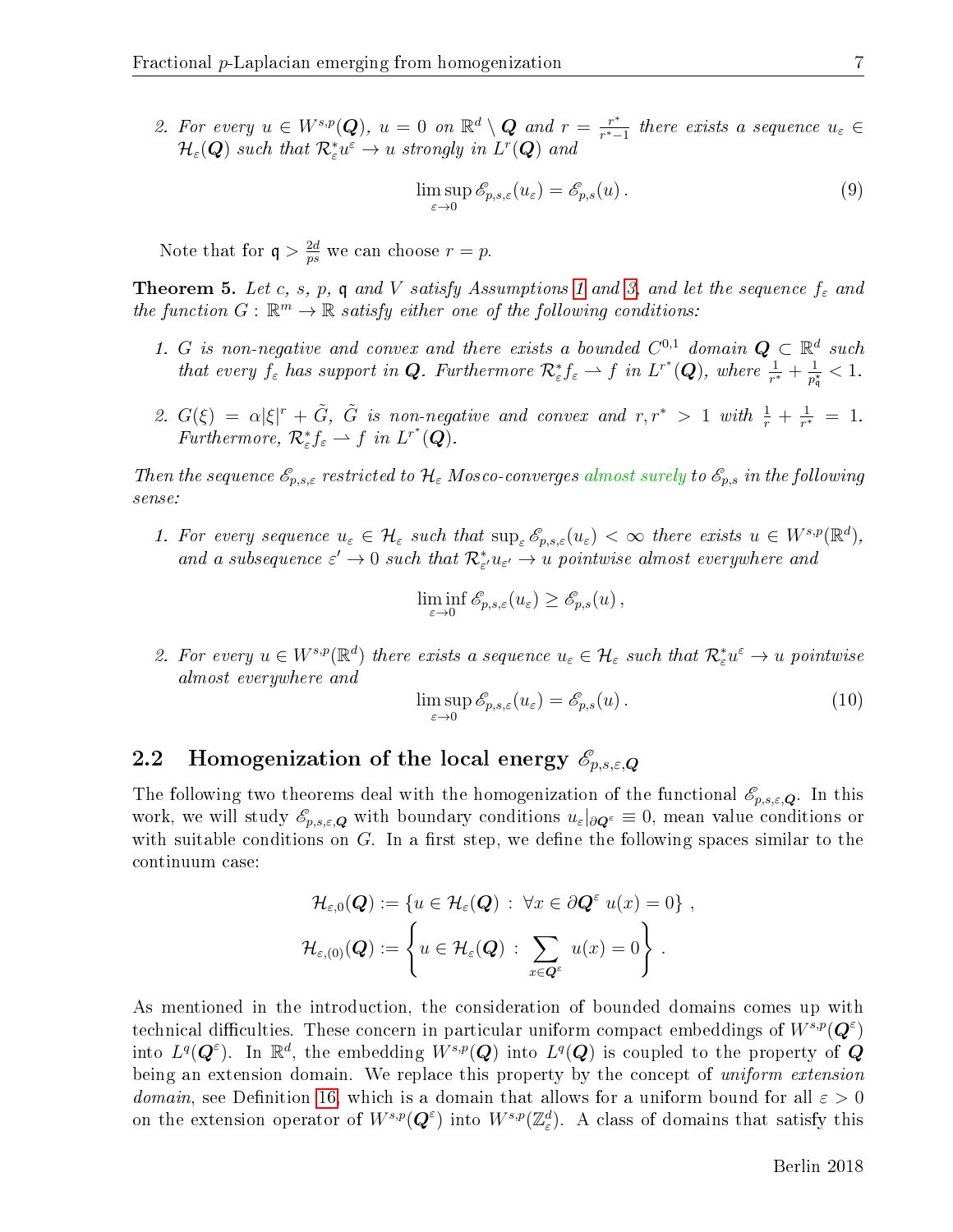2. For every  $u \in W^{s,p}(\mathbf{Q}), u = 0$  on  $\mathbb{R}^d \setminus \mathbf{Q}$  and  $r = \frac{r^*}{r^*}$  $\frac{r^*}{r^*-1}$  there exists a sequence  $u_{\varepsilon} \in$  $\mathcal{H}_{\varepsilon}(\bm{Q})$  such that  $\mathcal{R}^*_{\varepsilon}u^{\varepsilon} \to u$  strongly in  $L^r(\bm{Q})$  and

<span id="page-7-0"></span>
$$
\limsup_{\varepsilon \to 0} \mathscr{E}_{p,s,\varepsilon}(u_{\varepsilon}) = \mathscr{E}_{p,s}(u).
$$
\n(9)

Note that for  $q > \frac{2d}{ns}$  $\frac{2d}{ps}$  we can choose  $r = p$ .

<span id="page-7-1"></span>**Theorem 5.** Let c, s, p, q and V satisfy Assumptions [1](#page-4-0) and [3,](#page-5-0) and let the sequence  $f_{\varepsilon}$  and the function  $G: \mathbb{R}^m \to \mathbb{R}$  satisfy either one of the following conditions:

- 1. G is non-negative and convex and there exists a bounded  $C^{0,1}$  domain  $\mathbf{Q} \subset \mathbb{R}^d$  such that every  $f_{\varepsilon}$  has support in **Q**. Furthermore  $\mathcal{R}^*_{\varepsilon} f_{\varepsilon} \rightharpoonup f$  in  $L^{r^*}(\mathbf{Q})$ , where  $\frac{1}{r^*} + \frac{1}{p_{\varepsilon}^*}$  $\frac{1}{p_{\mathfrak{q}}^{\star}} < 1$ .
- 2.  $G(\xi) = \alpha |\xi|^r + \tilde{G}$ ,  $\tilde{G}$  is non-negative and convex and  $r, r^* > 1$  with  $\frac{1}{r} + \frac{1}{r^*}$  $\frac{1}{r^*} = 1.$ Furthermore,  $\mathcal{R}^*_{\varepsilon} f_{\varepsilon} \rightharpoonup f$  in  $L^{r^*}(\mathbf{Q})$ .

Then the sequence  $\mathscr{E}_{p,s,\varepsilon}$  restricted to  $\mathcal{H}_{\varepsilon}$  Mosco-converges almost surely to  $\mathscr{E}_{p,s}$  in the following sense:

1. For every sequence  $u_{\varepsilon} \in \mathcal{H}_{\varepsilon}$  such that  $\sup_{\varepsilon} \mathscr{E}_{p,s,\varepsilon}(u_{\varepsilon}) < \infty$  there exists  $u \in W^{s,p}(\mathbb{R}^d)$ , and a subsequence  $\varepsilon' \to 0$  such that  $\mathcal{R}^*_{\varepsilon'} u_{\varepsilon'} \to u$  pointwise almost everywhere and

$$
\liminf_{\varepsilon \to 0} \mathscr{E}_{p,s,\varepsilon}(u_{\varepsilon}) \geq \mathscr{E}_{p,s}(u),
$$

2. For every  $u \in W^{s,p}(\mathbb{R}^d)$  there exists a sequence  $u_{\varepsilon} \in \mathcal{H}_{\varepsilon}$  such that  $\mathcal{R}_{\varepsilon}^* u^{\varepsilon} \to u$  pointwise almost everywhere and

$$
\limsup_{\varepsilon \to 0} \mathscr{E}_{p,s,\varepsilon}(u_{\varepsilon}) = \mathscr{E}_{p,s}(u). \tag{10}
$$

### 2.2 Homogenization of the local energy  $\mathscr{E}_{p,s,\varepsilon,Q}$

The following two theorems deal with the homogenization of the functional  $\mathscr{E}_{p,s,\varepsilon,\mathbf{Q}}$ . In this work, we will study  $\mathscr{E}_{p,s,\varepsilon,\mathbf{Q}}$  with boundary conditions  $u_{\varepsilon}|_{\partial \mathbf{Q}^{\varepsilon}} \equiv 0$ , mean value conditions or with suitable conditions on  $G$ . In a first step, we define the following spaces similar to the continuum case:

$$
\mathcal{H}_{\varepsilon,0}(\mathbf{Q}) := \{ u \in \mathcal{H}_{\varepsilon}(\mathbf{Q}) : \forall x \in \partial \mathbf{Q}^{\varepsilon} \ u(x) = 0 \},
$$
  

$$
\mathcal{H}_{\varepsilon,0}(\mathbf{Q}) := \left\{ u \in \mathcal{H}_{\varepsilon}(\mathbf{Q}) : \sum_{x \in \mathbf{Q}^{\varepsilon}} u(x) = 0 \right\}.
$$

As mentioned in the introduction, the consideration of bounded domains comes up with technical difficulties. These concern in particular uniform compact embeddings of  $W^{s,p}(\mathbf{Q}^{\varepsilon})$ into  $L^q(\bm{Q}^\varepsilon)$ . In  $\mathbb{R}^d$ , the embedding  $W^{s,p}(\bm{Q})$  into  $L^q(\bm{Q})$  is coupled to the property of  $\bm{Q}$ being an extension domain. We replace this property by the concept of uniform extension *domain*, see Definition [16,](#page-13-0) which is a domain that allows for a uniform bound for all  $\varepsilon > 0$ on the extension operator of  $W^{s,p}(\mathbf{Q}^{\varepsilon})$  into  $W^{s,p}(\mathbb{Z}^d_{\varepsilon})$ . A class of domains that satisfy this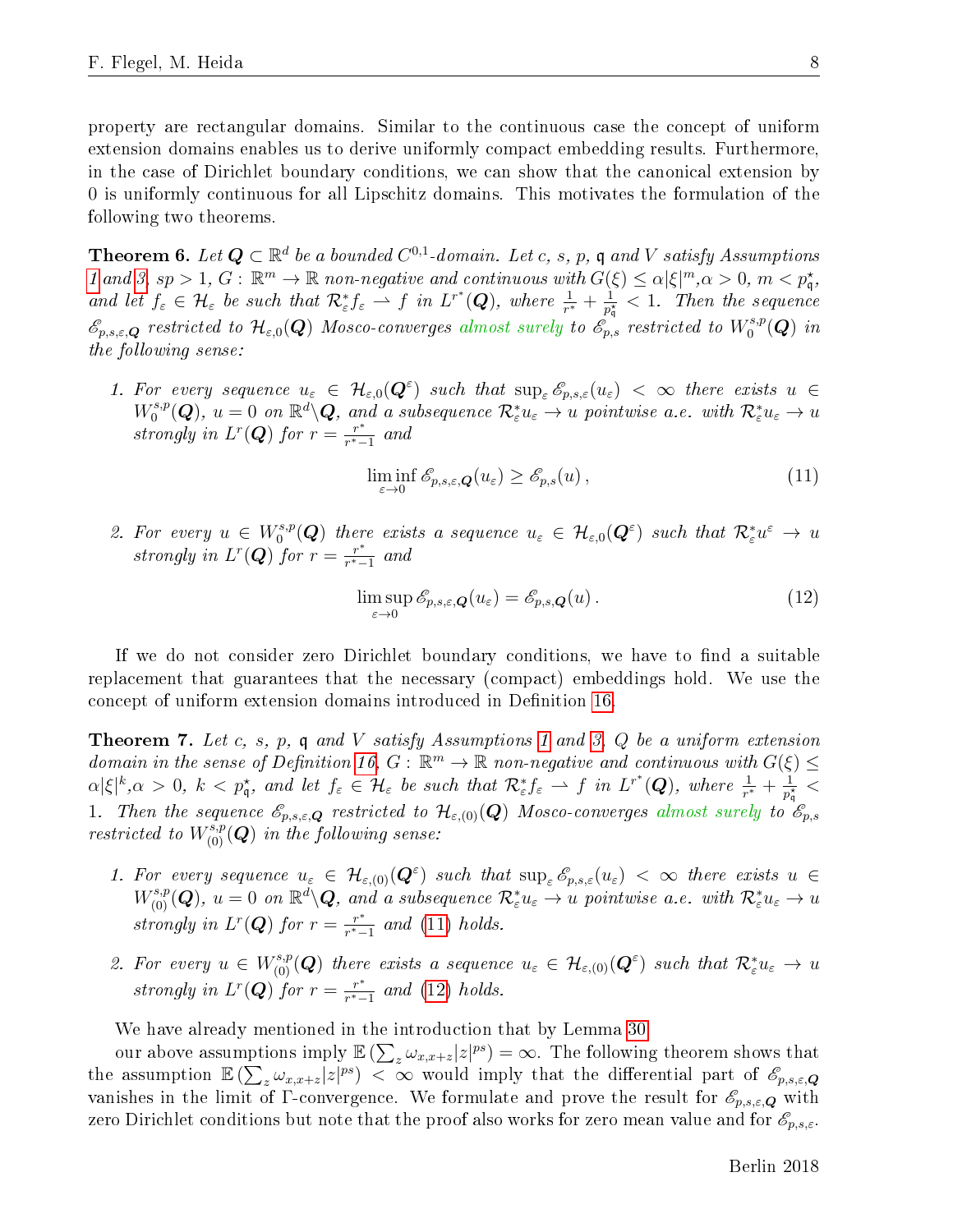property are rectangular domains. Similar to the continuous case the concept of uniform extension domains enables us to derive uniformly compact embedding results. Furthermore, in the case of Dirichlet boundary conditions, we can show that the canonical extension by 0 is uniformly continuous for all Lipschitz domains. This motivates the formulation of the following two theorems.

<span id="page-8-3"></span>**Theorem 6.** Let  $\boldsymbol{Q} \subset \mathbb{R}^d$  be a bounded  $C^{0,1}$ -domain. Let c, s, p, q and V satisfy Assumptions [1](#page-4-0) and [3,](#page-5-0) sp > 1, G:  $\mathbb{R}^m \to \mathbb{R}$  non-negative and continuous with  $G(\xi) \leq \alpha |\xi|^m, \alpha > 0, m < p_{\mathfrak{q}}^{\star}$ , and let  $f_{\varepsilon} \in \mathcal{H}_{\varepsilon}$  be such that  $\mathcal{R}^*_{\varepsilon} f_{\varepsilon} \rightharpoonup f$  in  $L^{r^*}(\mathbf{Q})$ , where  $\frac{1}{r^*} + \frac{1}{p_{\varepsilon}^*}$  $\frac{1}{p_{\mathfrak{q}}^{\star}} < 1$ . Then the sequence  $\mathscr{E}_{p,s,\varepsilon,\bm{Q}}$  restricted to  $\mathcal{H}_{\varepsilon,0}(\bm{Q})$  Mosco-converges almost surely to  $\mathscr{E}_{p,s}$  restricted to  $W^{s,p}_0$  $\ _{0}^{s,p}(\boldsymbol{Q})$  in the following sense:

1. For every sequence  $u_{\varepsilon} \in H_{\varepsilon,0}(\mathbf{Q}^{\varepsilon})$  such that  $\sup_{\varepsilon} \mathscr{E}_{p,s,\varepsilon}(u_{\varepsilon}) < \infty$  there exists  $u \in$  $W_0^{s,p}$  $\mathcal{R}_0^{s,p}(\bm{Q}),\ u=0\ \ on\ \mathbb{R}^d\backslash \bm{Q},\ and\ a\ subsequence\ \mathcal{R}_{\varepsilon}^*u_{\varepsilon}\to u\ pointwise\ a.e.\ with\ \mathcal{R}_{\varepsilon}^*u_{\varepsilon}\to u.$ strongly in  $L^r(Q)$  for  $r = \frac{r^*}{r^*}$  $\frac{r^*}{r^*-1}$  and

<span id="page-8-1"></span>
$$
\liminf_{\varepsilon \to 0} \mathscr{E}_{p,s,\varepsilon,\mathbf{Q}}(u_{\varepsilon}) \ge \mathscr{E}_{p,s}(u) \,, \tag{11}
$$

2. For every  $u \in W_0^{s,p}$  $\mathcal{O}_0^{s,p}(\bm{Q})$  there exists a sequence  $u_\varepsilon\,\in\,\mathcal{H}_{\varepsilon,0}(\bm{Q}^\varepsilon)$  such that  $\mathcal{R}^*_\varepsilon u^\varepsilon\,\to\, u^\varepsilon$ strongly in  $L^r(Q)$  for  $r = \frac{r^*}{r^*}$  $\frac{r^*}{r^*-1}$  and

<span id="page-8-2"></span>
$$
\limsup_{\varepsilon \to 0} \mathscr{E}_{p,s,\varepsilon,\mathbf{Q}}(u_{\varepsilon}) = \mathscr{E}_{p,s,\mathbf{Q}}(u). \tag{12}
$$

If we do not consider zero Dirichlet boundary conditions, we have to find a suitable replacement that guarantees that the necessary (compact) embeddings hold. We use the concept of uniform extension domains introduced in Definition [16.](#page-13-0)

<span id="page-8-0"></span>**Theorem 7.** Let c, s, p, q and V satisfy Assumptions [1](#page-4-0) and [3,](#page-5-0)  $Q$  be a uniform extension domain in the sense of Definition [16,](#page-13-0)  $G: \mathbb{R}^m \to \mathbb{R}$  non-negative and continuous with  $G(\xi) \leq$  $\alpha|\xi|^k, \alpha > 0, \ k < p_{\mathfrak{q}}^{\star}, \ and \ let \ f_{\varepsilon} \in \mathcal{H}_{\varepsilon} \ be \ such \ that \ \mathcal{R}_{\varepsilon}^{\ast}f_{\varepsilon} \rightharpoonup f \ in \ L^{r^*}(\mathbf{Q}), \ where \ \frac{1}{r^*} + \frac{1}{p_{\varepsilon}^*}$  $\frac{1}{p_{\mathfrak{q}}^{\star}} <$ 1. Then the sequence  $\mathscr{E}_{p,s,\varepsilon,\mathbf{Q}}$  restricted to  $\mathcal{H}_{\varepsilon,(0)}(\mathbf{Q})$  Mosco-converges almost surely to  $\mathscr{E}_{p,s}$ restricted to  $W^{s,p}_{(0)}(Q)$  in the following sense:

- 1. For every sequence  $u_{\varepsilon} \in \mathcal{H}_{\varepsilon, (0)}(\mathbf{Q}^{\varepsilon})$  such that  $\sup_{\varepsilon} \mathscr{E}_{p,s,\varepsilon}(u_{\varepsilon}) < \infty$  there exists  $u \in$  $W^{s,p}_{(0)}(\bm Q),\ u=0\ \ on\ \mathbb{R}^d\backslash \bm Q,\ and\ a\ subsequence\ \mathcal{R}^*_{\varepsilon}u_{\varepsilon}\rightarrow u\ pointwise\ a.e.\ with\ \mathcal{R}^*_{\varepsilon}u_{\varepsilon}\rightarrow u$ strongly in  $L^r(Q)$  for  $r = \frac{r^*}{r^*}$  $\frac{r^*}{r^*-1}$  and [\(11\)](#page-8-1) holds.
- 2. For every  $u \in W^{s,p}_{(0)}(Q)$  there exists a sequence  $u_{\varepsilon} \in \mathcal{H}_{\varepsilon,(0)}(Q^{\varepsilon})$  such that  $\mathcal{R}_{\varepsilon}^* u_{\varepsilon} \to u$ strongly in  $L^r(\mathbf{Q})$  for  $r = \frac{r^*}{r^*}$  $\frac{r^*}{r^*-1}$  and [\(12\)](#page-8-2) holds.

We have already mentioned in the introduction that by Lemma [30](#page-20-0)

our above assumptions imply  $\mathbb{E}\left(\sum_{z}\omega_{x,x+z}|z|^{ps}\right)=\infty$ . The following theorem shows that the assumption  $\mathbb{E}\left(\sum_{z}\omega_{x,x+z}|z|^{ps}\right)$   $\lt \infty$  would imply that the differential part of  $\mathscr{E}_{p,s,\varepsilon,Q}$ vanishes in the limit of Γ-convergence. We formulate and prove the result for  $\mathscr{E}_{p,s,\varepsilon,\mathbf{Q}}$  with zero Dirichlet conditions but note that the proof also works for zero mean value and for  $\mathscr{E}_{p,s,\varepsilon}$ .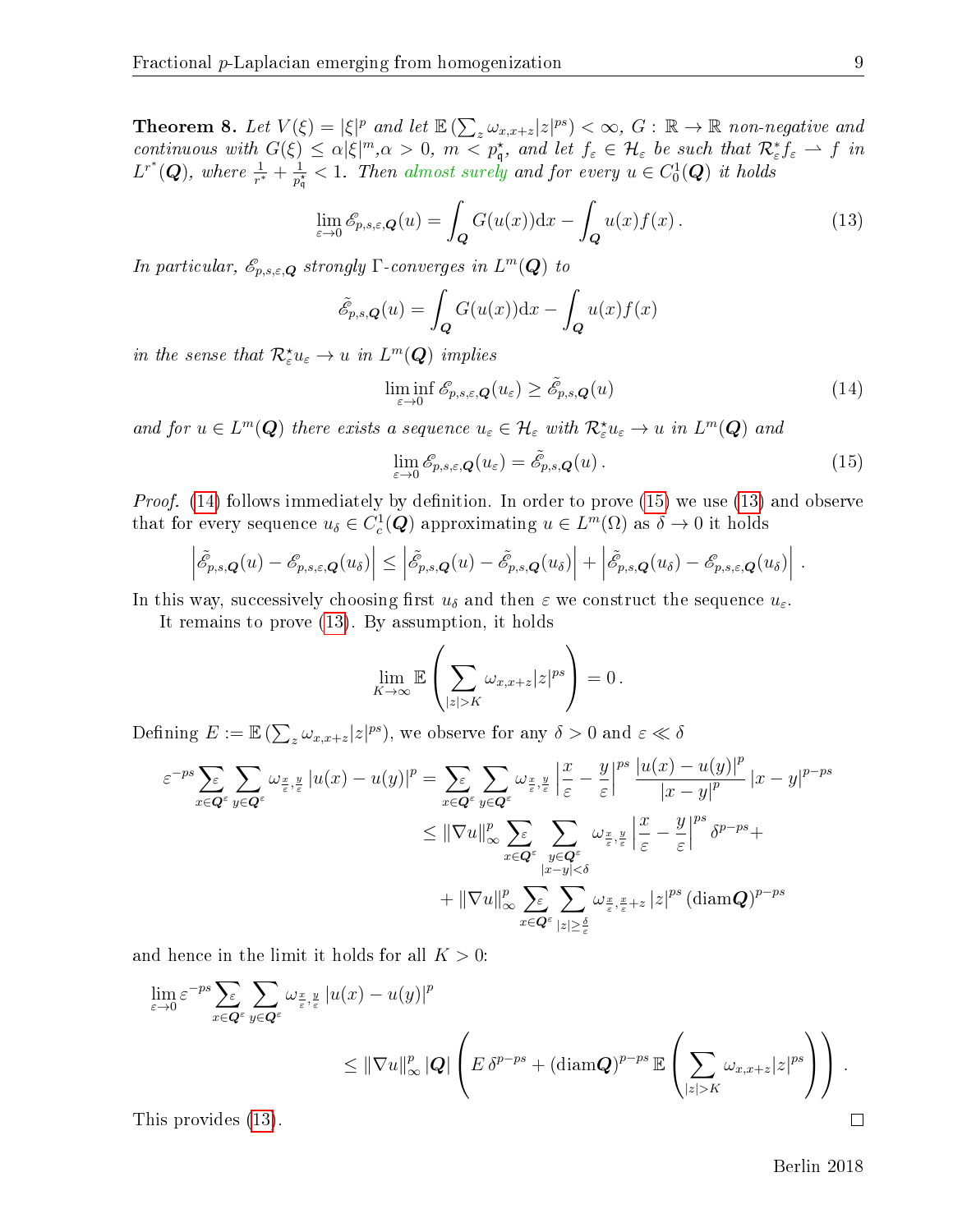<span id="page-9-0"></span>**Theorem 8.** Let  $V(\xi) = |\xi|^p$  and let  $\mathbb{E}(\sum_{z} \omega_{x,x+z} |z|^{ps}) < \infty$ ,  $G : \mathbb{R} \to \mathbb{R}$  non-negative and continuous with  $G(\xi) \leq \alpha |\xi|^m, \alpha > 0$ ,  $m < p_{\mathfrak{q}}^*$ , and let  $f_{\varepsilon} \in \mathcal{H}_{\varepsilon}$  be such that  $\mathcal{R}_{\varepsilon}^* f_{\varepsilon} \to f$  in  $L^{r^*}(\mathbf{Q})$ , where  $\frac{1}{r^*} + \frac{1}{p_0^*}$  $\frac{1}{p_{\mathfrak{q}}^{\star}} < 1$ . Then almost surely and for every  $u \in C^1_0(\boldsymbol{Q})$  it holds

<span id="page-9-3"></span>
$$
\lim_{\varepsilon \to 0} \mathcal{E}_{p,s,\varepsilon,\mathbf{Q}}(u) = \int_{\mathbf{Q}} G(u(x)) \mathrm{d}x - \int_{\mathbf{Q}} u(x) f(x).
$$
\n(13)

In particular,  $\mathscr{E}_{p,s,\varepsilon,\boldsymbol{Q}}$  strongly  $\Gamma$ -converges in  $L^m(\boldsymbol{Q})$  to

$$
\tilde{\mathscr{E}}_{p,s,\mathbf{Q}}(u) = \int_{\mathbf{Q}} G(u(x)) \mathrm{d}x - \int_{\mathbf{Q}} u(x) f(x)
$$

in the sense that  $\mathcal{R}_{\varepsilon}^{\star}u_{\varepsilon} \to u$  in  $L^{m}(\mathbf{Q})$  implies

<span id="page-9-1"></span>
$$
\liminf_{\varepsilon \to 0} \mathscr{E}_{p,s,\varepsilon,\mathbf{Q}}(u_{\varepsilon}) \ge \tilde{\mathscr{E}}_{p,s,\mathbf{Q}}(u) \tag{14}
$$

and for  $u \in L^m(Q)$  there exists a sequence  $u_{\varepsilon} \in \mathcal{H}_{\varepsilon}$  with  $\mathcal{R}_{\varepsilon}^{\star}u_{\varepsilon} \to u$  in  $L^m(Q)$  and

<span id="page-9-2"></span>
$$
\lim_{\varepsilon \to 0} \mathscr{E}_{p,s,\varepsilon,\mathbf{Q}}(u_{\varepsilon}) = \tilde{\mathscr{E}}_{p,s,\mathbf{Q}}(u) \,. \tag{15}
$$

*Proof.* [\(14\)](#page-9-1) follows immediately by definition. In order to prove [\(15\)](#page-9-2) we use [\(13\)](#page-9-3) and observe that for every sequence  $u_{\delta} \in C_c^1(\mathbf{Q})$  approximating  $u \in L^m(\Omega)$  as  $\delta \to 0$  it holds

$$
\left|\tilde{\mathscr{E}}_{p,s,\mathbf{Q}}(u)-\mathscr{E}_{p,s,\varepsilon,\mathbf{Q}}(u_{\delta})\right|\leq\left|\tilde{\mathscr{E}}_{p,s,\mathbf{Q}}(u)-\tilde{\mathscr{E}}_{p,s,\mathbf{Q}}(u_{\delta})\right|+\left|\tilde{\mathscr{E}}_{p,s,\mathbf{Q}}(u_{\delta})-\mathscr{E}_{p,s,\varepsilon,\mathbf{Q}}(u_{\delta})\right|.
$$

In this way, successively choosing first  $u_{\delta}$  and then  $\varepsilon$  we construct the sequence  $u_{\varepsilon}$ .

It remains to prove [\(13\)](#page-9-3). By assumption, it holds

$$
\lim_{K\to\infty}\mathbb{E}\left(\sum_{|z|>K}\omega_{x,x+z}|z|^{ps}\right)=0.
$$

Defining  $E := \mathbb{E} \left( \sum_z \omega_{x,x+z} |z|^{ps} \right)$ , we observe for any  $\delta > 0$  and  $\varepsilon \ll \delta$ 

$$
\varepsilon^{-ps} \sum_{x \in \mathbf{Q}^{\varepsilon}} \sum_{y \in \mathbf{Q}^{\varepsilon}} \omega_{\frac{x}{\varepsilon}, \frac{y}{\varepsilon}} |u(x) - u(y)|^p = \sum_{x \in \mathbf{Q}^{\varepsilon}} \sum_{y \in \mathbf{Q}^{\varepsilon}} \omega_{\frac{x}{\varepsilon}, \frac{y}{\varepsilon}} \left| \frac{x}{\varepsilon} - \frac{y}{\varepsilon} \right|^{ps} \frac{|u(x) - u(y)|^p}{|x - y|^p} |x - y|^{p - ps}
$$
  

$$
\leq ||\nabla u||_{\infty}^p \sum_{x \in \mathbf{Q}^{\varepsilon}} \sum_{\substack{y \in \mathbf{Q}^{\varepsilon} \\ |x - y| < \delta}} \omega_{\frac{x}{\varepsilon}, \frac{y}{\varepsilon}} \left| \frac{x}{\varepsilon} - \frac{y}{\varepsilon} \right|^{ps} \delta^{p - ps} +
$$
  

$$
+ ||\nabla u||_{\infty}^p \sum_{x \in \mathbf{Q}^{\varepsilon}} \sum_{|z| \geq \frac{\delta}{\varepsilon}} \omega_{\frac{x}{\varepsilon}, \frac{x}{\varepsilon} + z} |z|^{ps} (\text{diam} \mathbf{Q})^{p - ps}
$$

and hence in the limit it holds for all  $K > 0$ :

$$
\lim_{\varepsilon \to 0} \varepsilon^{-ps} \sum_{x \in \mathbf{Q}^{\varepsilon}} \sum_{y \in \mathbf{Q}^{\varepsilon}} \omega_{\frac{x}{\varepsilon}, \frac{y}{\varepsilon}} |u(x) - u(y)|^p
$$
\n
$$
\leq ||\nabla u||_{\infty}^p |\mathbf{Q}| \left( E \, \delta^{p - ps} + (\operatorname{diam} \mathbf{Q})^{p - ps} \, \mathbb{E} \left( \sum_{|z| > K} \omega_{x, x+z} |z|^{ps} \right) \right).
$$

This provides [\(13\)](#page-9-3).

Berlin 2018

 $\Box$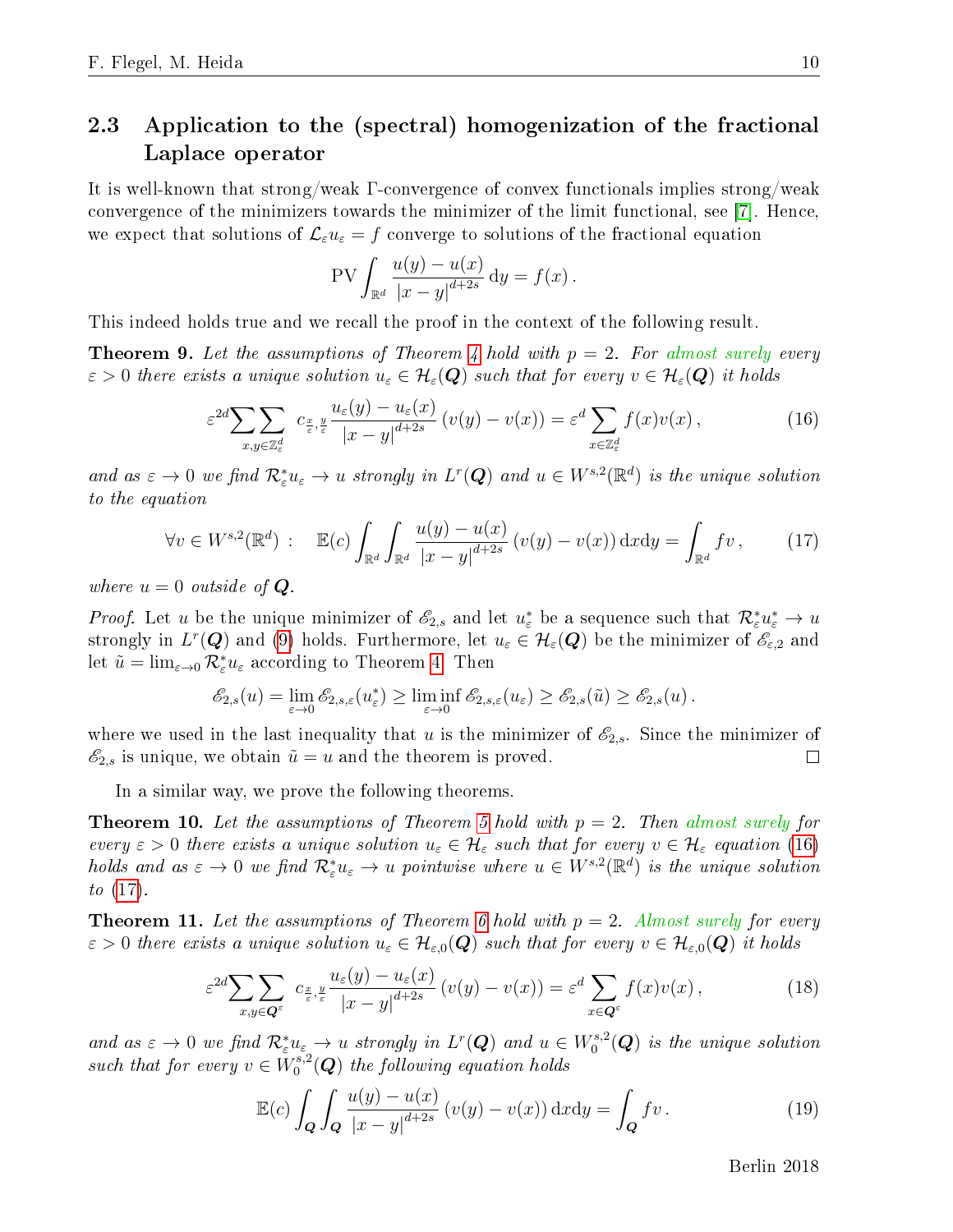## <span id="page-10-0"></span>2.3 Application to the (spectral) homogenization of the fractional Laplace operator

It is well-known that strong/weak Γ-convergence of convex functionals implies strong/weak convergence of the minimizers towards the minimizer of the limit functional, see [\[7\]](#page-40-4). Hence, we expect that solutions of  $\mathcal{L}_{\varepsilon}u_{\varepsilon}=f$  converge to solutions of the fractional equation

$$
PV \int_{\mathbb{R}^d} \frac{u(y) - u(x)}{|x - y|^{d + 2s}} dy = f(x).
$$

This indeed holds true and we recall the proof in the context of the following result.

**Theorem 9.** Let the assumptions of Theorem [4](#page-6-0) hold with  $p = 2$ . For almost surely every  $\varepsilon > 0$  there exists a unique solution  $u_{\varepsilon} \in \mathcal{H}_{\varepsilon}(\mathbf{Q})$  such that for every  $v \in \mathcal{H}_{\varepsilon}(\mathbf{Q})$  it holds

<span id="page-10-1"></span>
$$
\varepsilon^{2d} \sum_{x,y \in \mathbb{Z}_\varepsilon^d} \sum_{\varepsilon, y \in \mathbb{Z}_\varepsilon^d} \frac{u_\varepsilon(y) - u_\varepsilon(x)}{|x - y|^{d + 2s}} \left( v(y) - v(x) \right) = \varepsilon^d \sum_{x \in \mathbb{Z}_\varepsilon^d} f(x) v(x) ,\tag{16}
$$

and as  $\varepsilon \to 0$  we find  $\mathcal{R}_{\varepsilon}^*u_{\varepsilon} \to u$  strongly in  $L^r(\mathbf{Q})$  and  $u \in W^{s,2}(\mathbb{R}^d)$  is the unique solution to the equation

<span id="page-10-2"></span>
$$
\forall v \in W^{s,2}(\mathbb{R}^d) : \mathbb{E}(c) \int_{\mathbb{R}^d} \int_{\mathbb{R}^d} \frac{u(y) - u(x)}{|x - y|^{d + 2s}} (v(y) - v(x)) \, dx \, dy = \int_{\mathbb{R}^d} f v, \qquad (17)
$$

where  $u = 0$  outside of  $Q$ .

*Proof.* Let u be the unique minimizer of  $\mathscr{E}_{2,s}$  and let  $u_{\varepsilon}^*$  be a sequence such that  $\mathcal{R}_{\varepsilon}^*u_{\varepsilon}^* \to u$ strongly in  $L^r(\bm{Q})$  and [\(9\)](#page-7-0) holds. Furthermore, let  $u_\varepsilon\in\mathcal{H}_\varepsilon(\bm{Q})$  be the minimizer of  $\mathscr{E}_{\varepsilon,2}$  and let  $\tilde{u} = \lim_{\varepsilon \to 0} \mathcal{R}_{\varepsilon}^* u_{\varepsilon}$  according to Theorem [4.](#page-6-0) Then

$$
\mathscr{E}_{2,s}(u) = \lim_{\varepsilon \to 0} \mathscr{E}_{2,s,\varepsilon}(u_{\varepsilon}^*) \ge \liminf_{\varepsilon \to 0} \mathscr{E}_{2,s,\varepsilon}(u_{\varepsilon}) \ge \mathscr{E}_{2,s}(\tilde{u}) \ge \mathscr{E}_{2,s}(u) .
$$

where we used in the last inequality that u is the minimizer of  $\mathscr{E}_{2,s}$ . Since the minimizer of  $\mathscr{E}_{2,s}$  is unique, we obtain  $\tilde{u} = u$  and the theorem is proved.  $\Box$ 

In a similar way, we prove the following theorems.

**Theorem 10.** Let the assumptions of Theorem [5](#page-7-1) hold with  $p = 2$ . Then almost surely for every  $\varepsilon > 0$  there exists a unique solution  $u_{\varepsilon} \in \mathcal{H}_{\varepsilon}$  such that for every  $v \in \mathcal{H}_{\varepsilon}$  equation [\(16\)](#page-10-1) holds and as  $\varepsilon \to 0$  we find  $\mathcal{R}_{\varepsilon}^*u_{\varepsilon} \to u$  pointwise where  $u \in W^{s,2}(\mathbb{R}^d)$  is the unique solution to [\(17\)](#page-10-2).

**Theorem 11.** Let the assumptions of Theorem [6](#page-8-3) hold with  $p = 2$ . Almost surely for every  $\varepsilon > 0$  there exists a unique solution  $u_{\varepsilon} \in \mathcal{H}_{\varepsilon,0}(\mathbf{Q})$  such that for every  $v \in \mathcal{H}_{\varepsilon,0}(\mathbf{Q})$  it holds

<span id="page-10-3"></span>
$$
\varepsilon^{2d} \sum_{x,y \in \mathbf{Q}^{\varepsilon}} \sum_{\varepsilon, y \in \mathbf{Q}^{\varepsilon}} c_{\frac{x}{\varepsilon}, y} \frac{u_{\varepsilon}(y) - u_{\varepsilon}(x)}{|x - y|^{d + 2s}} \left( v(y) - v(x) \right) = \varepsilon^{d} \sum_{x \in \mathbf{Q}^{\varepsilon}} f(x) v(x) , \tag{18}
$$

and as  $\varepsilon \to 0$  we find  $\mathcal{R}_{\varepsilon}^* u_{\varepsilon} \to u$  strongly in  $L^r(\mathbf{Q})$  and  $u \in W_0^{s,2}$  $\mathcal{O}_0^{s,2}(\boldsymbol{Q})$  is the unique solution such that for every  $v \in W_0^{s,2}$  $\mathcal{O}_0^{s,2}(\boldsymbol{Q})$  the following equation holds

<span id="page-10-4"></span>
$$
\mathbb{E}(c)\int_{\mathbf{Q}}\int_{\mathbf{Q}}\frac{u(y)-u(x)}{|x-y|^{d+2s}}\left(v(y)-v(x)\right)\mathrm{d}x\mathrm{d}y=\int_{\mathbf{Q}}fv\,.
$$
 (19)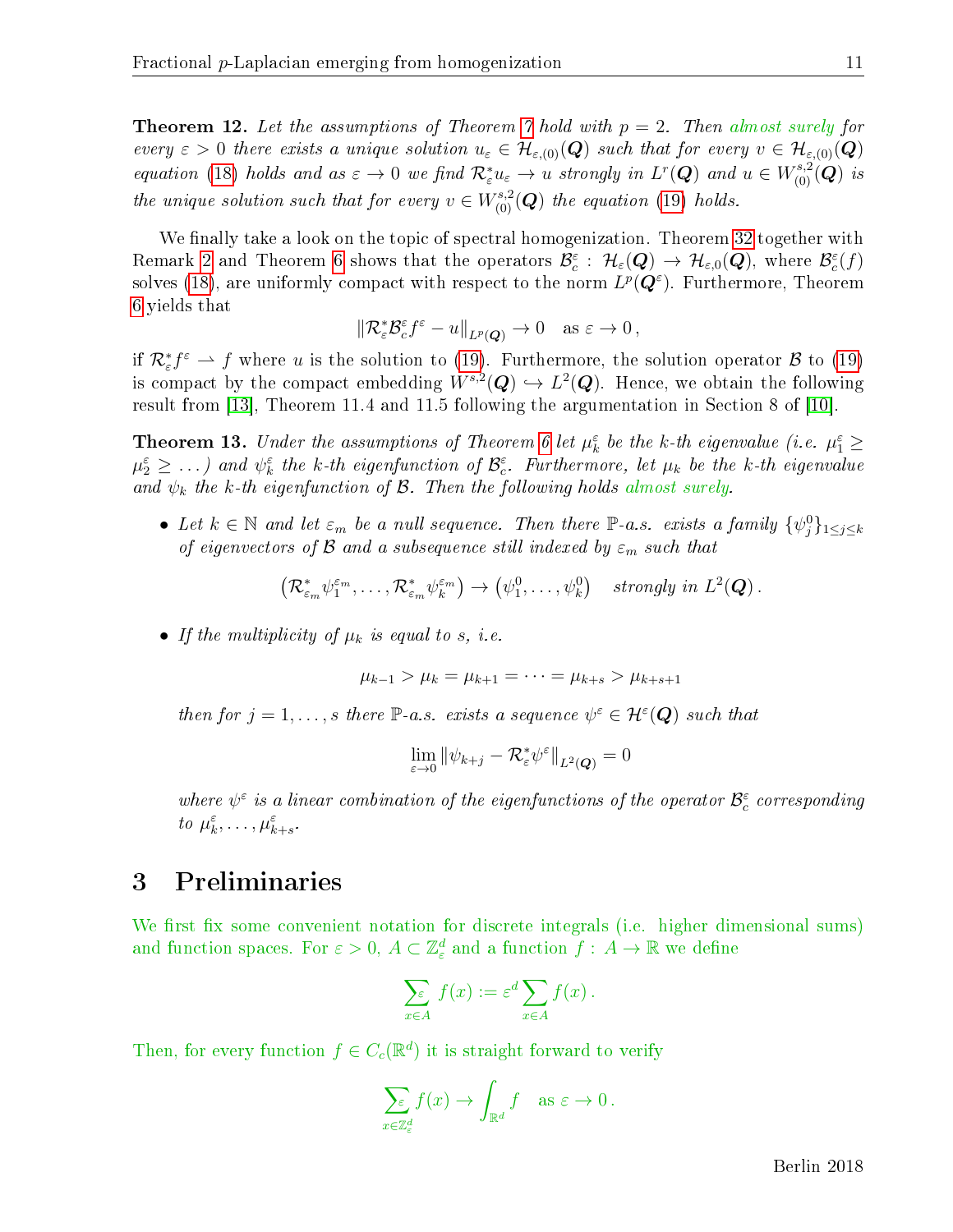**Theorem 12.** Let the assumptions of Theorem [7](#page-8-0) hold with  $p = 2$ . Then almost surely for every  $\varepsilon > 0$  there exists a unique solution  $u_{\varepsilon} \in \mathcal{H}_{\varepsilon, (0)}(Q)$  such that for every  $v \in \mathcal{H}_{\varepsilon, (0)}(Q)$ equation [\(18\)](#page-10-3) holds and as  $\varepsilon \to 0$  we find  $\mathcal{R}^*_{\varepsilon} u_{\varepsilon} \to u$  strongly in  $L^r(\mathbf{Q})$  and  $u \in W^{s,2}_{(0)}(\mathbf{Q})$  is the unique solution such that for every  $v \in W^{s,2}_{(0)}(Q)$  the equation [\(19\)](#page-10-4) holds.

We finally take a look on the topic of spectral homogenization. Theorem [32](#page-21-1) together with Remark [2](#page-4-1) and Theorem [6](#page-8-3) shows that the operators  $\mathcal{B}_c^{\varepsilon}$  :  $\mathcal{H}_{\varepsilon}(\bm{Q}) \to \mathcal{H}_{\varepsilon,0}(\bm{Q}),$  where  $\mathcal{B}_c^{\varepsilon}(f)$ solves [\(18\)](#page-10-3), are uniformly compact with respect to the norm  $L^p(\bm{Q}^{\varepsilon})$ . Furthermore, Theorem [6](#page-8-3) yields that

$$
\|\mathcal{R}_{\varepsilon}^*\mathcal{B}_{c}^{\varepsilon}f^{\varepsilon}-u\|_{L^p(Q)}\to 0 \quad \text{as } \varepsilon\to 0,
$$

if  $\mathcal{R}^*_\varepsilon f^\varepsilon \rightharpoonup f$  where u is the solution to [\(19\)](#page-10-4). Furthermore, the solution operator  $\mathcal B$  to (19) is compact by the compact embedding  $W^{s,2}(\mathbf{Q}) \hookrightarrow L^2(\mathbf{Q})$ . Hence, we obtain the following result from [\[13\]](#page-41-11), Theorem 11.4 and 11.5 following the argumentation in Section 8 of [\[10\]](#page-41-0).

**Theorem 13.** Under the assumptions of Theorem [6](#page-8-3) let  $\mu_k^{\varepsilon}$  be the k-th eigenvalue (i.e.  $\mu_1^{\varepsilon} \geq$  $\mu_2^{\varepsilon}\geq\ldots$ ) and  $\psi_k^{\varepsilon}$  the k-th eigenfunction of  $\mathcal{B}_{c}^{\varepsilon}$ . Furthermore, let  $\mu_k$  be the k-th eigenvalue and  $\psi_k$  the k-th eigenfunction of B. Then the following holds almost surely.

• Let  $k \in \mathbb{N}$  and let  $\varepsilon_m$  be a null sequence. Then there  $\mathbb{P}$ -a.s. exists a family  $\{\psi_j^0\}_{1 \leq j \leq k}$ of eigenvectors of  $\mathcal B$  and a subsequence still indexed by  $\varepsilon_m$  such that

$$
\left(\mathcal{R}_{\varepsilon_m}^*\psi_1^{\varepsilon_m},\ldots,\mathcal{R}_{\varepsilon_m}^*\psi_k^{\varepsilon_m}\right)\to\left(\psi_1^0,\ldots,\psi_k^0\right)\quad strongly\;in\;L^2(\mathbf{Q})\,.
$$

• If the multiplicity of  $\mu_k$  is equal to s, i.e.

$$
\mu_{k-1} > \mu_k = \mu_{k+1} = \cdots = \mu_{k+s} > \mu_{k+s+1}
$$

then for  $j = 1, \ldots, s$  there  $\mathbb{P}\text{-}a.s.$  exists a sequence  $\psi^{\varepsilon} \in \mathcal{H}^{\varepsilon}(\mathbf{Q})$  such that

$$
\lim_{\varepsilon\to 0}\|\psi_{k+j}-\mathcal{R}^*_{\varepsilon}\psi^{\varepsilon}\|_{L^2(\boldsymbol{Q})}=0
$$

where  $\psi^{\varepsilon}$  is a linear combination of the eigenfunctions of the operator  $\mathcal{B}_{c}^{\varepsilon}$  corresponding to  $\mu_k^{\varepsilon}, \ldots, \mu_{k+s}^{\varepsilon}$ .

# <span id="page-11-0"></span>3 Preliminaries

We first fix some convenient notation for discrete integrals (i.e. higher dimensional sums) and function spaces. For  $\varepsilon > 0$ ,  $A \subset \mathbb{Z}_{\varepsilon}^d$  and a function  $f : A \to \mathbb{R}$  we define

$$
\sum_{x \in A} f(x) := \varepsilon^d \sum_{x \in A} f(x) .
$$

Then, for every function  $f \in C_c(\mathbb{R}^d)$  it is straight forward to verify

$$
\sum_{x \in \mathbb{Z}_{\varepsilon}^d} f(x) \to \int_{\mathbb{R}^d} f \quad \text{as } \varepsilon \to 0 \,.
$$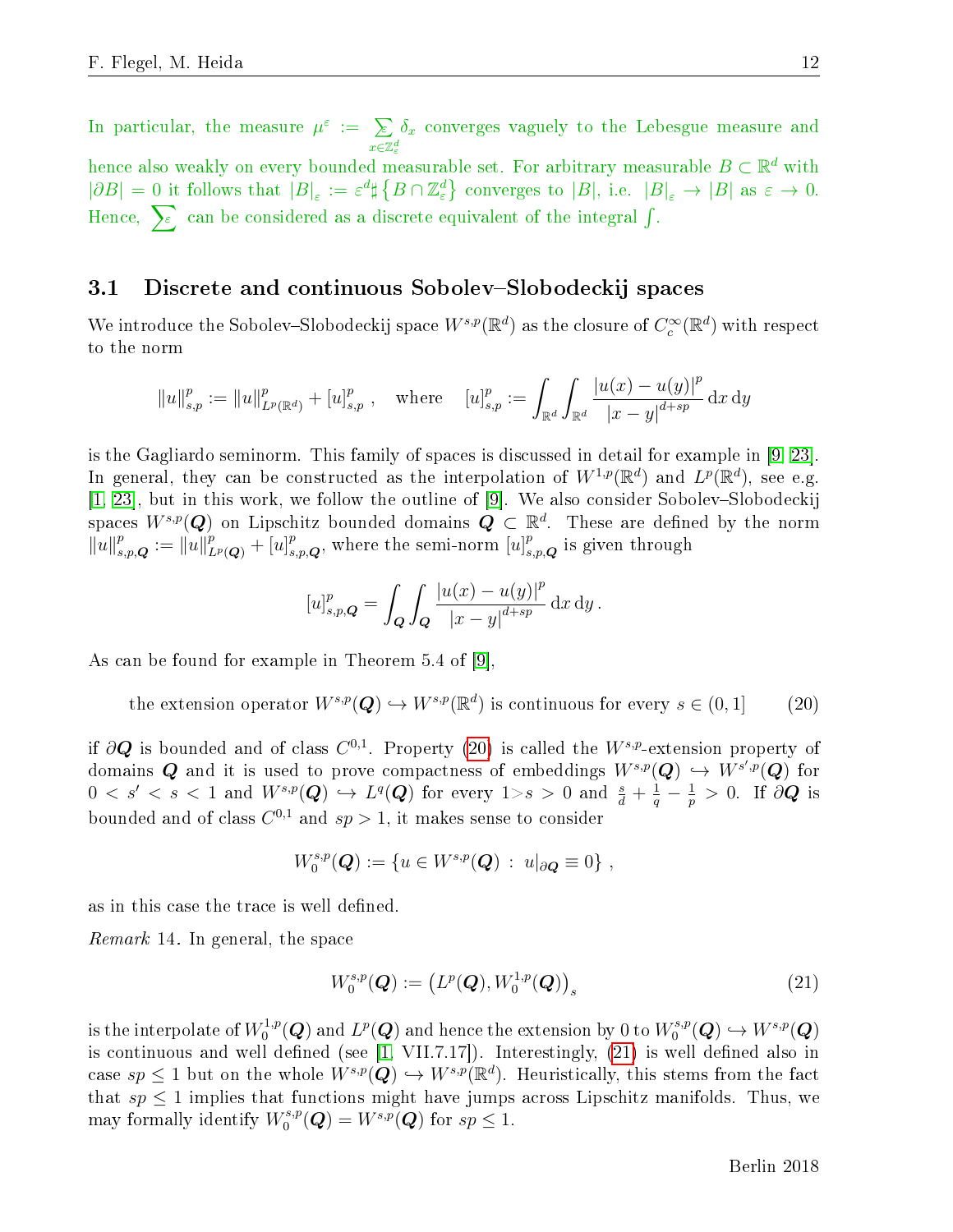In particular, the measure  $\mu^{\varepsilon} := \sum_{\alpha}$  $x \in \mathbb{Z}^d_\varepsilon$  $\delta_x$  converges vaguely to the Lebesgue measure and hence also weakly on every bounded measurable set. For arbitrary measurable  $B\subset \mathbb{R}^d$  with  $|\partial B| = 0$  it follows that  $|B|_{\varepsilon} := \varepsilon^d \sharp \{ B \cap \mathbb{Z}_{\varepsilon}^d \}$  converges to  $|B|$ , i.e.  $|B|_{\varepsilon} \to |B|$  as  $\varepsilon \to 0$ . Hence,  $\sum_{\varepsilon}$  can be considered as a discrete equivalent of the integral  $\int$ .

#### <span id="page-12-0"></span>3.1 Discrete and continuous Sobolev-Slobodeckij spaces

We introduce the Sobolev–Slobodeckij space  $W^{s,p}(\mathbb{R}^d)$  as the closure of  $C_c^\infty(\mathbb{R}^d)$  with respect to the norm

$$
||u||_{s,p}^p := ||u||_{L^p(\mathbb{R}^d)}^p + [u]_{s,p}^p
$$
, where  $[u]_{s,p}^p := \int_{\mathbb{R}^d} \int_{\mathbb{R}^d} \frac{|u(x) - u(y)|^p}{|x - y|^{d + sp}} dx dy$ 

is the Gagliardo seminorm. This family of spaces is discussed in detail for example in [\[9,](#page-41-4) [23\]](#page-42-0). In general, they can be constructed as the interpolation of  $W^{1,p}(\mathbb{R}^d)$  and  $L^p(\mathbb{R}^d)$ , see e.g.  $[1, 23]$  $[1, 23]$ , but in this work, we follow the outline of  $[9]$ . We also consider Sobolev-Slobodeckij spaces  $W^{s,p}(\boldsymbol{Q})$  on Lipschitz bounded domains  $\boldsymbol{Q} \, \subset \, \mathbb{R}^d$ . These are defined by the norm  $\|u\|_{s,p,\boldsymbol{Q}}^p := \|u\|_{L^p(\boldsymbol{Q})}^p + [u]_{s,p,\boldsymbol{Q}}^p$ , where the semi-norm  $[u]_{s,p,\boldsymbol{Q}}^p$  is given through

$$
[u]_{s,p,\mathbf{Q}}^p = \int_{\mathbf{Q}} \int_{\mathbf{Q}} \frac{|u(x) - u(y)|^p}{|x - y|^{d + sp}} \, \mathrm{d}x \, \mathrm{d}y \, .
$$

As can be found for example in Theorem 5.4 of [\[9\]](#page-41-4),

<span id="page-12-1"></span>the extension operator  $W^{s,p}(\mathbf{Q}) \hookrightarrow W^{s,p}(\mathbb{R}^d)$  is continuous for every  $s \in (0,1]$  (20)

if  $\partial\bm{Q}$  is bounded and of class  $C^{0,1}.$  Property [\(20\)](#page-12-1) is called the  $W^{s,p}$ -extension property of domains  $\bm{Q}$  and it is used to prove compactness of embeddings  $W^{s,p}(\bm{Q}) \, \hookrightarrow \, W^{s',p}(\bm{Q})$  for  $0 < s' < s < 1$  and  $W^{s,p}(\boldsymbol{Q}) \hookrightarrow L^q(\boldsymbol{Q})$  for every  $1 {\gt} s > 0$  and  $\frac{s}{d} + \frac{1}{q} - \frac{1}{p}$  $\frac{1}{p} > 0$ . If  $\partial \bm{Q}$  is bounded and of class  $C^{0,1}$  and  $sp > 1$ , it makes sense to consider

$$
W_0^{s,p}(\mathbf{Q}) := \{ u \in W^{s,p}(\mathbf{Q}) : u|_{\partial \mathbf{Q}} \equiv 0 \},
$$

as in this case the trace is well defined.

<span id="page-12-3"></span>Remark 14. In general, the space

<span id="page-12-2"></span>
$$
W_0^{s,p}(\boldsymbol{Q}) := \left( L^p(\boldsymbol{Q}), W_0^{1,p}(\boldsymbol{Q}) \right)_s \tag{21}
$$

is the interpolate of  $W_0^{1,p}$  $L^{1,p}(\boldsymbol{Q})$  and  $L^p(\boldsymbol{Q})$  and hence the extension by  $0$  to  $W^{s,p}_0$  $\iota_0^{s,p}(\bm{Q}) \hookrightarrow W^{s,p}(\bm{Q})$ is continuous and well defined (see  $[1, VIII.7.17]$  $[1, VIII.7.17]$ ). Interestingly,  $(21)$  is well defined also in case  $sp \leq 1$  but on the whole  $W^{s,p}(\mathbf{Q}) \hookrightarrow W^{s,p}(\mathbb{R}^d)$ . Heuristically, this stems from the fact that  $sp \leq 1$  implies that functions might have jumps across Lipschitz manifolds. Thus, we may formally identify  $W_0^{s,p}$  $U_0^{s,p}(\boldsymbol{Q}) = W^{s,p}(\boldsymbol{Q})$  for  $sp \leq 1$ .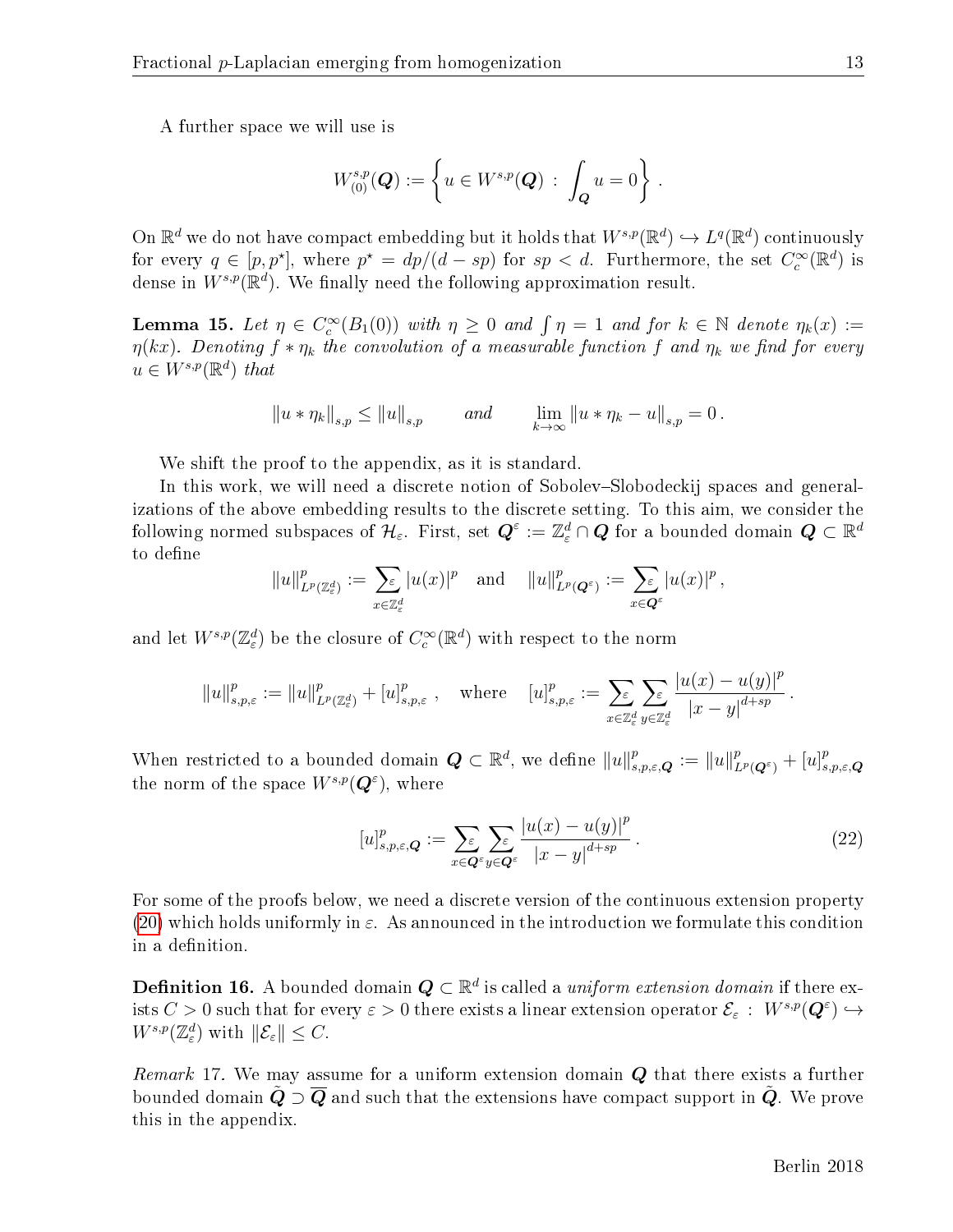A further space we will use is

$$
W^{s,p}_{(0)}(\mathbf{Q}) := \left\{ u \in W^{s,p}(\mathbf{Q}) \, : \, \int_{\mathbf{Q}} u = 0 \right\} \, .
$$

On  $\mathbb{R}^d$  we do not have compact embedding but it holds that  $W^{s,p}(\mathbb{R}^d) \hookrightarrow L^q(\mathbb{R}^d)$  continuously for every  $q \in [p, p^{\star}]$ , where  $p^{\star} = dp/(d - sp)$  for  $sp < d$ . Furthermore, the set  $C_c^{\infty}(\mathbb{R}^d)$  is dense in  $W^{s,p}(\mathbb{R}^d)$ . We finally need the following approximation result.

<span id="page-13-2"></span>**Lemma 15.** Let  $\eta \in C_c^{\infty}(B_1(0))$  with  $\eta \geq 0$  and  $\int \eta = 1$  and for  $k \in \mathbb{N}$  denote  $\eta_k(x) :=$  $\eta(kx)$ . Denoting  $f * \eta_k$  the convolution of a measurable function f and  $\eta_k$  we find for every  $u \in W^{s,p}(\mathbb{R}^d)$  that

$$
||u * \eta_k||_{s,p} \le ||u||_{s,p}
$$
 and  $\lim_{k \to \infty} ||u * \eta_k - u||_{s,p} = 0$ .

We shift the proof to the appendix, as it is standard.

In this work, we will need a discrete notion of Sobolev-Slobodeckij spaces and generalizations of the above embedding results to the discrete setting. To this aim, we consider the following normed subspaces of  $\mathcal{H}_\varepsilon$ . First, set  $\bm{Q}^\varepsilon:=\mathbb{Z}^d_\varepsilon\cap\bm{Q}$  for a bounded domain  $\bm{Q}\subset\mathbb{R}^d$ to define

$$
||u||_{L^p(\mathbb{Z}_{\varepsilon}^d)}^p := \sum_{x \in \mathbb{Z}_{\varepsilon}^d} |u(x)|^p \text{ and } ||u||_{L^p(\mathbf{Q}^{\varepsilon})}^p := \sum_{x \in \mathbf{Q}^{\varepsilon}} |u(x)|^p,
$$

and let  $W^{s,p}(\mathbb{Z}_{\varepsilon}^d)$  be the closure of  $C_c^{\infty}(\mathbb{R}^d)$  with respect to the norm

$$
||u||_{s,p,\varepsilon}^p := ||u||_{L^p(\mathbb{Z}_{\varepsilon}^d)}^p + [u]_{s,p,\varepsilon}^p, \quad \text{where} \quad [u]_{s,p,\varepsilon}^p := \sum_{x \in \mathbb{Z}_{\varepsilon}^d} \sum_{y \in \mathbb{Z}_{\varepsilon}^d} \frac{|u(x) - u(y)|^p}{|x - y|^{d + sp}}.
$$

When restricted to a bounded domain  $\mathbf{Q} \subset \mathbb{R}^d$ , we define  $||u||_{s,p,\varepsilon,\mathbf{Q}}^p := ||u||_{L^p(\mathbf{Q}^\varepsilon)}^p + [u]_s^p$  $_{s,p,\varepsilon,\boldsymbol{Q}}$ the norm of the space  $W^{s,p}(\mathbf{Q}^{\varepsilon})$ , where

<span id="page-13-1"></span>
$$
[u]_{s,p,\varepsilon,\mathbf{Q}}^p := \sum_{x \in \mathbf{Q}^\varepsilon} \sum_{y \in \mathbf{Q}^\varepsilon} \frac{|u(x) - u(y)|^p}{|x - y|^{d + sp}}.
$$
\n(22)

For some of the proofs below, we need a discrete version of the continuous extension property [\(20\)](#page-12-1) which holds uniformly in  $\varepsilon$ . As announced in the introduction we formulate this condition in a definition.

<span id="page-13-0"></span>**Definition 16.** A bounded domain  $\boldsymbol{Q} \subset \mathbb{R}^d$  is called a *uniform extension domain* if there exists  $C > 0$  such that for every  $\varepsilon > 0$  there exists a linear extension operator  $\mathcal{E}_{\varepsilon}$ :  $W^{s,p}(\mathbf{Q}^{\varepsilon}) \hookrightarrow$  $W^{s,p}(\mathbb{Z}_{\varepsilon}^d)$  with  $\|\mathcal{E}_{\varepsilon}\| \leq C$ .

<span id="page-13-3"></span>Remark 17. We may assume for a uniform extension domain  $Q$  that there exists a further bounded domain  $\tilde{Q} \supset \overline{Q}$  and such that the extensions have compact support in  $\tilde{Q}$ . We prove this in the appendix.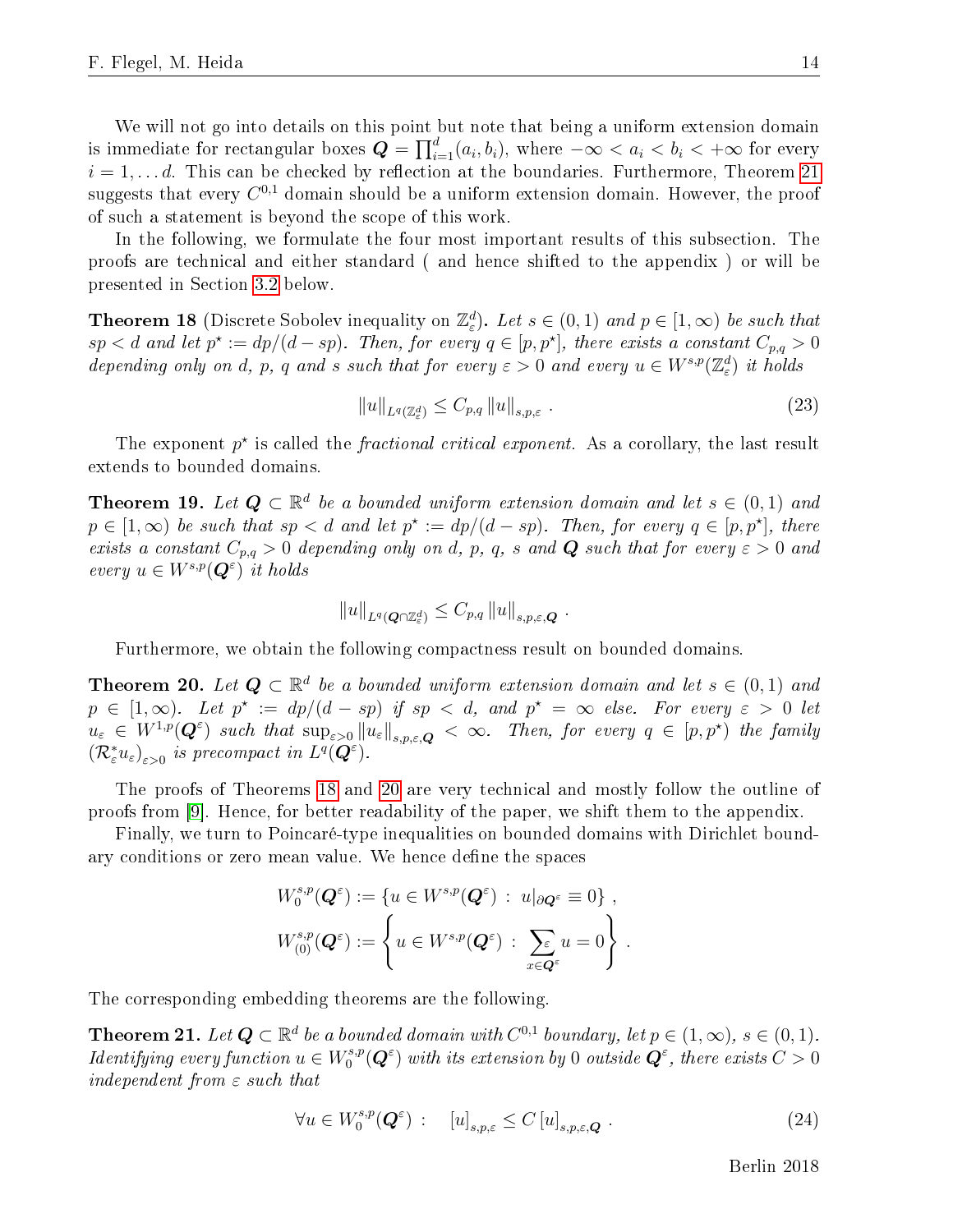We will not go into details on this point but note that being a uniform extension domain is immediate for rectangular boxes  $\bm{Q} = \prod_{i=1}^d (a_i, b_i),$  where  $-\infty < a_i < b_i < +\infty$  for every  $i = 1, \ldots d$ . This can be checked by reflection at the boundaries. Furthermore, Theorem [21](#page-14-1) suggests that every  $C^{0,1}$  domain should be a uniform extension domain. However, the proof of such a statement is beyond the scope of this work.

In the following, we formulate the four most important results of this subsection. The proofs are technical and either standard ( and hence shifted to the appendix ) or will be presented in Section [3.2](#page-15-0) below.

<span id="page-14-0"></span>**Theorem 18** (Discrete Sobolev inequality on  $\mathbb{Z}_{\varepsilon}^{d}$ ). Let  $s \in (0,1)$  and  $p \in [1,\infty)$  be such that  $sp < d$  and let  $p^* := dp/(d - sp)$ . Then, for every  $q \in [p, p^*]$ , there exists a constant  $C_{p,q} > 0$ depending only on d, p, q and s such that for every  $\varepsilon > 0$  and every  $u \in W^{s,p}(\mathbb{Z}_{\varepsilon}^d)$  it holds

<span id="page-14-4"></span>
$$
||u||_{L^{q}(\mathbb{Z}_{\varepsilon}^{d})} \leq C_{p,q} ||u||_{s,p,\varepsilon} .
$$
\n(23)

The exponent  $p^*$  is called the *fractional critical exponent*. As a corollary, the last result extends to bounded domains.

<span id="page-14-3"></span>**Theorem 19.** Let  $Q \subset \mathbb{R}^d$  be a bounded uniform extension domain and let  $s \in (0,1)$  and  $p \in [1,\infty)$  be such that  $sp < d$  and let  $p^* := dp/(d - sp)$ . Then, for every  $q \in [p,p^*]$ , there exists a constant  $C_{p,q} > 0$  depending only on d, p, q, s and **Q** such that for every  $\varepsilon > 0$  and every  $u \in W^{s,p}(\mathbf{Q}^{\varepsilon})$  it holds

$$
||u||_{L^q(Q\cap \mathbb{Z}_{\varepsilon}^d)} \leq C_{p,q} ||u||_{s,p,\varepsilon,\mathbf{Q}}.
$$

Furthermore, we obtain the following compactness result on bounded domains.

<span id="page-14-2"></span>**Theorem 20.** Let  $Q \subset \mathbb{R}^d$  be a bounded uniform extension domain and let  $s \in (0,1)$  and  $p \in [1,\infty)$ . Let  $p^* := dp/(d - sp)$  if  $sp < d$ , and  $p^* = \infty$  else. For every  $\varepsilon > 0$  let  $u_{\varepsilon} \in W^{1,p}(\mathbf{Q}^{\varepsilon})$  such that  $\sup_{\varepsilon>0}||u_{\varepsilon}||_{s,p,\varepsilon,\mathbf{Q}} < \infty$ . Then, for every  $q \in [p,p^{\star})$  the family  $(\mathcal{R}_{\varepsilon}^* u_{\varepsilon})_{\varepsilon>0}$  is precompact in  $L^q(\overline{\mathbf{Q}}^{\varepsilon})$ .

The proofs of Theorems [18](#page-14-0) and [20](#page-14-2) are very technical and mostly follow the outline of proofs from [\[9\]](#page-41-4). Hence, for better readability of the paper, we shift them to the appendix.

Finally, we turn to Poincaré-type inequalities on bounded domains with Dirichlet boundary conditions or zero mean value. We hence define the spaces

$$
W_0^{s,p}(\mathbf{Q}^{\varepsilon}) := \{ u \in W^{s,p}(\mathbf{Q}^{\varepsilon}) : u|_{\partial \mathbf{Q}^{\varepsilon}} \equiv 0 \},
$$
  

$$
W_{(0)}^{s,p}(\mathbf{Q}^{\varepsilon}) := \left\{ u \in W^{s,p}(\mathbf{Q}^{\varepsilon}) : \sum_{x \in \mathbf{Q}^{\varepsilon}} u = 0 \right\}.
$$

The corresponding embedding theorems are the following.

<span id="page-14-1"></span>**Theorem 21.** Let  $Q \subset \mathbb{R}^d$  be a bounded domain with  $C^{0,1}$  boundary, let  $p \in (1,\infty)$ ,  $s \in (0,1)$ . *Identifying every function*  $u \in W_0^{s,p}$  $\mathcal{O}_0^{s,p}(\boldsymbol{Q}^\varepsilon)$  with its extension by  $0$  outside  $\boldsymbol{Q}^\varepsilon,$  there exists  $C>0$ independent from  $\varepsilon$  such that

> $\forall u \in W_0^{s,p}$  $\mathcal{O}_0^{s,p}(\mathbf{Q}^{\varepsilon})$  :  $[u]_{s,p,\varepsilon} \leq C[u]_{s,p,\varepsilon,\mathbf{Q}}$ . (24)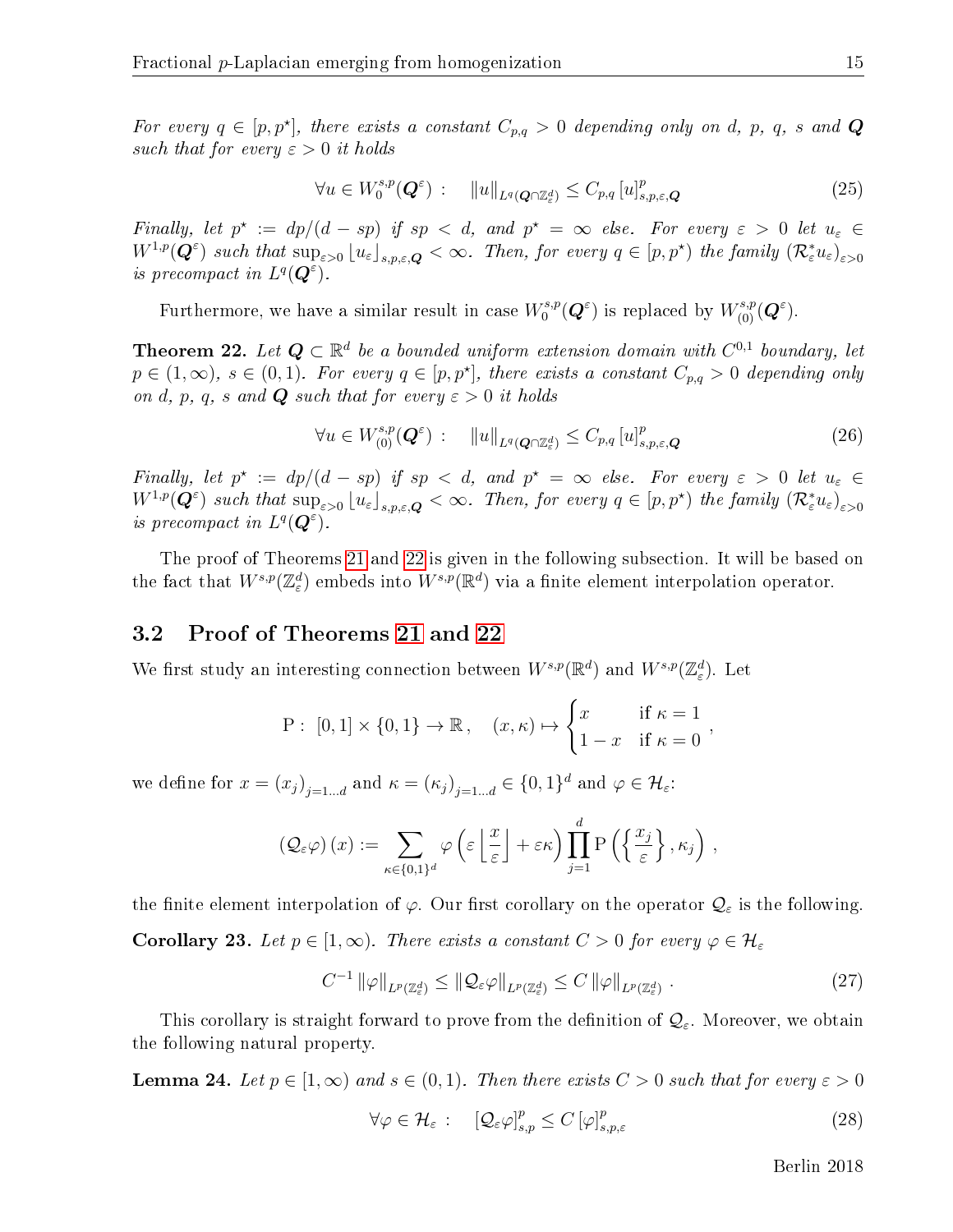For every  $q \in [p, p^{\star}]$ , there exists a constant  $C_{p,q} > 0$  depending only on d, p, q, s and Q such that for every  $\varepsilon > 0$  it holds

$$
\forall u \in W_0^{s,p}(\mathbf{Q}^{\varepsilon}) \, : \, \|u\|_{L^q(\mathbf{Q}\cap\mathbb{Z}_{\varepsilon}^d)} \leq C_{p,q} \, [u]_{s,p,\varepsilon,\mathbf{Q}}^p \tag{25}
$$

Finally, let  $p^* := dp/(d - sp)$  if  $sp < d$ , and  $p^* = \infty$  else. For every  $\varepsilon > 0$  let  $u_{\varepsilon} \in$  $W^{1,p}(\mathbf{Q}^{\varepsilon})$  such that  $\sup_{\varepsilon>0} |u_{\varepsilon}|_{s,p,\varepsilon,\mathbf{Q}} < \infty$ . Then, for every  $q \in [p,p^{\star})$  the family  $(\mathcal{R}_{\varepsilon}^{*}u_{\varepsilon})_{\varepsilon>0}$ is precompact in  $L^q(\mathbf{Q}^{\varepsilon})$ .

Furthermore, we have a similar result in case  $W_0^{s,p}$  $U_0^{s,p}(\mathbf{Q}^{\varepsilon})$  is replaced by  $W_{(0)}^{s,p}(\mathbf{Q}^{\varepsilon})$ .

<span id="page-15-1"></span>**Theorem 22.** Let  $Q \subset \mathbb{R}^d$  be a bounded uniform extension domain with  $C^{0,1}$  boundary, let  $p \in (1,\infty)$ ,  $s \in (0,1)$ . For every  $q \in [p,p^{\star}]$ , there exists a constant  $C_{p,q} > 0$  depending only on d, p, q, s and **Q** such that for every  $\varepsilon > 0$  it holds

<span id="page-15-5"></span>
$$
\forall u \in W^{s,p}_{(0)}(\mathbf{Q}^{\varepsilon}) : \quad \|u\|_{L^{q}(\mathbf{Q}\cap\mathbb{Z}_{\varepsilon}^{d})} \leq C_{p,q} \left[u\right]_{s,p,\varepsilon,\mathbf{Q}}^{p}
$$
\n(26)

Finally, let  $p^* := dp/(d - sp)$  if  $sp < d$ , and  $p^* = \infty$  else. For every  $\varepsilon > 0$  let  $u_{\varepsilon} \in$  $W^{1,p}(\mathbf{Q}^{\varepsilon})$  such that  $\sup_{\varepsilon>0} |u_{\varepsilon}|_{s,p,\varepsilon,\mathbf{Q}} < \infty$ . Then, for every  $q \in [p,p^{\star})$  the family  $(\mathcal{R}_{\varepsilon}^{*}u_{\varepsilon})_{\varepsilon>0}$ is precompact in  $L^q(\mathbf{Q}^{\varepsilon})$ .

The proof of Theorems [21](#page-14-1) and [22](#page-15-1) is given in the following subsection. It will be based on the fact that  $W^{s,p}(\mathbb{Z}_{\varepsilon}^d)$  embeds into  $W^{s,p}(\mathbb{R}^d)$  via a finite element interpolation operator.

### <span id="page-15-0"></span>3.2 Proof of Theorems [21](#page-14-1) and [22](#page-15-1)

We first study an interesting connection between  $W^{s,p}(\mathbb{R}^d)$  and  $W^{s,p}(\mathbb{Z}_{\varepsilon}^d)$ . Let

$$
P: [0,1] \times \{0,1\} \to \mathbb{R}, \quad (x,\kappa) \mapsto \begin{cases} x & \text{if } \kappa = 1 \\ 1 - x & \text{if } \kappa = 0 \end{cases},
$$

we define for  $x = (x_j)_{j=1...d}$  and  $\kappa = (\kappa_j)_{j=1...d} \in \{0,1\}^d$  and  $\varphi \in \mathcal{H}_{\varepsilon}$ :

$$
\left(\mathcal{Q}_{\varepsilon}\varphi\right)(x) := \sum_{\kappa \in \{0,1\}^d} \varphi\left(\varepsilon \left\lfloor \frac{x}{\varepsilon} \right\rfloor + \varepsilon \kappa\right) \prod_{j=1}^d \mathrm{P}\left(\left\{\frac{x_j}{\varepsilon}\right\}, \kappa_j\right),
$$

the finite element interpolation of  $\varphi$ . Our first corollary on the operator  $\mathcal{Q}_{\varepsilon}$  is the following. **Corollary 23.** Let  $p \in [1,\infty)$ . There exists a constant  $C > 0$  for every  $\varphi \in \mathcal{H}_{\varepsilon}$ 

<span id="page-15-3"></span>
$$
C^{-1} \|\varphi\|_{L^p(\mathbb{Z}_{\varepsilon}^d)} \le \|\mathcal{Q}_{\varepsilon}\varphi\|_{L^p(\mathbb{Z}_{\varepsilon}^d)} \le C \|\varphi\|_{L^p(\mathbb{Z}_{\varepsilon}^d)}.
$$
\n(27)

This corollary is straight forward to prove from the definition of  $\mathcal{Q}_{\varepsilon}$ . Moreover, we obtain the following natural property.

<span id="page-15-4"></span>**Lemma 24.** Let  $p \in [1,\infty)$  and  $s \in (0,1)$ . Then there exists  $C > 0$  such that for every  $\varepsilon > 0$ 

<span id="page-15-2"></span>
$$
\forall \varphi \in \mathcal{H}_{\varepsilon} : \quad \left[ \mathcal{Q}_{\varepsilon} \varphi \right]_{s,p}^{p} \leq C \left[ \varphi \right]_{s,p,\varepsilon}^{p} \tag{28}
$$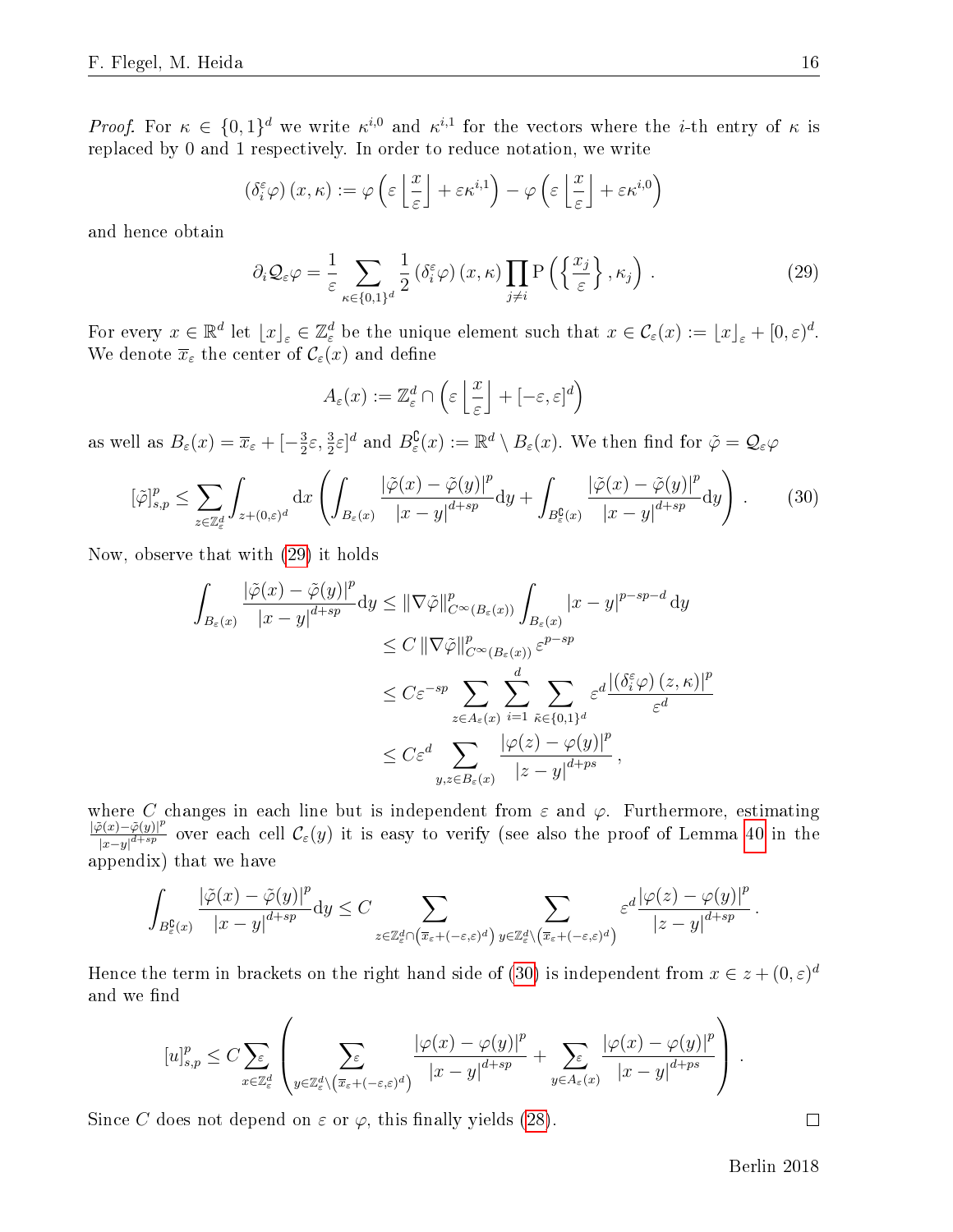*Proof.* For  $\kappa \in \{0,1\}^d$  we write  $\kappa^{i,0}$  and  $\kappa^{i,1}$  for the vectors where the *i*-th entry of  $\kappa$  is replaced by 0 and 1 respectively. In order to reduce notation, we write

$$
\left(\delta_i^{\varepsilon}\varphi\right)(x,\kappa):=\varphi\left(\varepsilon\left\lfloor\frac{x}{\varepsilon}\right\rfloor+\varepsilon\kappa^{i,1}\right)-\varphi\left(\varepsilon\left\lfloor\frac{x}{\varepsilon}\right\rfloor+\varepsilon\kappa^{i,0}\right)
$$

and hence obtain

<span id="page-16-0"></span>
$$
\partial_i \mathcal{Q}_{\varepsilon} \varphi = \frac{1}{\varepsilon} \sum_{\kappa \in \{0,1\}^d} \frac{1}{2} \left( \delta_i^{\varepsilon} \varphi \right) (x, \kappa) \prod_{j \neq i} \mathcal{P} \left( \left\{ \frac{x_j}{\varepsilon} \right\}, \kappa_j \right) . \tag{29}
$$

For every  $x \in \mathbb{R}^d$  let  $\lfloor x \rfloor_\varepsilon \in \mathbb{Z}_\varepsilon^d$  be the unique element such that  $x \in \mathcal{C}_\varepsilon(x) := \lfloor x \rfloor_\varepsilon + [0, \varepsilon)^d$ . We denote  $\overline{x}_{\varepsilon}$  the center of  $\mathcal{C}_{\varepsilon}(x)$  and define

$$
A_{\varepsilon}(x) := \mathbb{Z}_{\varepsilon}^{d} \cap \left( \varepsilon \left\lfloor \frac{x}{\varepsilon} \right\rfloor + [-\varepsilon, \varepsilon]^{d} \right)
$$

as well as  $B_{\varepsilon}(x) = \overline{x}_{\varepsilon} + \left[-\frac{3}{2}\right]$  $\frac{3}{2}\varepsilon$ ,  $\frac{3}{2}\varepsilon$ ]<sup>d</sup> and  $B_{\varepsilon}^{\complement}(x) := \mathbb{R}^d \setminus B_{\varepsilon}(x)$ . We then find for  $\tilde{\varphi} = \mathcal{Q}_{\varepsilon}\varphi$ 

<span id="page-16-1"></span>
$$
[\tilde{\varphi}]_{s,p}^p \le \sum_{z \in \mathbb{Z}_\varepsilon^d} \int_{z + (0,\varepsilon)^d} dx \left( \int_{B_\varepsilon(x)} \frac{|\tilde{\varphi}(x) - \tilde{\varphi}(y)|^p}{|x - y|^{d + sp}} dy + \int_{B_\varepsilon^{\complement}(x)} \frac{|\tilde{\varphi}(x) - \tilde{\varphi}(y)|^p}{|x - y|^{d + sp}} dy \right). \tag{30}
$$

Now, observe that with [\(29\)](#page-16-0) it holds

$$
\int_{B_{\varepsilon}(x)} \frac{|\tilde{\varphi}(x) - \tilde{\varphi}(y)|^p}{|x - y|^{d + sp}} dy \leq \|\nabla \tilde{\varphi}\|_{C^{\infty}(B_{\varepsilon}(x))}^p \int_{B_{\varepsilon}(x)} |x - y|^{p - sp - d} dy
$$
\n
$$
\leq C \|\nabla \tilde{\varphi}\|_{C^{\infty}(B_{\varepsilon}(x))}^p \varepsilon^{p - sp}
$$
\n
$$
\leq C \varepsilon^{-sp} \sum_{z \in A_{\varepsilon}(x)} \sum_{i = 1}^d \sum_{\tilde{\kappa} \in \{0, 1\}^d} \varepsilon^d \frac{|(\delta_i^{\varepsilon} \varphi)(z, \kappa)|^p}{\varepsilon^d}
$$
\n
$$
\leq C \varepsilon^d \sum_{y, z \in B_{\varepsilon}(x)} \frac{|\varphi(z) - \varphi(y)|^p}{|z - y|^{d + ps}},
$$

where C changes in each line but is independent from  $\varepsilon$  and  $\varphi$ . Furthermore, estimating  $|\tilde{\varphi}(x)-\tilde{\varphi}(y)|^p$  $\frac{\mathcal{P}(x)-\varphi(y)|^p}{|x-y|^{d+sp}}$  over each cell  $\mathcal{C}_{\varepsilon}(y)$  it is easy to verify (see also the proof of Lemma [40](#page-33-0) in the appendix) that we have

$$
\int_{B_\varepsilon^{\complement}(x)}\frac{|\tilde{\varphi}(x)-\tilde{\varphi}(y)|^p}{|x-y|^{d+sp}}\mathrm{d}y\leq C\sum_{z\in\mathbb{Z}_\varepsilon^d\cap\left(\overline{x}_\varepsilon+(-\varepsilon,\varepsilon)^d\right)}\sum_{y\in\mathbb{Z}_\varepsilon^d\backslash\left(\overline{x}_\varepsilon+(-\varepsilon,\varepsilon)^d\right)}\varepsilon^d\frac{|\varphi(z)-\varphi(y)|^p}{|z-y|^{d+sp}}\,.
$$

Hence the term in brackets on the right hand side of [\(30\)](#page-16-1) is independent from  $x \in z + (0, \varepsilon)^d$ and we find

$$
[u]_{s,p}^p \leq C \sum_{x \in \mathbb{Z}_{\varepsilon}^d} \left( \sum_{y \in \mathbb{Z}_{\varepsilon}^d \backslash \left(\overline{x}_{\varepsilon} + (-\varepsilon,\varepsilon)^d\right)} \frac{\left|\varphi(x) - \varphi(y)\right|^p}{\left|x - y\right|^{d + sp}} + \sum_{y \in A_{\varepsilon}(x)} \frac{\left|\varphi(x) - \varphi(y)\right|^p}{\left|x - y\right|^{d + ps}} \right).
$$

Since C does not depend on  $\varepsilon$  or  $\varphi$ , this finally yields [\(28\)](#page-15-2).

 $\Box$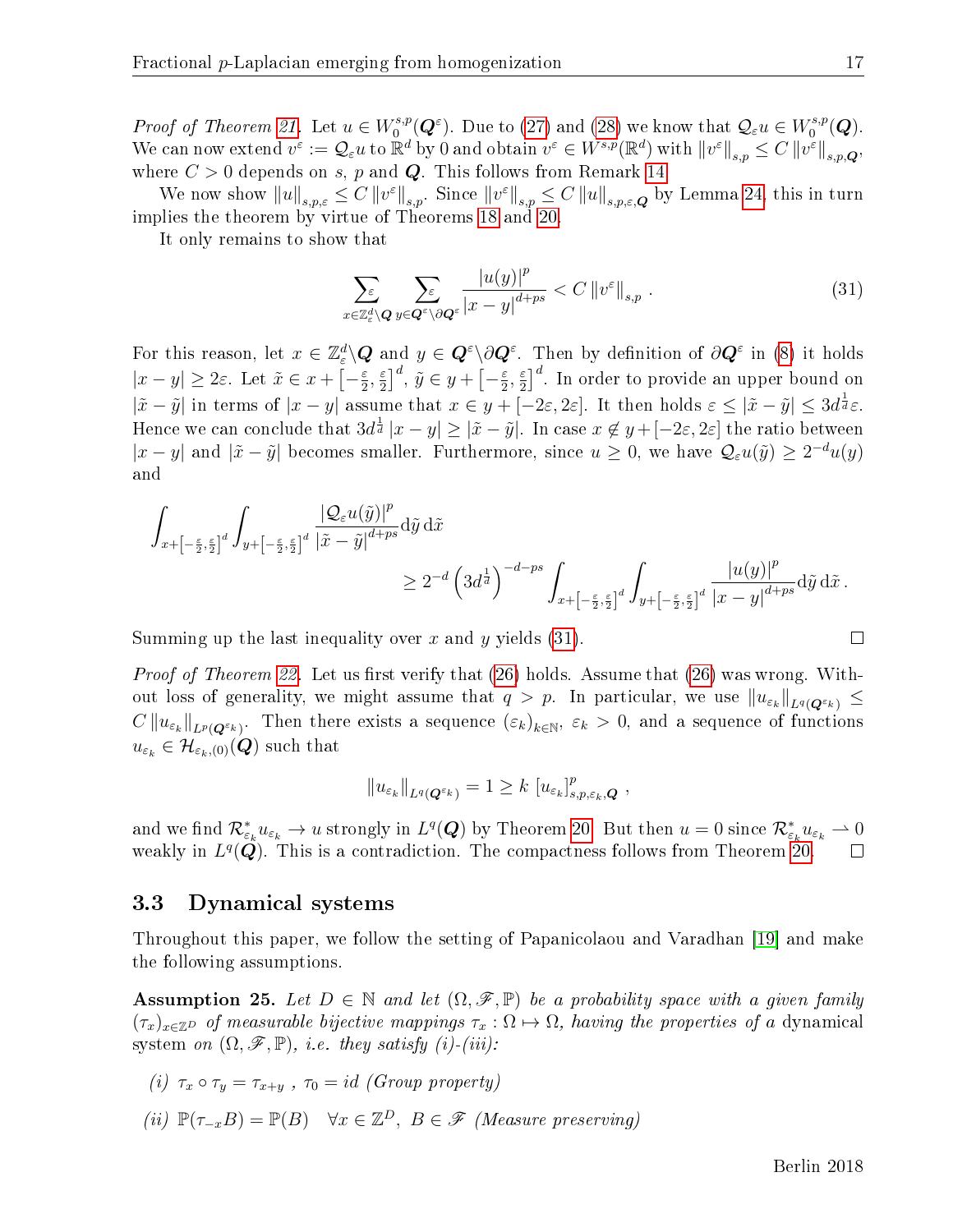*Proof of Theorem [21.](#page-14-1)* Let  $u \in W_0^{s,p}$  $\mathcal{O}_0^{s,p}(\boldsymbol{Q}^{\varepsilon})$ . Due to [\(27\)](#page-15-3) and [\(28\)](#page-15-2) we know that  $\mathcal{Q}_{\varepsilon}u \in W_0^{s,p}$  $\mathcal{O}^{s,p}(\boldsymbol{Q}).$ We can now extend  $v^{\varepsilon} := \mathcal{Q}_{\varepsilon} u$  to  $\mathbb{R}^d$  by 0 and obtain  $v^{\varepsilon} \in W^{s,p}(\mathbb{R}^d)$  with  $||v^{\varepsilon}||_{s,p} \leq C ||v^{\varepsilon}||_{s,p,Q}$ , where  $C > 0$  depends on s, p and Q. This follows from Remark [14.](#page-12-3)

We now show  $||u||_{s,p,\varepsilon} \leq C ||v^{\varepsilon}||_{s,p}$ . Since  $||v^{\varepsilon}||_{s,p} \leq C ||u||_{s,p,\varepsilon,\mathbf{Q}}$  by Lemma [24,](#page-15-4) this in turn implies the theorem by virtue of Theorems [18](#page-14-0) and [20.](#page-14-2)

It only remains to show that

<span id="page-17-0"></span>
$$
\sum_{x \in \mathbb{Z}_\varepsilon^d \setminus \mathbf{Q}} \sum_{y \in \mathbf{Q}^\varepsilon \setminus \partial \mathbf{Q}^\varepsilon} \frac{|u(y)|^p}{|x - y|^{d + ps}} < C \left\| v^\varepsilon \right\|_{s, p} . \tag{31}
$$

,

For this reason, let  $x \in \mathbb{Z}_{\varepsilon}^d \backslash \mathbf{Q}$  and  $y \in \mathbf{Q}^{\varepsilon} \backslash \partial \mathbf{Q}^{\varepsilon}$ . Then by definition of  $\partial \mathbf{Q}^{\varepsilon}$  in [\(8\)](#page-4-2) it holds  $|x-y| \geq 2\varepsilon$ . Let  $\tilde{x} \in x + \lceil -\frac{\varepsilon}{2} \rceil$  $\frac{\varepsilon}{2}, \frac{\varepsilon}{2}$  $(\frac{\varepsilon}{2})^d$ ,  $\tilde{y} \in y + \left[-\frac{\varepsilon}{2}\right]$  $\frac{\varepsilon}{2}, \frac{\varepsilon}{2}$  $\frac{\varepsilon}{2}$ <sup>d</sup>. In order to provide an upper bound on  $|\tilde{x}-\tilde{y}|$  in terms of  $|x-y|$  assume that  $x \in y + [-2\varepsilon, 2\varepsilon]$ . It then holds  $\varepsilon \leq |\tilde{x}-\tilde{y}| \leq 3d^{\frac{1}{d}}\varepsilon$ . Hence we can conclude that  $3d^{\frac{1}{d}}|x-y|\geq |\tilde{x}-\tilde{y}|.$  In case  $x\not\in y+[-2\varepsilon,2\varepsilon]$  the ratio between  $|x-y|$  and  $|\tilde{x}-\tilde{y}|$  becomes smaller. Furthermore, since  $u \geq 0$ , we have  $\mathcal{Q}_{\varepsilon}u(\tilde{y}) \geq 2^{-d}u(y)$ and

$$
\begin{aligned} \int_{x+\left[-\frac{\varepsilon}{2},\frac{\varepsilon}{2}\right]^d}\int_{y+\left[-\frac{\varepsilon}{2},\frac{\varepsilon}{2}\right]^d}\frac{|\mathcal{Q}_\varepsilon u(\tilde{y})|^p}{|\tilde{x}-\tilde{y}|^{d+ps}}\mathrm{d}\tilde{y}\,\mathrm{d}\tilde{x} \\ &\geq 2^{-d}\left(3d^{\frac{1}{d}}\right)^{-d-ps}\int_{x+\left[-\frac{\varepsilon}{2},\frac{\varepsilon}{2}\right]^d}\int_{y+\left[-\frac{\varepsilon}{2},\frac{\varepsilon}{2}\right]^d}\frac{|u(y)|^p}{|x-y|^{d+ps}}\mathrm{d}\tilde{y}\,\mathrm{d}\tilde{x}\,. \end{aligned}
$$

Summing up the last inequality over x and y yields  $(31)$ .

*Proof of Theorem [22.](#page-15-1)* Let us first verify that  $(26)$  holds. Assume that  $(26)$  was wrong. Without loss of generality, we might assume that  $q > p$ . In particular, we use  $||u_{\varepsilon_k}||_{L^q(Q^{\varepsilon_k})} \leq$  $C\|u_{\varepsilon_k}\|_{L^p(Q^{\varepsilon_k})}$ . Then there exists a sequence  $(\varepsilon_k)_{k\in\mathbb{N}},\ \varepsilon_k>0,$  and a sequence of functions  $u_{\varepsilon_k} \in \mathcal{H}_{\varepsilon_k,(0)}(Q)$  such that

$$
||u_{\varepsilon_k}||_{L^q(Q^{\varepsilon_k})}=1\geq k |[u_{\varepsilon_k}]_{s,p,\varepsilon_k,Q}^p
$$

and we find  $\mathcal{R}^*_{\varepsilon_k}u_{\varepsilon_k}\to u$  strongly in  $L^q(\bm{Q})$  by Theorem [20.](#page-14-2) But then  $u=0$  since  $\mathcal{R}^*_{\varepsilon_k}u_{\varepsilon_k}\to 0$ weakly in  $L^q(\mathbf{Q})$ . This is a contradiction. The compactness follows from Theorem [20.](#page-14-2)  $\Box$ 

#### 3.3 Dynamical systems

Throughout this paper, we follow the setting of Papanicolaou and Varadhan [\[19\]](#page-41-12) and make the following assumptions.

**Assumption 25.** Let  $D \in \mathbb{N}$  and let  $(\Omega, \mathscr{F}, \mathbb{P})$  be a probability space with a given family  $(\tau_x)_{x\in\mathbb{Z}^D}$  of measurable bijective mappings  $\tau_x:\Omega\mapsto\Omega$ , having the properties of a dynamical system on  $(\Omega, \mathscr{F}, \mathbb{P})$ , *i.e.* they satisfy (i)-(iii):

(i) 
$$
\tau_x \circ \tau_y = \tau_{x+y}
$$
,  $\tau_0 = id$  (Group property)

(ii)  $\mathbb{P}(\tau_{-x}B) = \mathbb{P}(B) \quad \forall x \in \mathbb{Z}^D, B \in \mathscr{F}$  (Measure preserving)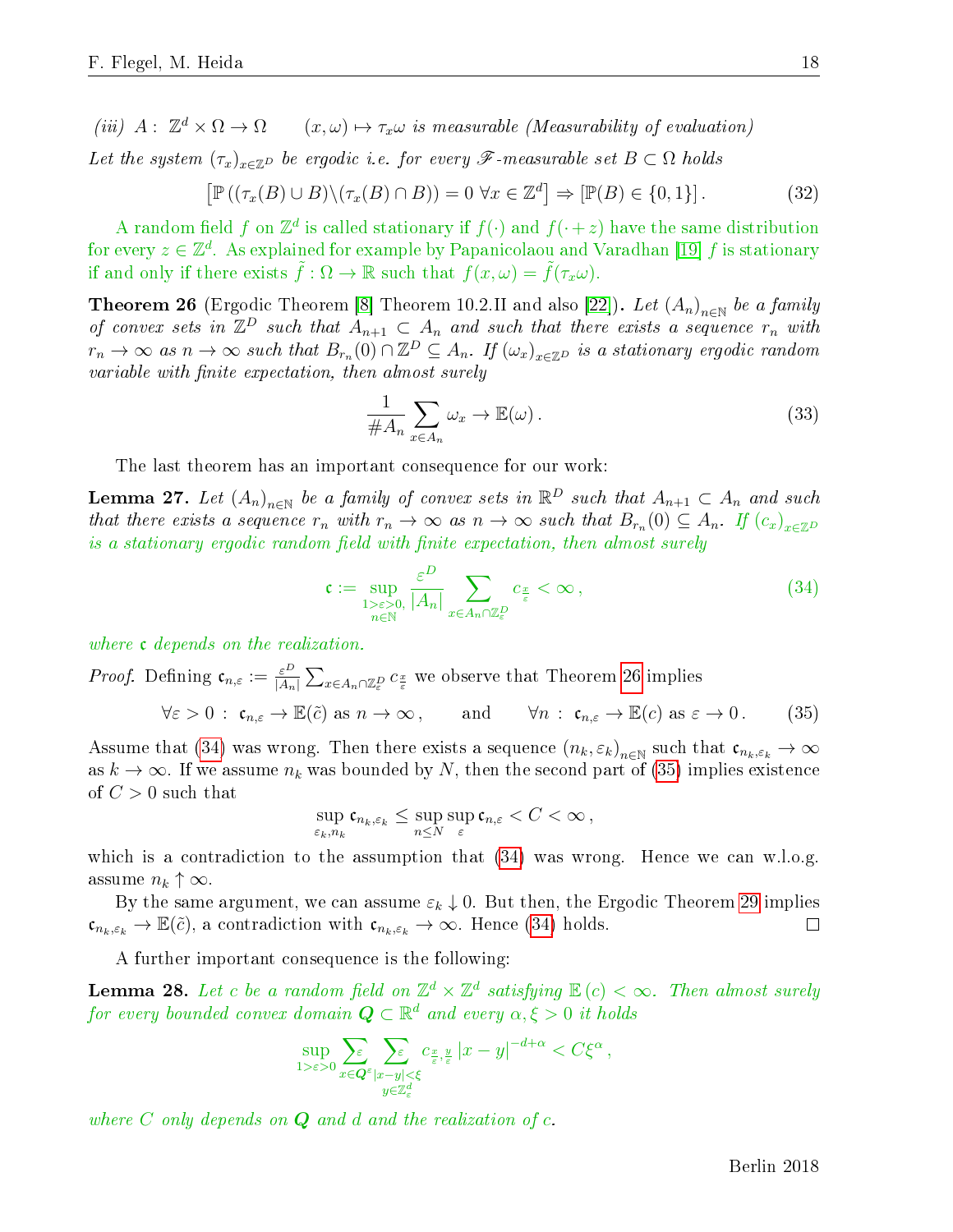(iii)  $A: \mathbb{Z}^d \times \Omega \rightarrow \Omega$  $(x, \omega) \mapsto \tau_x \omega$  is measurable (Measurability of evaluation) Let the system  $(\tau_x)_{x\in\mathbb{Z}^D}$  be ergodic i.e. for every  $\mathscr{F}$ -measurable set  $B\subset\Omega$  holds

$$
\left[\mathbb{P}\left((\tau_x(B)\cup B)\setminus(\tau_x(B)\cap B)\right)=0\,\,\forall x\in\mathbb{Z}^d\right]\Rightarrow\left[\mathbb{P}(B)\in\{0,1\}\right].\tag{32}
$$

A random field f on  $\mathbb{Z}^d$  is called stationary if  $f(\cdot)$  and  $f(\cdot+z)$  have the same distribution for every  $z \in \mathbb{Z}^d$ . As explained for example by Papanicolaou and Varadhan [\[19\]](#page-41-12) f is stationary if and only if there exists  $\tilde{f}: \Omega \to \mathbb{R}$  such that  $f(x,\omega) = \tilde{f}(\tau_x \omega)$ .

<span id="page-18-0"></span>**Theorem 26** (Ergodic Theorem [\[8\]](#page-41-13) Theorem 10.2.II and also [\[22\]](#page-41-14)). Let  $(A_n)_{n\in\mathbb{N}}$  be a family of convex sets in  $\mathbb{Z}^D$  such that  $A_{n+1} \subset A_n$  and such that there exists a sequence  $r_n$  with  $r_n \to \infty$  as  $n \to \infty$  such that  $B_{r_n}(0) \cap \mathbb{Z}^D \subseteq A_n$ . If  $(\omega_x)_{x \in \mathbb{Z}^D}$  is a stationary ergodic random  $variable with finite expectation, then almost surely$ 

<span id="page-18-4"></span>
$$
\frac{1}{\#A_n} \sum_{x \in A_n} \omega_x \to \mathbb{E}(\omega).
$$
 (33)

The last theorem has an important consequence for our work:

<span id="page-18-3"></span>**Lemma 27.** Let  $(A_n)_{n\in\mathbb{N}}$  be a family of convex sets in  $\mathbb{R}^D$  such that  $A_{n+1} \subset A_n$  and such that there exists a sequence  $r_n$  with  $r_n \to \infty$  as  $n \to \infty$  such that  $B_{r_n}(0) \subseteq A_n$ . If  $(c_x)_{x \in \mathbb{Z}^D}$ is a stationary ergodic random field with finite expectation, then almost surely

<span id="page-18-1"></span>
$$
\mathfrak{c} := \sup_{\substack{1 > \varepsilon > 0, \\ n \in \mathbb{N}}} \frac{\varepsilon^D}{|A_n|} \sum_{x \in A_n \cap \mathbb{Z}_\varepsilon^D} c_{\frac{x}{\varepsilon}} < \infty \,, \tag{34}
$$

where **c** depends on the realization.

*Proof.* Defining  $\mathfrak{c}_{n,\varepsilon} := \frac{\varepsilon^D}{|A_n|} \sum_{x \in A_n} \cap \mathbb{Z}_{\varepsilon}^p c_{\frac{x}{\varepsilon}}$  we observe that Theorem [26](#page-18-0) implies

<span id="page-18-2"></span>
$$
\forall \varepsilon > 0 : \mathfrak{c}_{n,\varepsilon} \to \mathbb{E}(\tilde{c}) \text{ as } n \to \infty, \quad \text{and} \quad \forall n : \mathfrak{c}_{n,\varepsilon} \to \mathbb{E}(c) \text{ as } \varepsilon \to 0. \quad (35)
$$

Assume that [\(34\)](#page-18-1) was wrong. Then there exists a sequence  $(n_k, \varepsilon_k)_{n\in\mathbb{N}}$  such that  $\mathfrak{c}_{n_k, \varepsilon_k}\to\infty$ as  $k \to \infty$ . If we assume  $n_k$  was bounded by N, then the second part of [\(35\)](#page-18-2) implies existence of  $C > 0$  such that

$$
\sup_{\varepsilon_k, n_k} \mathfrak{c}_{n_k, \varepsilon_k} \leq \sup_{n \leq N} \sup_{\varepsilon} \mathfrak{c}_{n, \varepsilon} < C < \infty,
$$

which is a contradiction to the assumption that  $(34)$  was wrong. Hence we can w.l.o.g. assume  $n_k \uparrow \infty$ .

By the same argument, we can assume  $\varepsilon_k \downarrow 0$ . But then, the Ergodic Theorem [29](#page-19-0) implies  $\mathfrak{c}_{n_k,\varepsilon_k} \to \mathbb{E}(\tilde{c})$ , a contradiction with  $\mathfrak{c}_{n_k,\varepsilon_k} \to \infty$ . Hence [\(34\)](#page-18-1) holds.  $\Box$ 

A further important consequence is the following:

<span id="page-18-5"></span>**Lemma 28.** Let c be a random field on  $\mathbb{Z}^d \times \mathbb{Z}^d$  satisfying  $\mathbb{E}(c) < \infty$ . Then almost surely for every bounded convex domain  $\boldsymbol{Q} \subset \mathbb{R}^d$  and every  $\alpha, \xi > 0$  it holds

$$
\sup_{1>\varepsilon>0} \sum_{x\in\mathbf{Q}^\varepsilon} \sum_{\substack{x-y|\leq \xi \\ y\in\mathbb{Z}_\varepsilon^d}} c_{\frac{x}{\varepsilon},\frac{y}{\varepsilon}} |x-y|^{-d+\alpha} < C \xi^\alpha,
$$

where C only depends on  $Q$  and d and the realization of c.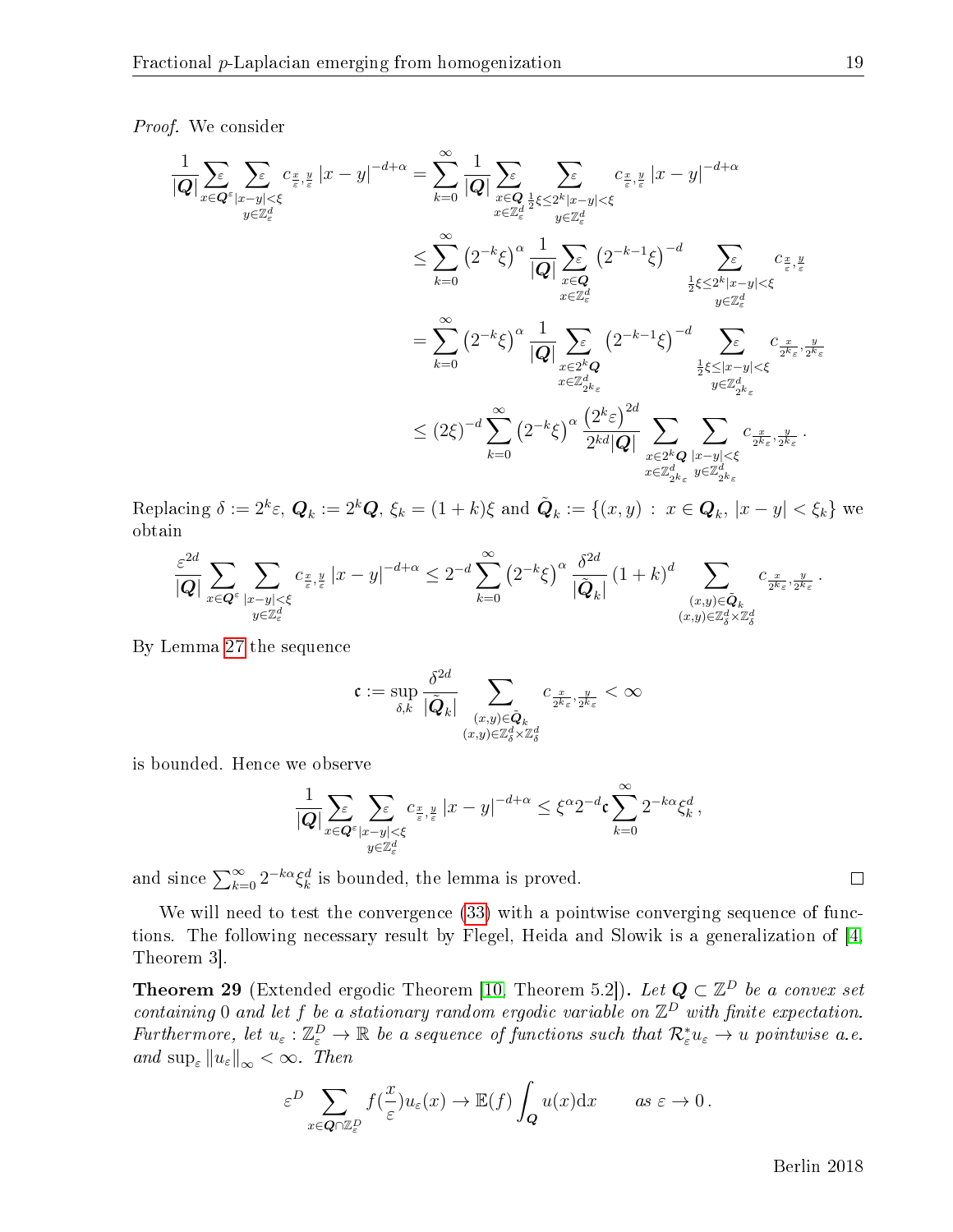#### Proof. We consider

$$
\begin{aligned}\n&\frac{1}{|\mathbf{Q}|}\sum_{x\in\mathbf{Q}^{\varepsilon}}\sum_{|x-y|<\xi}c_{\frac{x}{\varepsilon},\frac{y}{\varepsilon}}|x-y|^{-d+\alpha} = \sum_{k=0}^{\infty}\frac{1}{|\mathbf{Q}|}\sum_{\substack{x\in\mathbf{Q}\\x\in\mathbb{Z}_2^d}}\sum_{\substack{y\in\mathbb{Z}_2^d\\y\in\mathbb{Z}_\varepsilon^d}}\sum_{\substack{y\in\mathbb{Z}_2^d\\y\in\mathbb{Z}_\varepsilon^d}}c_{\frac{x}{\varepsilon},\frac{y}{\varepsilon}}|x-y|^{-d+\alpha} \\
&\leq \sum_{k=0}^{\infty}\left(2^{-k}\xi\right)^{\alpha}\frac{1}{|\mathbf{Q}|}\sum_{\substack{x\in\mathbf{Q}\\x\in\mathbb{Z}_\varepsilon^d}}\left(2^{-k-1}\xi\right)^{-d}\sum_{\substack{y\in\mathbb{Z}_\varepsilon^d\\y\in\mathbb{Z}_\varepsilon^d}}c_{\frac{x}{\varepsilon},\frac{y}{\varepsilon}}\\&\leq \sum_{k=0}^{\infty}\left(2^{-k}\xi\right)^{\alpha}\frac{1}{|\mathbf{Q}|}\sum_{\substack{x\in\mathbb{Z}^k\\x\in\mathbb{Z}_\varepsilon^d}}\left(2^{-k-1}\xi\right)^{-d}\sum_{\substack{z\in\mathbb{Z}^d\\y\in\mathbb{Z}_\varepsilon^d\\y\in\mathbb{Z}_\varepsilon^d}}c_{\frac{x}{2^k\varepsilon},\frac{y}{2^k\varepsilon}}\\&\leq \left(2\xi\right)^{-d}\sum_{k=0}^{\infty}\left(2^{-k}\xi\right)^{\alpha}\frac{\left(2^{k}\varepsilon\right)^{2d}}{2^{kd}|\mathbf{Q}|}\sum_{\substack{x\in\mathbb{Z}^k\\x\in\mathbb{Z}_\varepsilon^d}}\sum_{\substack{y\in\mathbb{Z}_\varepsilon^d\\y\in\mathbb{Z}_\varepsilon^d}}c_{\frac{x}{2^k\varepsilon},\frac{y}{2^k\varepsilon}}. \end{aligned}
$$

Replacing  $\delta := 2^k \varepsilon$ ,  $\mathbf{Q}_k := 2^k \mathbf{Q}$ ,  $\xi_k = (1+k)\xi$  and  $\tilde{\mathbf{Q}}_k := \{(x,y) \, : \, x \in \mathbf{Q}_k, |x-y| < \xi_k \}$  we obtain

$$
\frac{\varepsilon^{2d}}{|Q|} \sum_{x \in Q^\varepsilon} \sum_{\substack{|x-y| < \xi \\ y \in \mathbb{Z}_\varepsilon^d}} c_{\frac{x}{\varepsilon},\frac{y}{\varepsilon}} |x-y|^{-d+\alpha} \leq 2^{-d} \sum_{k=0}^\infty \left(2^{-k}\xi\right)^\alpha \frac{\delta^{2d}}{|\tilde{Q}_k|} \left(1+k\right)^d \sum_{\substack{(x,y) \in \tilde{Q}_k \\ (x,y) \in \mathbb{Z}_\delta^d \times \mathbb{Z}_\delta^d}} c_{\frac{x}{2^k\varepsilon},\frac{y}{2^k\varepsilon}}.
$$

By Lemma [27](#page-18-3) the sequence

$$
\mathfrak{c}:=\sup_{\delta,k} \frac{\delta^{2d}}{|\tilde{\boldsymbol{Q}}_k|}\sum_{\substack{(x,y)\in \tilde{\boldsymbol{Q}}_k\\(x,y)\in \mathbb{Z}_\delta^d\times \mathbb{Z}_\delta^d}}c_{\frac{x}{2^k\varepsilon},\frac{y}{2^k\varepsilon}}<\infty
$$

is bounded. Hence we observe

$$
\frac{1}{|Q|} \sum_{x \in Q^{\varepsilon}} \sum_{\substack{|x-y| < \xi \\ y \in \mathbb{Z}_{\varepsilon}^d}} c_{\frac{x}{\varepsilon},\frac{y}{\varepsilon}} |x-y|^{-d+\alpha} \leq \xi^{\alpha} 2^{-d} \mathfrak{c} \sum_{k=0}^{\infty} 2^{-k\alpha} \xi_k^d,
$$

and since  $\sum_{k=0}^{\infty} 2^{-k\alpha} \xi_k^d$  is bounded, the lemma is proved.

We will need to test the convergence  $(33)$  with a pointwise converging sequence of functions. The following necessary result by Flegel, Heida and Slowik is a generalization of [\[4,](#page-40-6) Theorem 3].

<span id="page-19-0"></span>**Theorem 29** (Extended ergodic Theorem [\[10,](#page-41-0) Theorem 5.2]). Let  $Q \subset \mathbb{Z}^D$  be a convex set containing 0 and let f be a stationary random ergodic variable on  $\mathbb{Z}^D$  with finite expectation. Furthermore, let  $u_{\varepsilon} : \mathbb{Z}_{\varepsilon}^D \to \mathbb{R}$  be a sequence of functions such that  $\mathcal{R}_{\varepsilon}^* u_{\varepsilon} \to u$  pointwise a.e. and  $\sup_{\varepsilon} ||u_{\varepsilon}||_{\infty} < \infty$ . Then

$$
\varepsilon^D \sum_{x \in \mathbf{Q} \cap \mathbb{Z}_{\varepsilon}^D} f(\frac{x}{\varepsilon}) u_{\varepsilon}(x) \to \mathbb{E}(f) \int_{\mathbf{Q}} u(x) dx \quad \text{as } \varepsilon \to 0.
$$

Berlin 2018

 $\Box$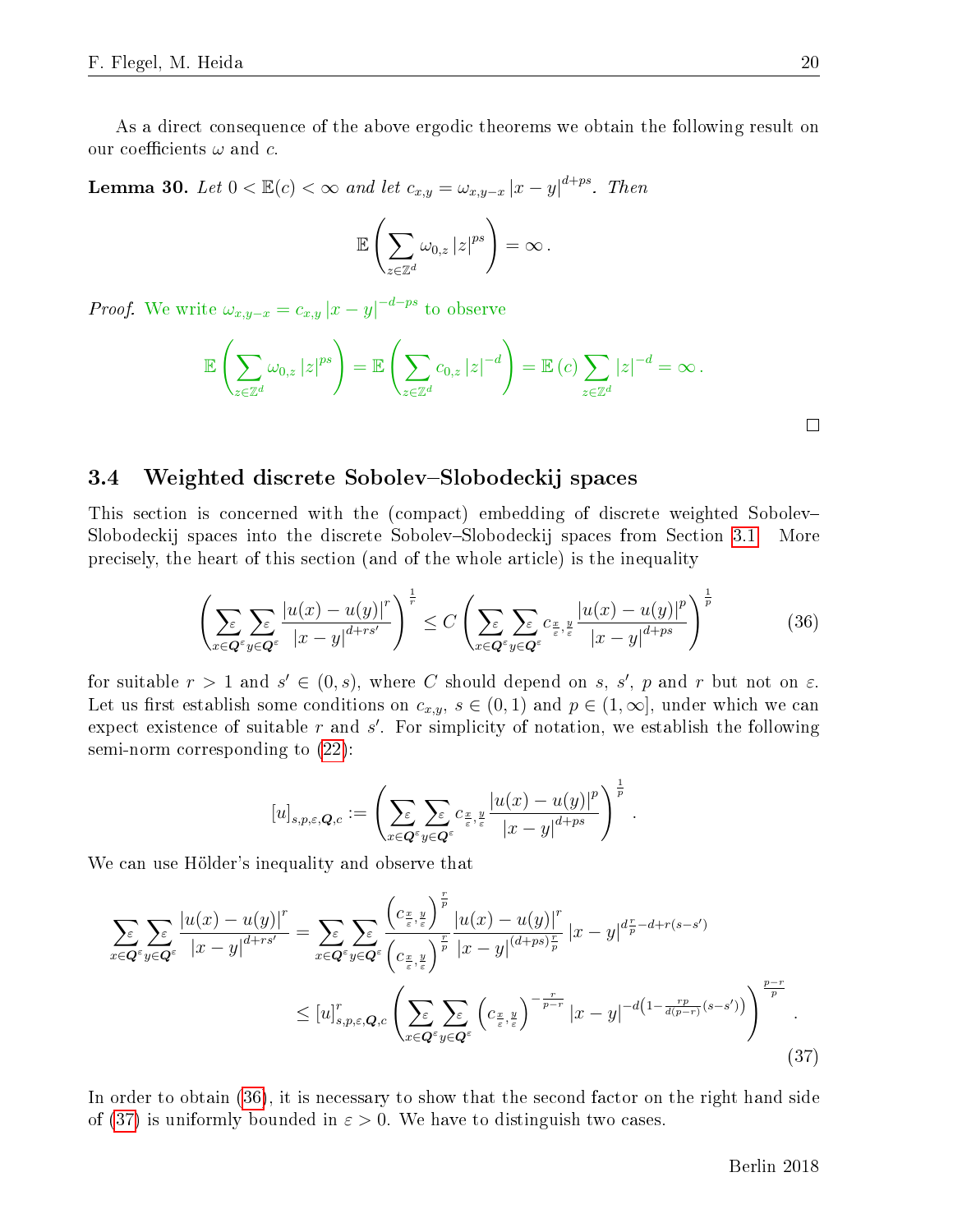As a direct consequence of the above ergodic theorems we obtain the following result on our coefficients  $\omega$  and c.

<span id="page-20-0"></span>**Lemma 30.** Let  $0 < \mathbb{E}(c) < \infty$  and let  $c_{x,y} = \omega_{x,y-x} |x-y|^{d+ps}$ . Then

$$
\mathbb{E}\left(\sum_{z\in\mathbb{Z}^d}\omega_{0,z}\left|z\right|^{ps}\right)=\infty.
$$

*Proof.* We write  $\omega_{x,y-x} = c_{x,y} |x-y|^{-d-ps}$  to observe

$$
\mathbb{E}\left(\sum_{z\in\mathbb{Z}^d}\omega_{0,z}\left|z\right|^{ps}\right)=\mathbb{E}\left(\sum_{z\in\mathbb{Z}^d}c_{0,z}\left|z\right|^{-d}\right)=\mathbb{E}\left(c\right)\sum_{z\in\mathbb{Z}^d}\left|z\right|^{-d}=\infty.
$$

#### $\Box$

### <span id="page-20-1"></span>3.4 Weighted discrete Sobolev–Slobodeckij spaces

This section is concerned with the (compact) embedding of discrete weighted Sobolev Slobodeckij spaces into the discrete Sobolev–Slobodeckij spaces from Section [3.1.](#page-12-0) More precisely, the heart of this section (and of the whole article) is the inequality

<span id="page-20-2"></span>
$$
\left(\sum_{x \in \mathbf{Q}^{\varepsilon}} \sum_{y \in \mathbf{Q}^{\varepsilon}} \frac{|u(x) - u(y)|^r}{|x - y|^{d + rs'}}\right)^{\frac{1}{r}} \le C \left(\sum_{x \in \mathbf{Q}^{\varepsilon}} \sum_{y \in \mathbf{Q}^{\varepsilon}} c_{\frac{x}{\varepsilon}, \frac{y}{\varepsilon}} \frac{|u(x) - u(y)|^p}{|x - y|^{d + ps}}\right)^{\frac{1}{p}} \tag{36}
$$

for suitable  $r > 1$  and  $s' \in (0, s)$ , where C should depend on s, s', p and r but not on  $\varepsilon$ . Let us first establish some conditions on  $c_{x,y}$ ,  $s \in (0,1)$  and  $p \in (1,\infty]$ , under which we can expect existence of suitable  $r$  and  $s'$ . For simplicity of notation, we establish the following semi-norm corresponding to [\(22\)](#page-13-1):

<span id="page-20-3"></span>
$$
[u]_{s,p,\varepsilon,\boldsymbol{Q},c} := \left( \sum_{x \in \boldsymbol{Q}^{\varepsilon}} \sum_{y \in \boldsymbol{Q}^{\varepsilon}} c_{\frac{x}{\varepsilon},\frac{y}{\varepsilon}} \frac{|u(x)-u(y)|^p}{|x-y|^{d+ps}} \right)^{\frac{1}{p}}.
$$

We can use Hölder's inequality and observe that

$$
\sum_{x \in Q^{\varepsilon}} \sum_{y \in Q^{\varepsilon}} \frac{|u(x) - u(y)|^r}{|x - y|^{d + rs'}} = \sum_{x \in Q^{\varepsilon}} \sum_{y \in Q^{\varepsilon}} \frac{\left(c_{\frac{x}{\varepsilon}, \frac{y}{\varepsilon}}\right)^{\frac{r}{p}} |u(x) - u(y)|^r}{\left(c_{\frac{x}{\varepsilon}, \frac{y}{\varepsilon}}\right)^{\frac{r}{p}} |x - y|^{(d + ps)\frac{r}{p}}} |x - y|^{d_{\frac{r}{p}} - d + r(s - s')}
$$
\n
$$
\leq [u]_{s, p, \varepsilon, Q, c}^r \left(\sum_{x \in Q^{\varepsilon}} \sum_{y \in Q^{\varepsilon}} \left(c_{\frac{x}{\varepsilon}, \frac{y}{\varepsilon}}\right)^{-\frac{r}{p - r}} |x - y|^{-d\left(1 - \frac{rp}{d(p - r)}(s - s')\right)}\right)^{\frac{p - r}{p}}.
$$
\n(37)

In order to obtain [\(36\)](#page-20-2), it is necessary to show that the second factor on the right hand side of [\(37\)](#page-20-3) is uniformly bounded in  $\varepsilon > 0$ . We have to distinguish two cases.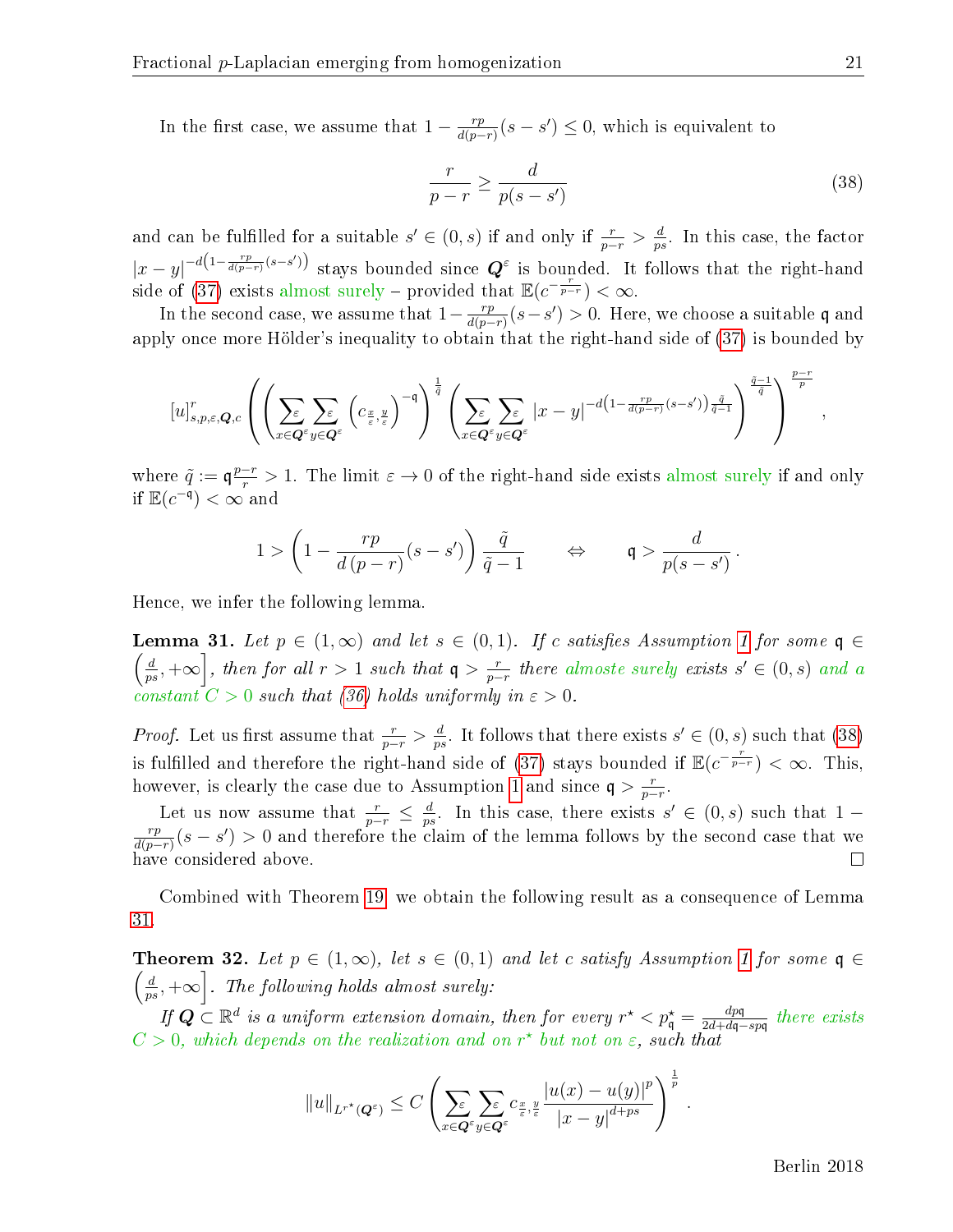In the first case, we assume that  $1 - \frac{rp}{d(n-r)}$  $\frac{rp}{d(p-r)}(s-s') \leq 0$ , which is equivalent to

<span id="page-21-2"></span>
$$
\frac{r}{p-r} \ge \frac{d}{p(s-s')} \tag{38}
$$

and can be fulfilled for a suitable  $s' \in (0, s)$  if and only if  $\frac{r}{p-r} > \frac{d}{p_s}$  $\frac{d}{p^s}$ . In this case, the factor  $|x-y|^{-d(1-\frac{rp}{d(p-r)}(s-s')})$  stays bounded since  $\mathbf{Q}^{\varepsilon}$  is bounded. It follows that the right-hand side of [\(37\)](#page-20-3) exists almost surely – provided that  $\mathbb{E}(c^{-\frac{r}{p-r}}) < \infty$ .

In the second case, we assume that  $1-\frac{rp}{d(n-r)}$  $\frac{rp}{d(p-r)}(s-s') > 0$ . Here, we choose a suitable q and apply once more Hölder's inequality to obtain that the right-hand side of [\(37\)](#page-20-3) is bounded by

$$
\left[u\right]_{s,p,\varepsilon,\boldsymbol{Q},c}^{r}\left(\left(\sum_{x\in\boldsymbol{Q}^{\varepsilon}}\sum_{y\in\boldsymbol{Q}^{\varepsilon}}\left(c_{\frac{x}{\varepsilon},\frac{y}{\varepsilon}}\right)^{-\mathfrak{q}}\right)^{\frac{1}{\tilde{q}}}\left(\sum_{x\in\boldsymbol{Q}^{\varepsilon}}\sum_{y\in\boldsymbol{Q}^{\varepsilon}}|x-y|^{-d\left(1-\frac{rp}{d(p-r)}(s-s')\right)\frac{\tilde{q}}{\tilde{q}-1}}\right)^{\frac{\tilde{q}-1}{\tilde{q}}}\right)^{\frac{p-r}{p}},
$$

where  $\tilde{q} := \mathfrak{q} \frac{p-r}{r} > 1$ . The limit  $\varepsilon \to 0$  of the right-hand side exists almost surely if and only if  $\mathbb{E}(c^{-\mathfrak{q}})<\infty$  and

$$
1 > \left(1 - \frac{rp}{d(p-r)}(s-s')\right)\frac{\tilde{q}}{\tilde{q}-1} \qquad \Leftrightarrow \qquad \mathfrak{q} > \frac{d}{p(s-s')}.
$$

Hence, we infer the following lemma.

<span id="page-21-0"></span>**Lemma** 31. Let  $p \in (1,\infty)$  and let  $s \in (0,1)$ . If c satisfies Assumption [1](#page-4-0) for some  $\mathfrak{q} \in$  $\int d$  $\left\lfloor \frac{d}{ps}, +\infty \right\rfloor$ , then for all  $r > 1$  such that  $\mathfrak{q} > \frac{r}{p-1}$  $\frac{r}{p-r}$  there almoste surely exists  $s' \in (0, s)$  and a constant  $C > 0$  such that [\(36\)](#page-20-2) holds uniformly in  $\varepsilon > 0$ .

*Proof.* Let us first assume that  $\frac{r}{p-r} > \frac{d}{p^s}$  $\frac{d}{p^s}$ . It follows that there exists  $s' \in (0, s)$  such that [\(38\)](#page-21-2) is fulfilled and therefore the right-hand side of [\(37\)](#page-20-3) stays bounded if  $\mathbb{E}(e^{-\frac{r}{p-r}}) < \infty$ . This, however, is clearly the case due to Assumption [1](#page-4-0) and since  $q > \frac{r}{n-1}$  $\frac{r}{p-r}$ .

Let us now assume that  $\frac{r}{p-r} \leq \frac{d}{p_s}$  $\frac{d}{ps}$ . In this case, there exists  $s' \in (0, s)$  such that 1 – rp  $\frac{rp}{d(p-r)}(s-s') > 0$  and therefore the claim of the lemma follows by the second case that we have considered above.  $\Box$ 

Combined with Theorem [19,](#page-14-3) we obtain the following result as a consequence of Lemma [31.](#page-21-0)

<span id="page-21-1"></span>**Theorem 32.** Let  $p \in (1,\infty)$ , let  $s \in (0,1)$  and let c satisfy Assumption [1](#page-4-0) for some  $\mathfrak{q} \in$  $\int d$  $\left\lfloor\frac{d}{ps},+\infty\right\rceil$ . The following holds almost surely:

If  $Q \subset \mathbb{R}^d$  is a uniform extension domain, then for every  $r^* < p_q^* = \frac{dpq}{2d + dq - q}$  $\frac{dp\mathfrak{q}}{2d+d\mathfrak{q}-sp\mathfrak{q}}$  there exists  $C > 0$ , which depends on the realization and on  $r^*$  but not on  $\varepsilon$ , such that

$$
||u||_{L^{r^{\star}}(Q^{\varepsilon})} \leq C \left( \sum_{x \in Q^{\varepsilon}} \sum_{y \in Q^{\varepsilon}} c_{\frac{x}{\varepsilon},\frac{y}{\varepsilon}} \frac{|u(x) - u(y)|^p}{|x - y|^{d + ps}} \right)^{\frac{1}{p}}.
$$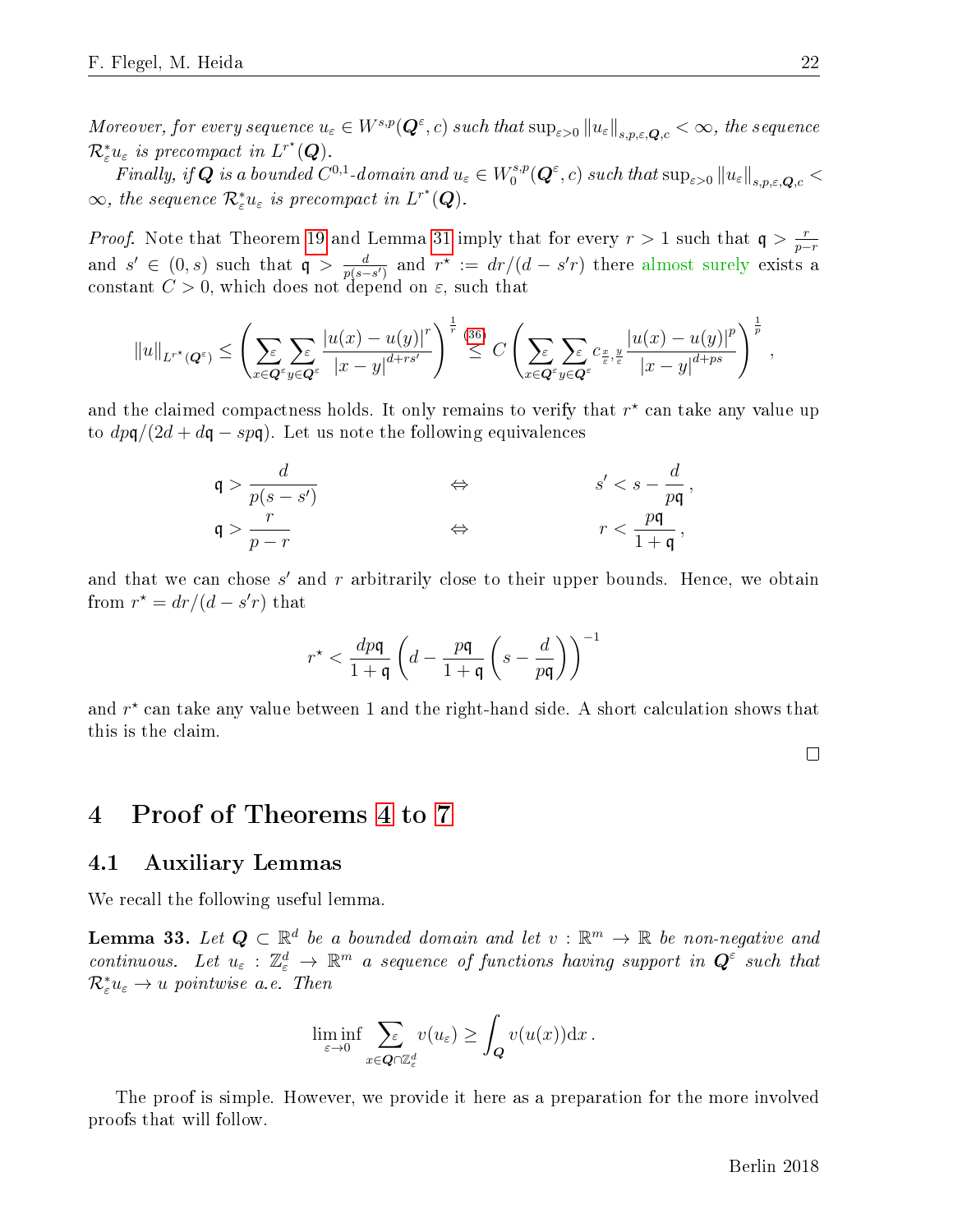Moreover, for every sequence  $u_\varepsilon\in W^{s,p}(\bm{Q}^\varepsilon,c)$  such that  $\sup_{\varepsilon>0}\|u_\varepsilon\|_{s,p,\varepsilon,\bm{Q},c}<\infty,$  the sequence  $\mathcal{R}^*_{\varepsilon}u_{\varepsilon}$  is precompact in  $L^{r^*}(\boldsymbol{Q})$ .

Finally, if  $\boldsymbol{Q}$  is a bounded  $C^{0,1}$ -domain and  $u_\varepsilon\in W^{s,p}_0$  $\int_0^{s,p} (Q^{\varepsilon}, c) \text{ such that } \sup_{\varepsilon > 0} ||u_{\varepsilon}||_{s,p,\varepsilon,\boldsymbol{Q},c} < \infty$  $\infty$ , the sequence  $\mathcal{R}^*_{\varepsilon}u_{\varepsilon}$  is precompact in  $L^{r^*}(\mathbf{Q})$ .

*Proof.* Note that Theorem [19](#page-14-3) and Lemma [31](#page-21-0) imply that for every  $r > 1$  such that  $q > \frac{r}{r-1}$ p−r and  $s' \in (0, s)$  such that  $\mathfrak{q} > \frac{d}{n(s-1)}$  $\frac{d}{p(s-s')}$  and  $r^{\star} := dr/(d-s'r)$  there almost surely exists a constant  $C > 0$ , which does not depend on  $\varepsilon$ , such that

$$
||u||_{L^{r^{\star}}(Q^{\varepsilon})} \leq \left(\sum_{x \in Q^{\varepsilon}} \sum_{y \in Q^{\varepsilon}} \frac{|u(x) - u(y)|^{r}}{|x - y|^{d + rs'}}\right)^{\frac{1}{r}} \stackrel{(36)}{\leq} C \left(\sum_{x \in Q^{\varepsilon}} \sum_{y \in Q^{\varepsilon}} c_{\frac{x}{\varepsilon}, \frac{y}{\varepsilon}} \frac{|u(x) - u(y)|^{p}}{|x - y|^{d + ps}}\right)^{\frac{1}{p}},
$$

and the claimed compactness holds. It only remains to verify that  $r^{\star}$  can take any value up to  $dp\mathfrak{q}/(2d + d\mathfrak{q} - sp\mathfrak{q})$ . Let us note the following equivalences

$$
\mathfrak{q} > \frac{d}{p(s - s')} \qquad \qquad \Leftrightarrow \qquad \qquad s' < s - \frac{d}{pq},
$$
  

$$
\mathfrak{q} > \frac{r}{p - r} \qquad \qquad \Leftrightarrow \qquad \qquad r < \frac{pq}{1 + \mathfrak{q}},
$$

and that we can chose  $s'$  and  $r$  arbitrarily close to their upper bounds. Hence, we obtain from  $r^* = dr/(d - s'r)$  that

$$
r^\star < \frac{dp\mathfrak{q}}{1+\mathfrak{q}}\left(d-\frac{p\mathfrak{q}}{1+\mathfrak{q}}\left(s-\frac{d}{p\mathfrak{q}}\right)\right)^{-1}
$$

and  $r^{\star}$  can take any value between 1 and the right-hand side. A short calculation shows that this is the claim.

 $\Box$ 

# <span id="page-22-0"></span>4 Proof of Theorems [4](#page-6-0) to [7](#page-8-0)

### 4.1 Auxiliary Lemmas

We recall the following useful lemma.

<span id="page-22-1"></span>**Lemma 33.** Let  $Q \subset \mathbb{R}^d$  be a bounded domain and let  $v : \mathbb{R}^m \to \mathbb{R}$  be non-negative and continuous. Let  $u_{\varepsilon}: \mathbb{Z}_\varepsilon^d \to \mathbb{R}^m$  a sequence of functions having support in  $\mathbf{Q}^{\varepsilon}$  such that  $\mathcal{R}_{\varepsilon}^*u_{\varepsilon}\to u$  pointwise a.e. Then

$$
\liminf_{\varepsilon \to 0} \sum_{x \in \mathbf{Q} \cap \mathbb{Z}_{\varepsilon}^d} v(u_{\varepsilon}) \ge \int_{\mathbf{Q}} v(u(x)) \mathrm{d} x.
$$

The proof is simple. However, we provide it here as a preparation for the more involved proofs that will follow.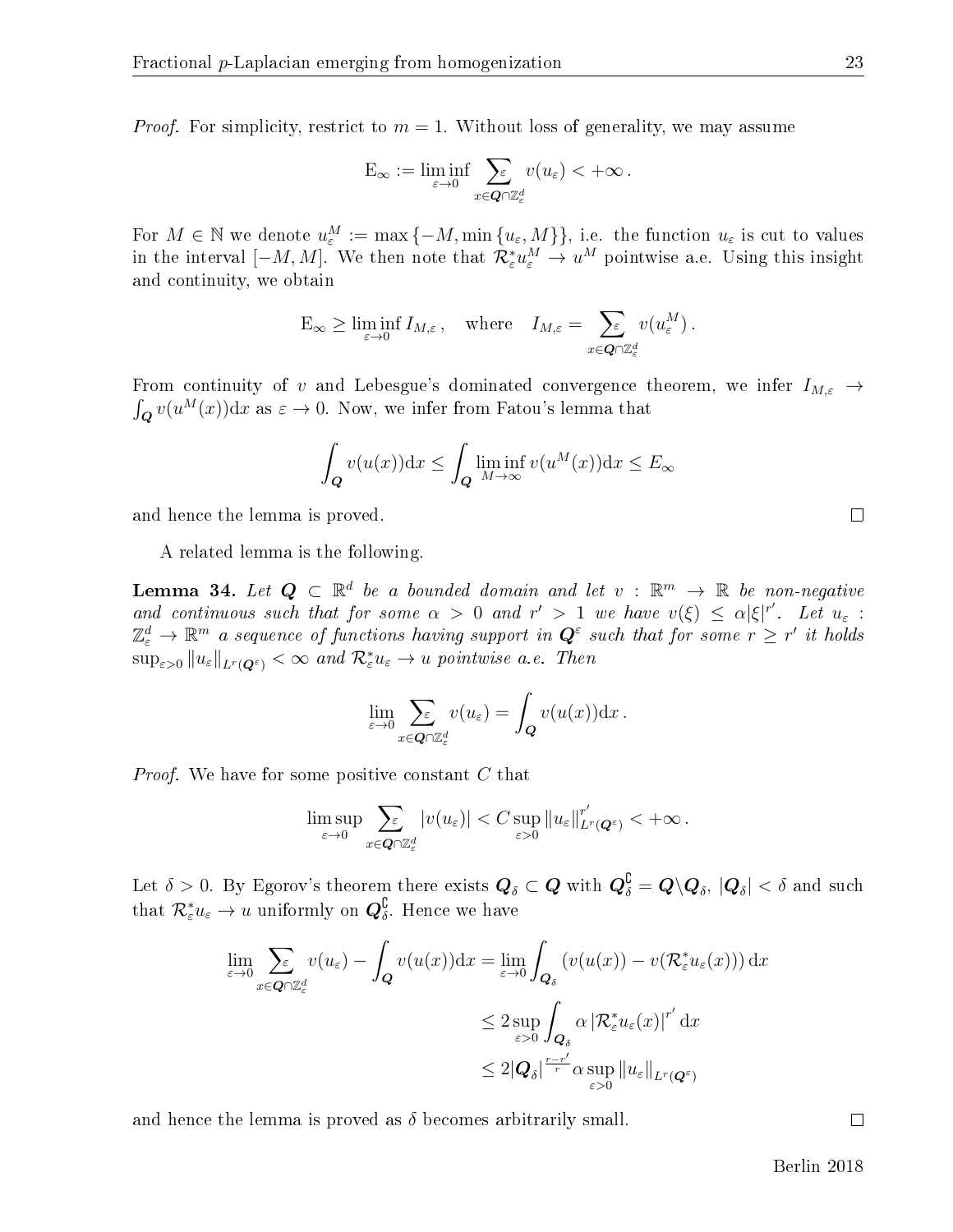*Proof.* For simplicity, restrict to  $m = 1$ . Without loss of generality, we may assume

$$
\mathcal{E}_{\infty} := \liminf_{\varepsilon \to 0} \sum_{x \in \mathbf{Q} \cap \mathbb{Z}_{\varepsilon}^d} v(u_{\varepsilon}) < +\infty.
$$

For  $M \in \mathbb{N}$  we denote  $u_{\varepsilon}^M := \max\{-M, \min\{u_{\varepsilon},M\}\}\)$ , i.e. the function  $u_{\varepsilon}$  is cut to values in the interval  $[-M, M]$ . We then note that  $\mathcal{R}^*_{\varepsilon} u^M_\varepsilon \to u^M$  pointwise a.e. Using this insight and continuity, we obtain

$$
\mathcal{E}_{\infty} \geq \liminf_{\varepsilon \to 0} I_{M,\varepsilon}, \quad \text{where} \quad I_{M,\varepsilon} = \sum_{x \in \mathbf{Q} \cap \mathbb{Z}_{\varepsilon}^d} v(u_{\varepsilon}^M).
$$

From continuity of v and Lebesgue's dominated convergence theorem, we infer  $I_{M,\varepsilon} \to$  $\int_{\mathbf{Q}} v(u^M(x)) \mathrm{d}x$  as  $\varepsilon \to 0$ . Now, we infer from Fatou's lemma that

$$
\int_{\mathbf{Q}} v(u(x))dx \le \int_{\mathbf{Q}} \liminf_{M \to \infty} v(u^M(x))dx \le E_{\infty}
$$

and hence the lemma is proved.

A related lemma is the following.

<span id="page-23-0"></span>**Lemma 34.** Let  $Q \subset \mathbb{R}^d$  be a bounded domain and let  $v : \mathbb{R}^m \to \mathbb{R}$  be non-negative and continuous such that for some  $\alpha > 0$  and  $r' > 1$  we have  $v(\xi) \leq \alpha |\xi|^{r'}$ . Let  $u_{\varepsilon}$ :  $\mathbb{Z}_\varepsilon^d \to \mathbb{R}^m$  a sequence of functions having support in  $\bm{Q}^\varepsilon$  such that for some  $r \geq r'$  it holds  $\sup_{\varepsilon>0} \|u_{\varepsilon}\|_{L^{r}(\mathbf{Q}^{\varepsilon})}<\infty$  and  $\mathcal{R}_{\varepsilon}^{*}u_{\varepsilon}\to u$  pointwise a.e. Then

$$
\lim_{\varepsilon \to 0} \sum_{x \in \mathbf{Q} \cap \mathbb{Z}_{\varepsilon}^d} v(u_{\varepsilon}) = \int_{\mathbf{Q}} v(u(x)) \mathrm{d} x.
$$

Proof. We have for some positive constant C that

$$
\limsup_{\varepsilon\to 0}\sum_{x\in \mathbf{Q}\cap\mathbb{Z}_{\varepsilon}^d}|v(u_{\varepsilon})|0}\|u_{\varepsilon}\|_{L^r(\mathbf{Q}^{\varepsilon})}^{r'}<+\infty\,.
$$

Let  $\delta>0.$  By Egorov's theorem there exists  $\bm{Q}_\delta\subset \bm{Q}$  with  $\bm{Q}_{\delta}^{\complement}=\bm{Q}\backslash\bm{Q}_\delta,$   $|\bm{Q}_\delta|<\delta$  and such that  $\mathcal{R}_{\varepsilon}^* u_{\varepsilon} \to u$  uniformly on  $\mathbf{Q}_{\delta}^{\complement}$ . Hence we have

$$
\lim_{\varepsilon \to 0} \sum_{x \in \mathbf{Q} \cap \mathbb{Z}_{\varepsilon}^d} v(u_{\varepsilon}) - \int_{\mathbf{Q}} v(u(x)) dx = \lim_{\varepsilon \to 0} \int_{\mathbf{Q}_{\delta}} (v(u(x)) - v(\mathcal{R}_{\varepsilon}^* u_{\varepsilon}(x))) dx
$$
\n
$$
\leq 2 \sup_{\varepsilon > 0} \int_{\mathbf{Q}_{\delta}} \alpha \left| \mathcal{R}_{\varepsilon}^* u_{\varepsilon}(x) \right|^{r'} dx
$$
\n
$$
\leq 2 \left| \mathbf{Q}_{\delta} \right|^{r-r'} \alpha \sup_{\varepsilon > 0} \left\| u_{\varepsilon} \right\|_{L^{r}(\mathbf{Q}^{\varepsilon})}
$$

and hence the lemma is proved as  $\delta$  becomes arbitrarily small.

Berlin 2018

 $\Box$ 

 $\Box$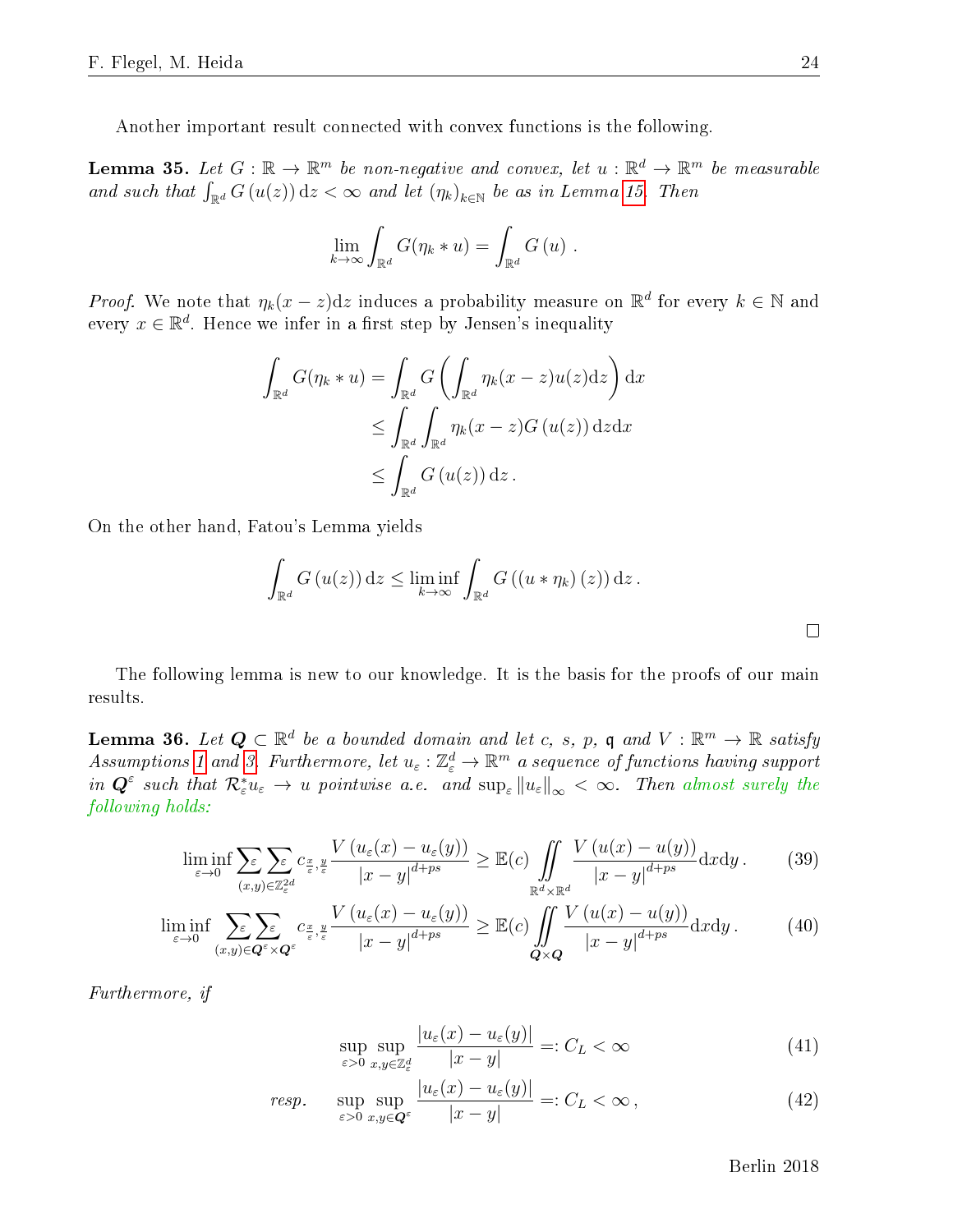Another important result connected with convex functions is the following.

<span id="page-24-4"></span>**Lemma 35.** Let  $G : \mathbb{R} \to \mathbb{R}^m$  be non-negative and convex, let  $u : \mathbb{R}^d \to \mathbb{R}^m$  be measurable and such that  $\int_{\mathbb{R}^d} G(u(z)) dz < \infty$  and let  $(\eta_k)_{k \in \mathbb{N}}$  be as in Lemma [15.](#page-13-2) Then

$$
\lim_{k \to \infty} \int_{\mathbb{R}^d} G(\eta_k * u) = \int_{\mathbb{R}^d} G(u) .
$$

*Proof.* We note that  $\eta_k(x-z)dz$  induces a probability measure on  $\mathbb{R}^d$  for every  $k \in \mathbb{N}$  and every  $x \in \mathbb{R}^d$ . Hence we infer in a first step by Jensen's inequality

$$
\int_{\mathbb{R}^d} G(\eta_k * u) = \int_{\mathbb{R}^d} G\left(\int_{\mathbb{R}^d} \eta_k(x - z) u(z) \mathrm{d} z\right) \mathrm{d} x
$$
\n
$$
\leq \int_{\mathbb{R}^d} \int_{\mathbb{R}^d} \eta_k(x - z) G(u(z)) \mathrm{d} z \mathrm{d} x
$$
\n
$$
\leq \int_{\mathbb{R}^d} G(u(z)) \mathrm{d} z.
$$

On the other hand, Fatou's Lemma yields

$$
\int_{\mathbb{R}^d} G(u(z)) dz \le \liminf_{k \to \infty} \int_{\mathbb{R}^d} G((u * \eta_k)(z)) dz.
$$

The following lemma is new to our knowledge. It is the basis for the proofs of our main results.

<span id="page-24-3"></span>**Lemma 36.** Let  $Q \subset \mathbb{R}^d$  be a bounded domain and let c, s, p, q and  $V : \mathbb{R}^m \to \mathbb{R}$  satisfy Assumptions [1](#page-4-0) and [3.](#page-5-0) Furthermore, let  $u_{\varepsilon}: \mathbb{Z}_\varepsilon^d \to \mathbb{R}^m$  a sequence of functions having support in  $Q^{\varepsilon}$  such that  $\mathcal{R}_{\varepsilon}^{*}u_{\varepsilon} \to u$  pointwise a.e. and  $\sup_{\varepsilon} ||u_{\varepsilon}||_{\infty} < \infty$ . Then almost surely the following holds:

$$
\liminf_{\varepsilon \to 0} \sum_{(x,y) \in \mathbb{Z}_\varepsilon^2} \sum_{(x,y) \in \mathbb{Z}_\varepsilon^2} c_{\frac{x}{\varepsilon},\frac{y}{\varepsilon}} \frac{V\left(u_\varepsilon(x) - u_\varepsilon(y)\right)}{|x - y|^{d + ps}} \ge \mathbb{E}(c) \iint_{\mathbb{R}^d \times \mathbb{R}^d} \frac{V\left(u(x) - u(y)\right)}{|x - y|^{d + ps}} \mathrm{d}x \mathrm{d}y. \tag{39}
$$

$$
\liminf_{\varepsilon \to 0} \sum_{(x,y) \in \mathbf{Q}^{\varepsilon} \times \mathbf{Q}^{\varepsilon}} \sum_{(x,y) \in \mathbf{Q}^{\varepsilon} \times \mathbf{Q}^{\varepsilon}} \frac{V\left(u_{\varepsilon}(x) - u_{\varepsilon}(y)\right)}{|x - y|^{d + ps}} \ge \mathbb{E}(c) \iint_{\mathbf{Q} \times \mathbf{Q}} \frac{V\left(u(x) - u(y)\right)}{|x - y|^{d + ps}} \mathrm{d}x \mathrm{d}y. \tag{40}
$$

Furthermore, if

$$
\sup_{\varepsilon>0} \sup_{x,y\in\mathbb{Z}_\varepsilon^d} \frac{|u_\varepsilon(x) - u_\varepsilon(y)|}{|x - y|} =: C_L < \infty \tag{41}
$$

$$
resp. \quad \sup_{\varepsilon > 0} \sup_{x,y \in \mathbf{Q}^{\varepsilon}} \frac{|u_{\varepsilon}(x) - u_{\varepsilon}(y)|}{|x - y|} =: C_L < \infty \,, \tag{42}
$$

<span id="page-24-2"></span><span id="page-24-1"></span>Berlin 2018

<span id="page-24-0"></span> $\Box$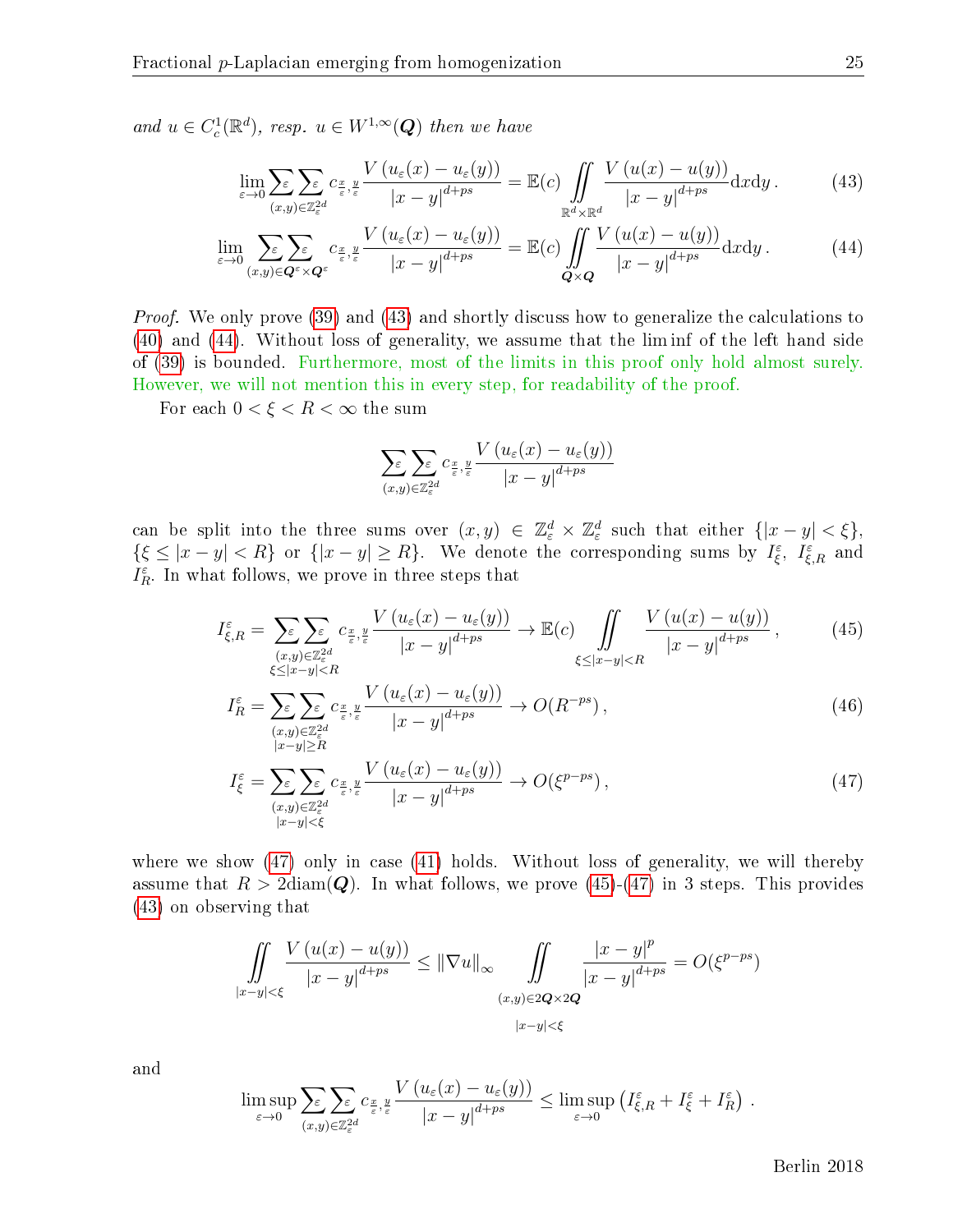and  $u \in C_c^1(\mathbb{R}^d)$ , resp.  $u \in W^{1,\infty}(\mathbf{Q})$  then we have

$$
\lim_{\varepsilon \to 0} \sum_{(x,y) \in \mathbb{Z}_{\varepsilon}^{2d}} \sum_{\varepsilon} c_{\frac{x}{\varepsilon},\frac{y}{\varepsilon}} \frac{V\left(u_{\varepsilon}(x) - u_{\varepsilon}(y)\right)}{\left|x - y\right|^{d+ps}} = \mathbb{E}(c) \iint_{\mathbb{R}^d \times \mathbb{R}^d} \frac{V\left(u(x) - u(y)\right)}{\left|x - y\right|^{d+ps}} \mathrm{d}x \mathrm{d}y. \tag{43}
$$

$$
\lim_{\varepsilon \to 0} \sum_{(x,y) \in \mathbf{Q}^{\varepsilon} \times \mathbf{Q}^{\varepsilon}} \sum_{\varepsilon} c_{\frac{x}{\varepsilon}, \frac{y}{\varepsilon}} \frac{V\left(u_{\varepsilon}(x) - u_{\varepsilon}(y)\right)}{|x - y|^{d + ps}} = \mathbb{E}(c) \iint_{\mathbf{Q} \times \mathbf{Q}} \frac{V\left(u(x) - u(y)\right)}{|x - y|^{d + ps}} \mathrm{d}x \mathrm{d}y. \tag{44}
$$

*Proof.* We only prove [\(39\)](#page-24-0) and [\(43\)](#page-25-0) and shortly discuss how to generalize the calculations to [\(40\)](#page-24-1) and [\(44\)](#page-25-1). Without loss of generality, we assume that the lim inf of the left hand side of [\(39\)](#page-24-0) is bounded. Furthermore, most of the limits in this proof only hold almost surely. However, we will not mention this in every step, for readability of the proof.

For each  $0 < \xi < R < \infty$  the sum

<span id="page-25-3"></span><span id="page-25-2"></span><span id="page-25-1"></span><span id="page-25-0"></span>
$$
\sum_{(x,y)\in\mathbb{Z}_{\varepsilon}^{2d}}\sum_{\varepsilon,\,y}\sum_{\varepsilon,\,z}\frac{V\left(u_{\varepsilon}(x)-u_{\varepsilon}(y)\right)}{\left|x-y\right|^{d+ps}}
$$

can be split into the three sums over  $(x, y) \in \mathbb{Z}_{\varepsilon}^d \times \mathbb{Z}_{\varepsilon}^d$  such that either  $\{|x - y| < \xi\},$  $\{\xi \leq |x-y| < R\}$  or  $\{|x-y| \geq R\}$ . We denote the corresponding sums by  $I_{\xi}^{\varepsilon}$ ,  $I_{\xi,R}^{\varepsilon}$  and  $I_R^{\varepsilon}$ . In what follows, we prove in three steps that

$$
I_{\xi,R}^{\varepsilon} = \sum_{\substack{(x,y)\in\mathbb{Z}_{\varepsilon}^{2d} \\ \xi \leq |x-y| < R}} \sum_{\substack{c_x, y \in \mathbb{Z}_{\varepsilon}^{2d} \\ \xi \leq |x-y| < R}} \frac{V\left(u_{\varepsilon}(x) - u_{\varepsilon}(y)\right)}{|x-y|^{d+ps}} \to \mathbb{E}(c) \iint_{\xi \leq |x-y| < R} \frac{V\left(u(x) - u(y)\right)}{|x-y|^{d+ps}},\tag{45}
$$

$$
I_R^{\varepsilon} = \sum_{\substack{(x,y)\in\mathbb{Z}_{\varepsilon}^{2d} \\ |x-y| \ge R}} \sum_{\substack{c_{\frac{x}{\varepsilon},\frac{y}{\varepsilon}}} \frac{V\left(u_{\varepsilon}(x) - u_{\varepsilon}(y)\right)}{|x-y|^{d+ps}} \to O(R^{-ps}),\tag{46}
$$

$$
I_{\xi}^{\varepsilon} = \sum_{\substack{(x,y)\in\mathbb{Z}_{\varepsilon}^{2d} \\ |x-y| < \xi}} \sum_{\varepsilon} c_{\frac{x}{\varepsilon},\frac{y}{\varepsilon}} \frac{V\left(u_{\varepsilon}(x) - u_{\varepsilon}(y)\right)}{|x-y|^{d+ps}} \to O(\xi^{p-ps}),\tag{47}
$$

where we show [\(47\)](#page-25-2) only in case [\(41\)](#page-24-2) holds. Without loss of generality, we will thereby assume that  $R > 2$ diam(Q). In what follows, we prove [\(45\)](#page-25-3)-[\(47\)](#page-25-2) in 3 steps. This provides [\(43\)](#page-25-0) on observing that

$$
\iint\limits_{|x-y|<\xi} \frac{V(u(x)-u(y))}{|x-y|^{d+ps}} \leq \|\nabla u\|_{\infty} \iint\limits_{(x,y)\in 2\mathbf{Q}\times 2\mathbf{Q}} \frac{|x-y|^p}{|x-y|^{d+ps}} = O(\xi^{p-ps})
$$
  

$$
\lim_{|x-y|<\xi} \frac{V(u(x)-u(y))}{|x-y|^{d+ps}}
$$

and

$$
\limsup_{\varepsilon \to 0} \sum_{\varepsilon \in \mathcal{X}} \sum_{(x,y) \in \mathbb{Z}_{\varepsilon}^{2d}} c_{\frac{x}{\varepsilon},\frac{y}{\varepsilon}} \frac{V\left(u_{\varepsilon}(x) - u_{\varepsilon}(y)\right)}{|x - y|^{d + ps}} \le \limsup_{\varepsilon \to 0} \left(I_{\xi,R}^{\varepsilon} + I_{\xi}^{\varepsilon} + I_{R}^{\varepsilon}\right) .
$$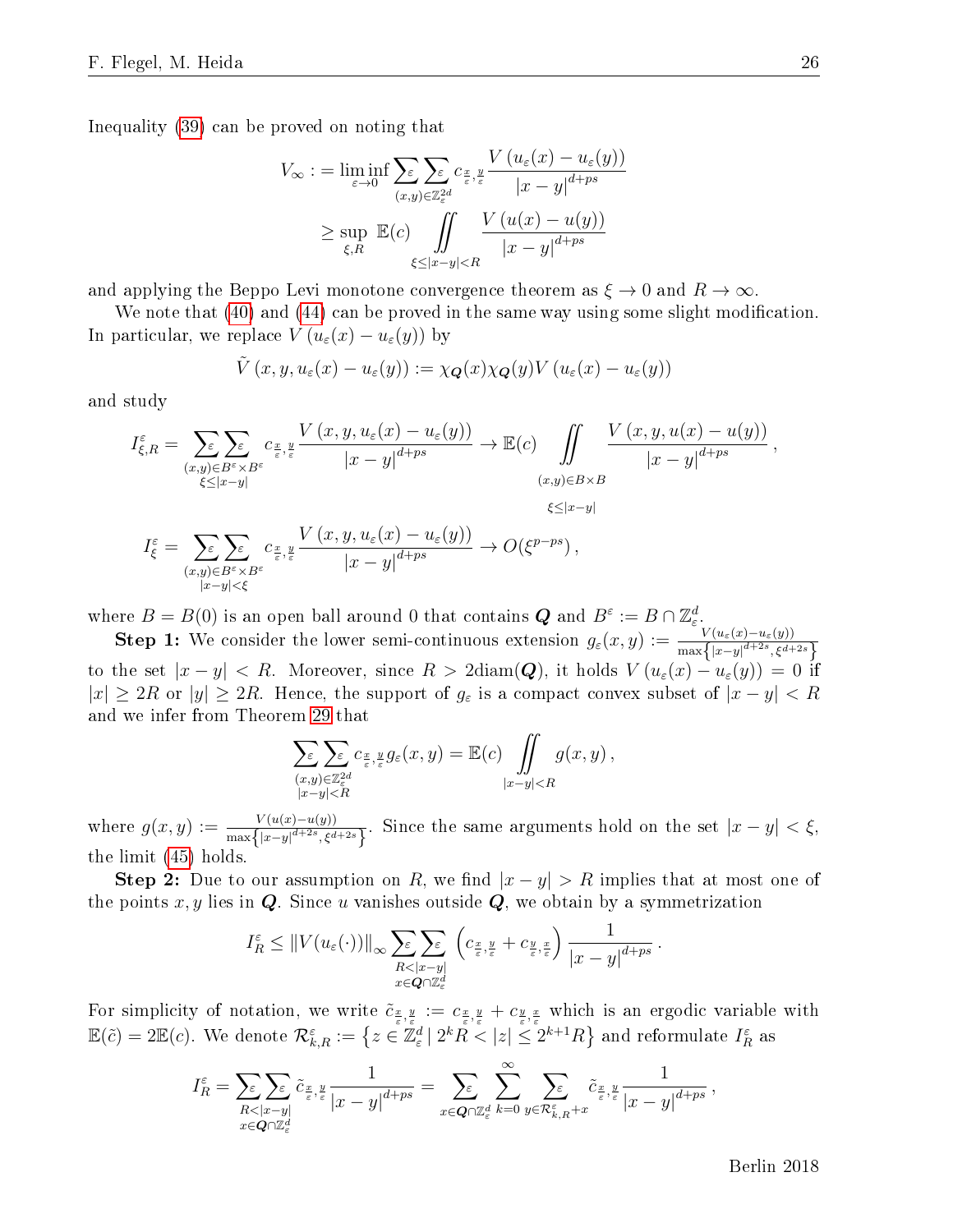Inequality [\(39\)](#page-24-0) can be proved on noting that

$$
V_{\infty} := \liminf_{\varepsilon \to 0} \sum_{\varepsilon \to 0} \sum_{(x,y) \in \mathbb{Z}_{\varepsilon}^{2d}} c_{\frac{x}{\varepsilon}, \frac{y}{\varepsilon}} \frac{V(u_{\varepsilon}(x) - u_{\varepsilon}(y))}{|x - y|^{d + ps}}
$$
  

$$
\geq \sup_{\xi, R} \mathbb{E}(c) \iint_{\xi \leq |x - y| < R} \frac{V(u(x) - u(y))}{|x - y|^{d + ps}}
$$

and applying the Beppo Levi monotone convergence theorem as  $\xi \to 0$  and  $R \to \infty$ .

We note that  $(40)$  and  $(44)$  can be proved in the same way using some slight modification. In particular, we replace  $V (u_{\varepsilon}(x) - u_{\varepsilon}(y))$  by

$$
\tilde{V}(x,y,u_{\varepsilon}(x)-u_{\varepsilon}(y)):=\chi_{\mathbf{Q}}(x)\chi_{\mathbf{Q}}(y)V(u_{\varepsilon}(x)-u_{\varepsilon}(y))
$$

and study

$$
I_{\xi,R}^{\varepsilon} = \sum_{\substack{(x,y)\in B^{\varepsilon}\times B^{\varepsilon}\\ \xi \leq |x-y|}} \sum_{\substack{c_{\frac{x}{\varepsilon},\frac{y}{\varepsilon}}} \frac{V(x,y,u_{\varepsilon}(x) - u_{\varepsilon}(y))}{|x-y|^{d+ps}} \to \mathbb{E}(c) \iint_{|x-y|} \frac{V(x,y,u(x) - u(y))}{|x-y|^{d+ps}},
$$
  
\n
$$
I_{\xi}^{\varepsilon} = \sum_{\substack{(x,y)\in B^{\varepsilon}\times B^{\varepsilon}\\ \xi \leq |x-y|}} \sum_{\substack{c_{\frac{x}{\varepsilon},\frac{y}{\varepsilon}}} \frac{V(x,y,u_{\varepsilon}(x) - u_{\varepsilon}(y))}{|x-y|^{d+ps}} \to O(\xi^{p-ps}),
$$

where  $B = B(0)$  is an open ball around 0 that contains  $\mathbf{Q}$  and  $B^{\varepsilon} := B \cap \mathbb{Z}_{\varepsilon}^d$ .

**Step 1:** We consider the lower semi-continuous extension  $g_{\varepsilon}(x, y) := \frac{V(u_{\varepsilon}(x) - u_{\varepsilon}(y))}{\max\{|x-y|^{d+2s}, \xi^{d+2s}\}}$ to the set  $|x-y| < R$ . Moreover, since  $R > 2$ diam $(Q)$ , it holds  $V(u_{\varepsilon}(x) - u_{\varepsilon}(y)) = 0$  if  $|x| \geq 2R$  or  $|y| \geq 2R$ . Hence, the support of  $g_{\varepsilon}$  is a compact convex subset of  $|x - y| < R$ and we infer from Theorem [29](#page-19-0) that

$$
\sum_{\substack{(x,y)\in\mathbb{Z}_{\varepsilon}^{2d} \\ |x-y|
$$

where  $g(x, y) := \frac{V(u(x)-u(y))}{\max\{|x-y|^{d+2s}, \xi^{d+2s}\}}$ . Since the same arguments hold on the set  $|x-y| < \xi$ , the limit [\(45\)](#page-25-3) holds.

**Step 2:** Due to our assumption on R, we find  $|x-y| > R$  implies that at most one of the points  $x, y$  lies in  $Q$ . Since u vanishes outside  $Q$ , we obtain by a symmetrization

$$
I_R^{\varepsilon} \leq ||V(u_{\varepsilon}(\cdot))||_{\infty} \sum_{\substack{R < |x-y| \\ x \in Q \cap \mathbb{Z}_{\varepsilon}^d}} \left( c_{\frac{x}{\varepsilon}, \frac{y}{\varepsilon}} + c_{\frac{y}{\varepsilon}, \frac{x}{\varepsilon}} \right) \frac{1}{|x-y|^{d+ps}}.
$$

For simplicity of notation, we write  $\tilde{c}_{\frac{x}{\varepsilon},\frac{y}{\varepsilon}}:=c_{\frac{x}{\varepsilon},\frac{y}{\varepsilon}}+c_{\frac{y}{\varepsilon},\frac{x}{\varepsilon}}$  which is an ergodic variable with  $\mathbb{E}(\tilde{c})=2\mathbb{E}(c).$  We denote  $\mathcal{R}_{k,R}^\varepsilon:=\left\{z\in\mathbb{\bar{Z}}^d_\varepsilon\left|\right. 2^kR<|z|\leq 2^{k+1}R\right\}$  and reformulate  $I^\varepsilon_R$  as

$$
I_R^{\varepsilon} = \sum_{\substack{R < |x-y| \\ x \in \mathbf{Q} \cap \mathbb{Z}_{\varepsilon}^d}} \tilde{c}_{\frac{x}{\varepsilon}, \frac{y}{\varepsilon}} \frac{1}{|x-y|^{d+ps}} = \sum_{x \in \mathbf{Q} \cap \mathbb{Z}_{\varepsilon}^d} \sum_{k=0}^{\infty} \sum_{y \in \mathcal{R}_{k,R}^{\varepsilon} + x} \tilde{c}_{\frac{x}{\varepsilon}, \frac{y}{\varepsilon}} \frac{1}{|x-y|^{d+ps}},
$$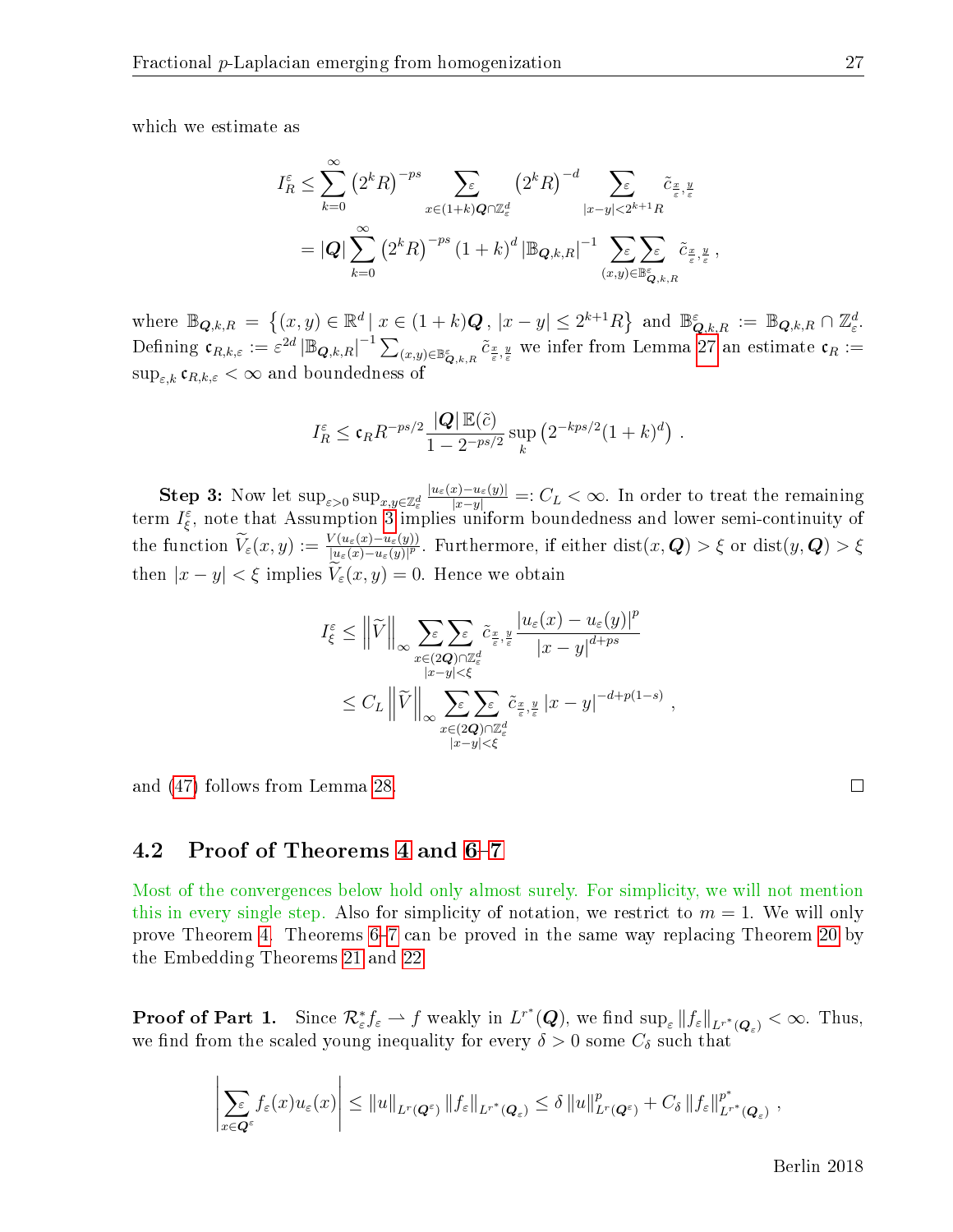which we estimate as

$$
I_{R}^{\varepsilon} \leq \sum_{k=0}^{\infty} (2^{k} R)^{-ps} \sum_{x \in (1+k)Q \cap \mathbb{Z}_{\varepsilon}^{d}} (2^{k} R)^{-d} \sum_{|x-y| < 2^{k+1} R} \tilde{c}_{\frac{x}{\varepsilon}, \frac{y}{\varepsilon}} = |\mathbf{Q}| \sum_{k=0}^{\infty} (2^{k} R)^{-ps} (1+k)^{d} |\mathbb{B}_{\mathbf{Q}, k, R}|^{-1} \sum_{(x,y) \in \mathbb{B}_{\mathbf{Q}, k, R}^{\varepsilon}} \tilde{c}_{\frac{x}{\varepsilon}, \frac{y}{\varepsilon}},
$$

where  $\mathbb{B}_{\mathbf{Q},k,R} = \{(x,y) \in \mathbb{R}^d \mid x \in (1+k)\mathbf{Q}, |x-y| \leq 2^{k+1}R\}$  and  $\mathbb{B}_{\mathbf{Q},k,R}^{\varepsilon} := \mathbb{B}_{\mathbf{Q},k,R} \cap \mathbb{Z}_{\varepsilon}^d$ .  $\text{Defining } \mathfrak{c}_{R,k,\varepsilon} := \varepsilon^{2d} \left| \mathbb{B}_{\mathbf{Q},k,R} \right|^{-1} \sum_{(x,y) \in \mathbb{B}_{\mathbf{Q},k,R}^{\varepsilon}} \tilde{c}_{\frac{x}{\varepsilon},\frac{y}{\varepsilon}} \text{ we infer from Lemma 27 an estimate } \mathfrak{c}_{R} :=$  $\text{Defining } \mathfrak{c}_{R,k,\varepsilon} := \varepsilon^{2d} \left| \mathbb{B}_{\mathbf{Q},k,R} \right|^{-1} \sum_{(x,y) \in \mathbb{B}_{\mathbf{Q},k,R}^{\varepsilon}} \tilde{c}_{\frac{x}{\varepsilon},\frac{y}{\varepsilon}} \text{ we infer from Lemma 27 an estimate } \mathfrak{c}_{R} :=$  $\text{Defining } \mathfrak{c}_{R,k,\varepsilon} := \varepsilon^{2d} \left| \mathbb{B}_{\mathbf{Q},k,R} \right|^{-1} \sum_{(x,y) \in \mathbb{B}_{\mathbf{Q},k,R}^{\varepsilon}} \tilde{c}_{\frac{x}{\varepsilon},\frac{y}{\varepsilon}} \text{ we infer from Lemma 27 an estimate } \mathfrak{c}_{R} :=$  $\sup_{\varepsilon,k} \mathfrak{c}_{R,k,\varepsilon} < \infty$  and boundedness of

$$
I_R^{\varepsilon} \leq \mathfrak{c}_R R^{-ps/2} \frac{|Q| \mathbb{E}(\tilde{c})}{1 - 2^{-ps/2}} \sup_k \left( 2^{-kps/2} (1 + k)^d \right).
$$

Step 3: Now let  $\sup_{\varepsilon>0} \sup_{x,y\in\mathbb{Z}^d_\varepsilon}$  $\frac{|u_{\varepsilon}(x)-u_{\varepsilon}(y)|}{|x-y|}=:C_L<\infty.$  In order to treat the remaining term  $I_{\xi}^{\varepsilon}$ , note that Assumption [3](#page-5-0) implies uniform boundedness and lower semi-continuity of the function  $\widetilde{V}_\varepsilon(x,y) := \frac{V(u_\varepsilon(x) - u_\varepsilon(y))}{|u_\varepsilon(x) - u_\varepsilon(y)|^p}$ . Furthermore, if either  $\mathrm{dist}(x,\boldsymbol{Q}) > \xi$  or  $\mathrm{dist}(y,\boldsymbol{Q}) > \xi$ then  $|x - y| < \xi$  implies  $V_{\varepsilon}(x, y) = 0$ . Hence we obtain

$$
I_{\xi}^{\varepsilon} \leq \left\| \widetilde{V} \right\|_{\infty} \sum_{\substack{x \in (2\mathbf{Q}) \cap \mathbb{Z}_{\varepsilon}^d \\ |x - y| < \xi}} \widetilde{c}_{\frac{x}{\varepsilon}, \frac{y}{\varepsilon}} \frac{|u_{\varepsilon}(x) - u_{\varepsilon}(y)|^p}{|x - y|^{d + ps}} \\ \leq C_L \left\| \widetilde{V} \right\|_{\infty} \sum_{\substack{x \in (2\mathbf{Q}) \cap \mathbb{Z}_{\varepsilon}^d \\ |x - y| < \xi}} \widetilde{c}_{\frac{x}{\varepsilon}, \frac{y}{\varepsilon}} |x - y|^{-d + p(1 - s)},
$$

and [\(47\)](#page-25-2) follows from Lemma [28.](#page-18-5)

### <span id="page-27-0"></span>4.2 Proof of Theorems [4](#page-6-0) and [6](#page-8-3)-[7](#page-8-0)

Most of the convergences below hold only almost surely. For simplicity, we will not mention this in every single step. Also for simplicity of notation, we restrict to  $m = 1$ . We will only prove Theorem [4.](#page-6-0) Theorems  $6-7$  $6-7$  can be proved in the same way replacing Theorem [20](#page-14-2) by the Embedding Theorems [21](#page-14-1) and [22.](#page-15-1)

**Proof of Part 1.** Since  $\mathcal{R}^*_{\varepsilon}f_{\varepsilon} \to f$  weakly in  $L^{r^*}(\mathbf{Q})$ , we find  $\sup_{\varepsilon} ||f_{\varepsilon}||_{L^{r^*}(\mathbf{Q}_{\varepsilon})} < \infty$ . Thus, we find from the scaled young inequality for every  $\delta > 0$  some  $C_{\delta}$  such that

$$
\left|\sum_{x\in\mathbf{Q}^{\varepsilon}}f_{\varepsilon}(x)u_{\varepsilon}(x)\right|\leq \|u\|_{L^{r}(\mathbf{Q}^{\varepsilon})}\|f_{\varepsilon}\|_{L^{r^{*}}(\mathbf{Q}_{\varepsilon})}\leq \delta\|u\|_{L^{r}(\mathbf{Q}^{\varepsilon})}^{p}+C_{\delta}\|f_{\varepsilon}\|_{L^{r^{*}}(\mathbf{Q}_{\varepsilon})}^{p^{*}}\;,
$$

 $\Box$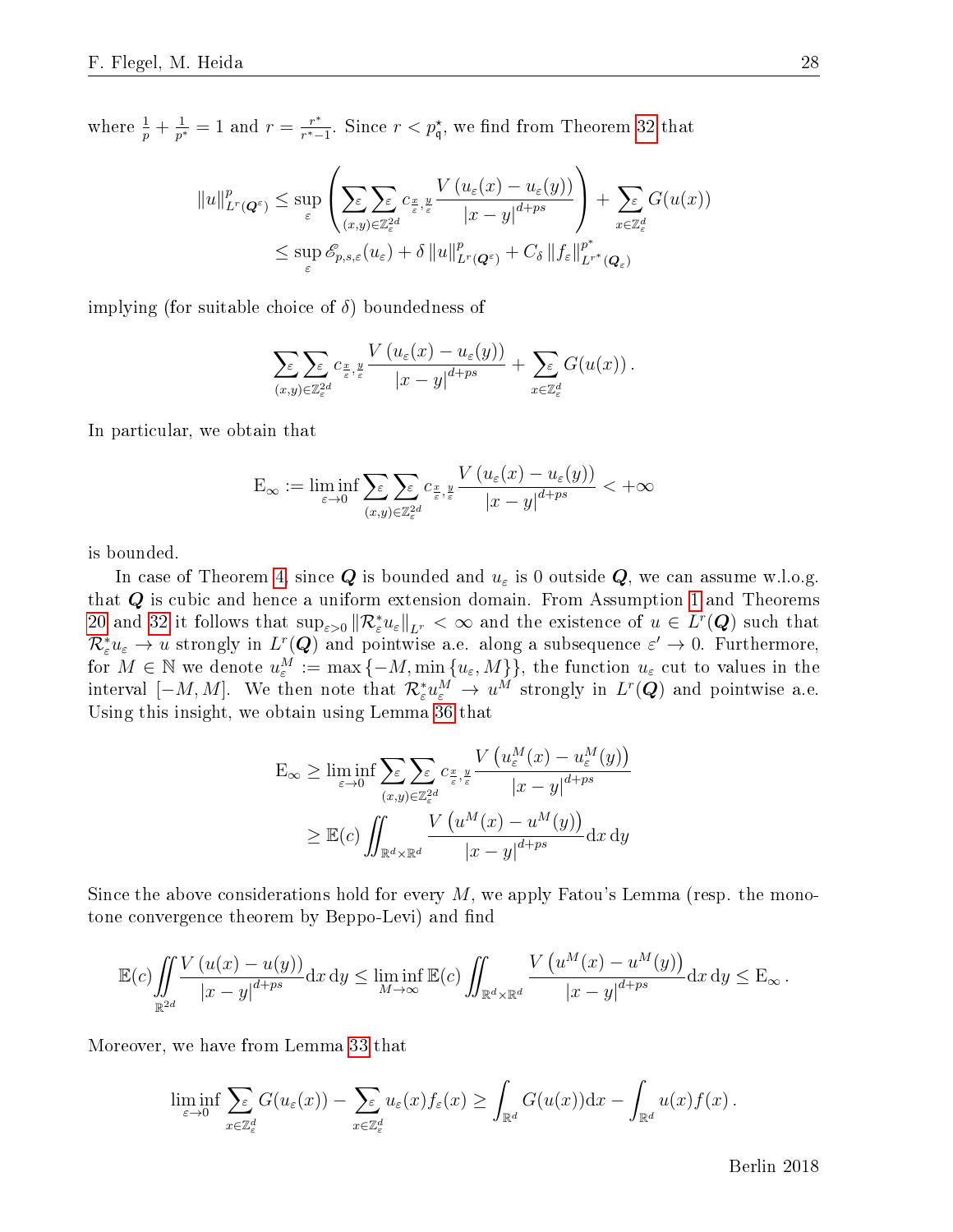where  $\frac{1}{p} + \frac{1}{p^*}$  $\frac{1}{p^*} = 1$  and  $r = \frac{r^*}{r^* - 1}$  $\frac{r^*}{r^*-1}$ . Since  $r < p^*_{\mathfrak{q}},$  we find from Theorem [32](#page-21-1) that

$$
||u||_{L^{r}(Q^{\varepsilon})}^{p} \leq \sup_{\varepsilon} \left( \sum_{(x,y)\in\mathbb{Z}_{\varepsilon}^{2d}} \sum_{\varepsilon,\,\varepsilon} c_{\frac{x}{\varepsilon},\,\varepsilon} \frac{V\left(u_{\varepsilon}(x) - u_{\varepsilon}(y)\right)}{|x - y|^{d + ps}} \right) + \sum_{x\in\mathbb{Z}_{\varepsilon}^{d}} G(u(x))
$$
  

$$
\leq \sup_{\varepsilon} \mathscr{E}_{p,s,\varepsilon}(u_{\varepsilon}) + \delta ||u||_{L^{r}(Q^{\varepsilon})}^{p} + C_{\delta} ||f_{\varepsilon}||_{L^{r^{*}}(Q_{\varepsilon})}^{p^{*}}
$$

implying (for suitable choice of  $\delta$ ) boundedness of

$$
\sum_{(x,y)\in\mathbb{Z}_{\varepsilon}^{2d}}\sum_{\varepsilon,\xi}\mathcal{L}_{\frac{x}{\varepsilon},\frac{y}{\varepsilon}}\frac{V\left(u_{\varepsilon}(x)-u_{\varepsilon}(y)\right)}{\left|x-y\right|^{d+ps}}+\sum_{x\in\mathbb{Z}_{\varepsilon}^{d}}G(u(x))\,.
$$

In particular, we obtain that

$$
E_{\infty} := \liminf_{\varepsilon \to 0} \sum_{(x,y) \in \mathbb{Z}_{\varepsilon}^{2d}} \sum_{\varepsilon, y \in \mathbb{Z}_{\varepsilon}^{2d}} \frac{V\left(u_{\varepsilon}(x) - u_{\varepsilon}(y)\right)}{|x - y|^{d + ps}} < +\infty
$$

is bounded.

In case of Theorem [4,](#page-6-0) since  $Q$  is bounded and  $u_{\varepsilon}$  is 0 outside  $Q$ , we can assume w.l.o.g. that  $Q$  is cubic and hence a uniform extension domain. From Assumption [1](#page-4-0) and Theorems [20](#page-14-2) and [32](#page-21-1) it follows that  $\sup_{\varepsilon>0} \|R_{\varepsilon}^* u_{\varepsilon}\|_{L^r} < \infty$  and the existence of  $u \in L^r(Q)$  such that  $\mathcal{R}^*_\varepsilon u_\varepsilon \to u$  strongly in  $L^r(\bm{Q})$  and pointwise a.e. along a subsequence  $\varepsilon' \to 0$ . Furthermore, for  $M \in \mathbb{N}$  we denote  $u_{\varepsilon}^M := \max\{-M, \min\{u_{\varepsilon},M\}\}$ , the function  $u_{\varepsilon}$  cut to values in the interval  $[-M, M]$ . We then note that  $\mathcal{R}_{\varepsilon}^* u_{\varepsilon}^M \to u^M$  strongly in  $L^r(\mathbf{Q})$  and pointwise a.e. Using this insight, we obtain using Lemma [36](#page-24-3) that

$$
E_{\infty} \geq \liminf_{\varepsilon \to 0} \sum_{(x,y) \in \mathbb{Z}_{\varepsilon}^{2d}} \sum_{\varepsilon, y} c_{\frac{x}{\varepsilon}, \frac{y}{\varepsilon}} \frac{V\left(u_{\varepsilon}^{M}(x) - u_{\varepsilon}^{M}(y)\right)}{|x - y|^{d + ps}}
$$

$$
\geq \mathbb{E}(c) \iint_{\mathbb{R}^{d} \times \mathbb{R}^{d}} \frac{V\left(u^{M}(x) - u^{M}(y)\right)}{|x - y|^{d + ps}} dx dy
$$

Since the above considerations hold for every  $M$ , we apply Fatou's Lemma (resp. the monotone convergence theorem by Beppo-Levi) and find

$$
\mathbb{E}(c)\iint\limits_{\mathbb{R}^{2d}}\frac{V\left(u(x)-u(y)\right)}{\left|x-y\right|^{d+ps}}\mathrm{d}x\,\mathrm{d}y\leq \liminf\limits_{M\to\infty}\mathbb{E}(c)\iint_{\mathbb{R}^d\times\mathbb{R}^d}\frac{V\left(u^M(x)-u^M(y)\right)}{\left|x-y\right|^{d+ps}}\mathrm{d}x\,\mathrm{d}y\leq \mathrm{E}_{\infty}\,.
$$

Moreover, we have from Lemma [33](#page-22-1) that

$$
\liminf_{\varepsilon \to 0} \sum_{x \in \mathbb{Z}_{\varepsilon}^d} G(u_{\varepsilon}(x)) - \sum_{x \in \mathbb{Z}_{\varepsilon}^d} u_{\varepsilon}(x) f_{\varepsilon}(x) \ge \int_{\mathbb{R}^d} G(u(x)) dx - \int_{\mathbb{R}^d} u(x) f(x).
$$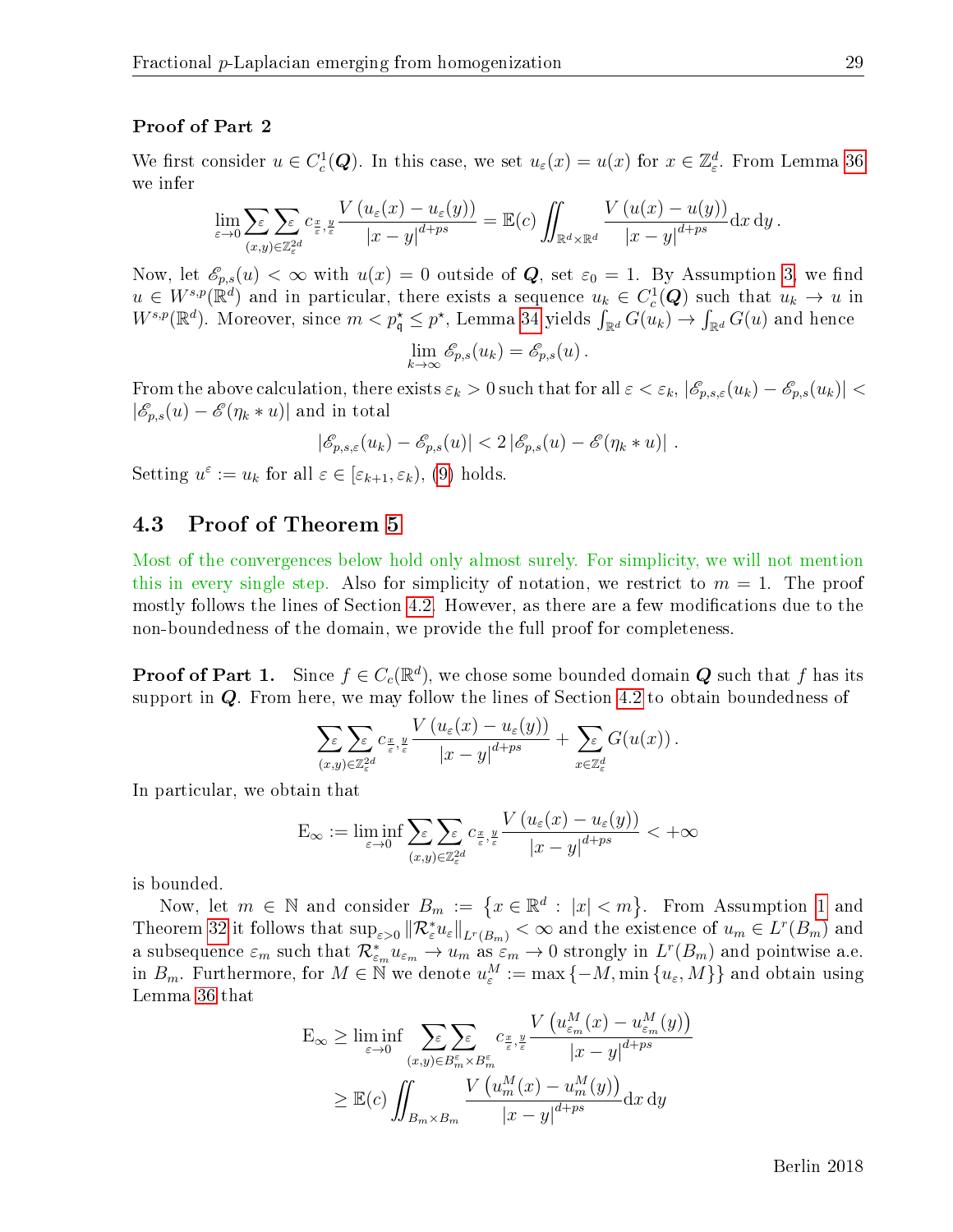#### Proof of Part 2

We first consider  $u \in C_c^1(Q)$ . In this case, we set  $u_\varepsilon(x) = u(x)$  for  $x \in \mathbb{Z}_\varepsilon^d$ . From Lemma [36](#page-24-3) we infer

$$
\lim_{\varepsilon \to 0} \sum_{(x,y) \in \mathbb{Z}_\varepsilon^{2d}} \sum_{\varepsilon, y} c_{\frac{x}{\varepsilon}, \frac{y}{\varepsilon}} \frac{V(u_\varepsilon(x) - u_\varepsilon(y))}{|x - y|^{d + ps}} = \mathbb{E}(c) \iint_{\mathbb{R}^d \times \mathbb{R}^d} \frac{V(u(x) - u(y))}{|x - y|^{d + ps}} dx dy.
$$

Now, let  $\mathscr{E}_{p,s}(u) < \infty$  with  $u(x) = 0$  outside of Q, set  $\varepsilon_0 = 1$ . By Assumption [3,](#page-5-0) we find  $u \in W^{s,p}(\mathbb{R}^d)$  and in particular, there exists a sequence  $u_k \in C_c^1(Q)$  such that  $u_k \to u$  in  $W^{s,p}(\mathbb{R}^d)$ . Moreover, since  $m < p^{\star}_{\mathfrak{q}} \leq p^{\star}$ , Lemma [34](#page-23-0) yields  $\int_{\mathbb{R}^d} G(u_k) \to \int_{\mathbb{R}^d} G(u)$  and hence

$$
\lim_{k\to\infty}\mathscr{E}_{p,s}(u_k)=\mathscr{E}_{p,s}(u).
$$

From the above calculation, there exists  $\varepsilon_k > 0$  such that for all  $\varepsilon < \varepsilon_k$ ,  $|\mathscr{E}_{p,s,\varepsilon}(u_k) - \mathscr{E}_{p,s}(u_k)|$  $|\mathscr{E}_{p,s}(u) - \mathscr{E}(\eta_k * u)|$  and in total

$$
|\mathscr{E}_{p,s,\varepsilon}(u_k) - \mathscr{E}_{p,s}(u)| < 2 |\mathscr{E}_{p,s}(u) - \mathscr{E}(\eta_k * u)|.
$$

Setting  $u^{\varepsilon} := u_k$  for all  $\varepsilon \in [\varepsilon_{k+1}, \varepsilon_k)$ , [\(9\)](#page-7-0) holds.

### 4.3 Proof of Theorem [5](#page-7-1)

Most of the convergences below hold only almost surely. For simplicity, we will not mention this in every single step. Also for simplicity of notation, we restrict to  $m = 1$ . The proof mostly follows the lines of Section [4.2.](#page-27-0) However, as there are a few modifications due to the non-boundedness of the domain, we provide the full proof for completeness.

**Proof of Part 1.** Since  $f \in C_c(\mathbb{R}^d)$ , we chose some bounded domain  $\boldsymbol{Q}$  such that  $f$  has its support in Q. From here, we may follow the lines of Section [4.2](#page-27-0) to obtain boundedness of

$$
\sum_{(x,y)\in\mathbb{Z}_{\varepsilon}^{2d}}\sum_{\varepsilon}\varepsilon_{\frac{x}{\varepsilon},\frac{y}{\varepsilon}}\frac{V\left(u_{\varepsilon}(x)-u_{\varepsilon}(y)\right)}{\left|x-y\right|^{d+ps}}+\sum_{x\in\mathbb{Z}_{\varepsilon}^{d}}G(u(x))\,.
$$

In particular, we obtain that

$$
E_{\infty} := \liminf_{\varepsilon \to 0} \sum_{(x,y) \in \mathbb{Z}_\varepsilon^2} \sum_{\varepsilon \in \mathbb{Z}_\varepsilon} c_{\frac{x}{\varepsilon}, \frac{y}{\varepsilon}} \frac{V\left(u_\varepsilon(x) - u_\varepsilon(y)\right)}{|x - y|^{d + ps}} < +\infty
$$

is bounded.

Now, let  $m \in \mathbb{N}$  and consider  $B_m := \{x \in \mathbb{R}^d : |x| < m\}$ . From Assumption [1](#page-4-0) and Theorem [32](#page-21-1) it follows that  $\sup_{\varepsilon>0} ||\mathcal{R}_{\varepsilon}^* u_{\varepsilon}||_{L^r(B_m)} < \infty$  and the existence of  $u_m \in L^r(B_m)$  and a subsequence  $\varepsilon_m$  such that  $\mathcal{R}_{\varepsilon_m}^* u_{\varepsilon_m} \to u_m$  as  $\varepsilon_m \to 0$  strongly in  $L^r(B_m)$  and pointwise a.e. in  $B_m$ . Furthermore, for  $M \in \mathbb{N}$  we denote  $u_{\varepsilon}^M := \max\{-M, \min\{u_{\varepsilon}, M\}\}$  and obtain using Lemma [36](#page-24-3) that

$$
E_{\infty} \geq \liminf_{\varepsilon \to 0} \sum_{(x,y) \in B_m^{\varepsilon} \times B_m^{\varepsilon}} c_{\frac{x}{\varepsilon},\frac{y}{\varepsilon}} \frac{V\left(u_{\varepsilon_m}^M(x) - u_{\varepsilon_m}^M(y)\right)}{|x - y|^{d + ps}}
$$
  

$$
\geq \mathbb{E}(c) \iint_{B_m \times B_m} \frac{V\left(u_m^M(x) - u_m^M(y)\right)}{|x - y|^{d + ps}} dx dy
$$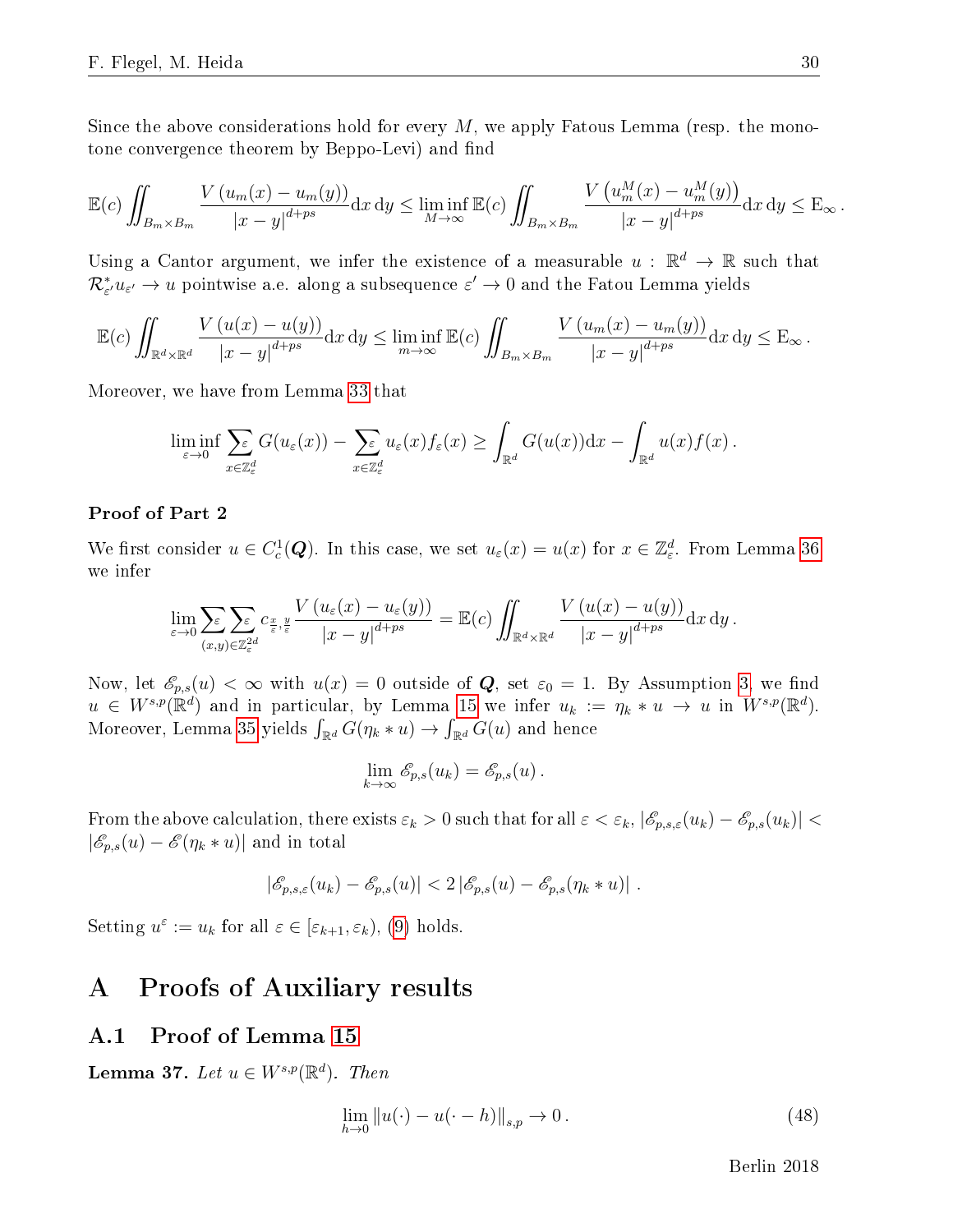Since the above considerations hold for every  $M$ , we apply Fatous Lemma (resp. the monotone convergence theorem by Beppo-Levi) and find

$$
\mathbb{E}(c)\iint_{B_m\times B_m}\frac{V(u_m(x)-u_m(y))}{|x-y|^{d+ps}}\mathrm{d}x\,\mathrm{d}y\leq \liminf_{M\to\infty}\mathbb{E}(c)\iint_{B_m\times B_m}\frac{V\left(u_m^M(x)-u_m^M(y)\right)}{|x-y|^{d+ps}}\mathrm{d}x\,\mathrm{d}y\leq \mathbb{E}_{\infty}.
$$

Using a Cantor argument, we infer the existence of a measurable  $u : \mathbb{R}^d \to \mathbb{R}$  such that  $\mathcal{R}^*_{\varepsilon'} u_{\varepsilon'} \to u$  pointwise a.e. along a subsequence  $\varepsilon' \to 0$  and the Fatou Lemma yields

$$
\mathbb{E}(c)\iint_{\mathbb{R}^d\times\mathbb{R}^d}\frac{V\left(u(x)-u(y)\right)}{|x-y|^{d+ps}}\mathrm{d}x\,\mathrm{d}y\leq \liminf_{m\to\infty}\mathbb{E}(c)\iint_{B_m\times B_m}\frac{V\left(u_m(x)-u_m(y)\right)}{|x-y|^{d+ps}}\mathrm{d}x\,\mathrm{d}y\leq \mathrm{E}_{\infty}.
$$

Moreover, we have from Lemma [33](#page-22-1) that

$$
\liminf_{\varepsilon \to 0} \sum_{x \in \mathbb{Z}_{\varepsilon}^d} G(u_{\varepsilon}(x)) - \sum_{x \in \mathbb{Z}_{\varepsilon}^d} u_{\varepsilon}(x) f_{\varepsilon}(x) \ge \int_{\mathbb{R}^d} G(u(x)) dx - \int_{\mathbb{R}^d} u(x) f(x).
$$

#### Proof of Part 2

We first consider  $u \in C_c^1(Q)$ . In this case, we set  $u_\varepsilon(x) = u(x)$  for  $x \in \mathbb{Z}_\varepsilon^d$ . From Lemma [36](#page-24-3) we infer

$$
\lim_{\varepsilon \to 0} \sum_{(x,y) \in \mathbb{Z}_\varepsilon^2} \sum_{\varepsilon} c_{\frac{x}{\varepsilon},\frac{y}{\varepsilon}} \frac{V(u_\varepsilon(x) - u_\varepsilon(y))}{|x - y|^{d + ps}} = \mathbb{E}(c) \iint_{\mathbb{R}^d \times \mathbb{R}^d} \frac{V(u(x) - u(y))}{|x - y|^{d + ps}} dx dy.
$$

Now, let  $\mathscr{E}_{p,s}(u) < \infty$  with  $u(x) = 0$  outside of Q, set  $\varepsilon_0 = 1$ . By Assumption [3,](#page-5-0) we find  $u \in W^{s,p}(\mathbb{R}^d)$  and in particular, by Lemma [15](#page-13-2) we infer  $u_k := \eta_k * u \to u$  in  $W^{s,p}(\mathbb{R}^d)$ . Moreover, Lemma [35](#page-24-4) yields  $\int_{\mathbb{R}^d} G(\eta_k * u) \to \int_{\mathbb{R}^d} G(u)$  and hence

$$
\lim_{k\to\infty}\mathscr{E}_{p,s}(u_k)=\mathscr{E}_{p,s}(u).
$$

From the above calculation, there exists  $\varepsilon_k > 0$  such that for all  $\varepsilon < \varepsilon_k$ ,  $|\mathscr{E}_{p,s,\varepsilon}(u_k) - \mathscr{E}_{p,s}(u_k)|$  $|\mathscr{E}_{p,s}(u) - \mathscr{E}(\eta_k * u)|$  and in total

$$
|\mathscr{E}_{p,s,\varepsilon}(u_k) - \mathscr{E}_{p,s}(u)| < 2 |\mathscr{E}_{p,s}(u) - \mathscr{E}_{p,s}(\eta_k * u)|.
$$

Setting  $u^{\varepsilon} := u_k$  for all  $\varepsilon \in [\varepsilon_{k+1}, \varepsilon_k)$ , [\(9\)](#page-7-0) holds.

# A Proofs of Auxiliary results

### A.1 Proof of Lemma [15](#page-13-2)

<span id="page-30-1"></span>Lemma 37. Let  $u \in W^{s,p}(\mathbb{R}^d)$ . Then

<span id="page-30-0"></span>
$$
\lim_{h \to 0} \|u(\cdot) - u(\cdot - h)\|_{s,p} \to 0.
$$
\n(48)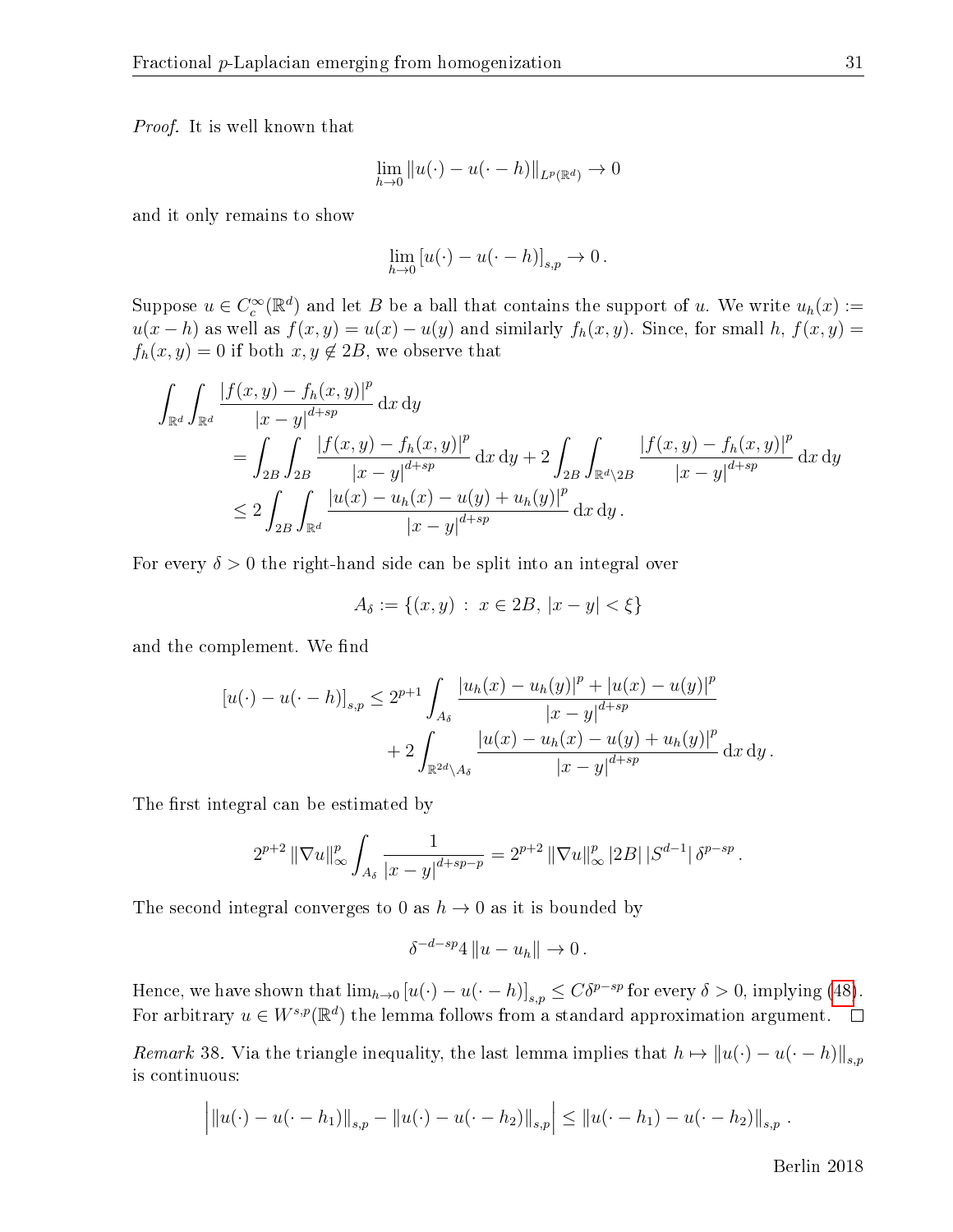Proof. It is well known that

$$
\lim_{h \to 0} ||u(\cdot) - u(\cdot - h)||_{L^p(\mathbb{R}^d)} \to 0
$$

and it only remains to show

$$
\lim_{h \to 0} [u(\cdot) - u(\cdot - h)]_{s,p} \to 0.
$$

Suppose  $u \in C_c^{\infty}(\mathbb{R}^d)$  and let B be a ball that contains the support of u. We write  $u_h(x) :=$  $u(x-h)$  as well as  $f(x,y) = u(x) - u(y)$  and similarly  $f_h(x,y)$ . Since, for small h,  $f(x,y) =$  $f_h(x, y) = 0$  if both  $x, y \notin 2B$ , we observe that

$$
\int_{\mathbb{R}^d} \int_{\mathbb{R}^d} \frac{|f(x,y) - f_h(x,y)|^p}{|x - y|^{d + sp}} dx dy
$$
\n
$$
= \int_{2B} \int_{2B} \frac{|f(x,y) - f_h(x,y)|^p}{|x - y|^{d + sp}} dx dy + 2 \int_{2B} \int_{\mathbb{R}^d \setminus 2B} \frac{|f(x,y) - f_h(x,y)|^p}{|x - y|^{d + sp}} dx dy
$$
\n
$$
\leq 2 \int_{2B} \int_{\mathbb{R}^d} \frac{|u(x) - u_h(x) - u(y) + u_h(y)|^p}{|x - y|^{d + sp}} dx dy.
$$

For every  $\delta > 0$  the right-hand side can be split into an integral over

$$
A_{\delta} := \{(x, y) : x \in 2B, |x - y| < \xi\}
$$

and the complement. We find

$$
[u(\cdot) - u(\cdot - h)]_{s,p} \le 2^{p+1} \int_{A_{\delta}} \frac{|u_h(x) - u_h(y)|^p + |u(x) - u(y)|^p}{|x - y|^{d + sp}} + 2 \int_{\mathbb{R}^{2d} \setminus A_{\delta}} \frac{|u(x) - u_h(x) - u(y) + u_h(y)|^p}{|x - y|^{d + sp}} dx dy.
$$

The first integral can be estimated by

$$
2^{p+2} \|\nabla u\|_{\infty}^p \int_{A_\delta} \frac{1}{|x-y|^{d+sp-p}} = 2^{p+2} \|\nabla u\|_{\infty}^p |2B| \, |S^{d-1}| \, \delta^{p-sp} \, .
$$

The second integral converges to 0 as  $h \to 0$  as it is bounded by

$$
\delta^{-d-sp}4\left\|u-u_h\right\| \to 0.
$$

Hence, we have shown that  $\lim_{h\to 0} [u(\cdot) - u(\cdot - h)]_{s,p} \leq C \delta^{p-sp}$  for every  $\delta > 0$ , implying [\(48\)](#page-30-0). For arbitrary  $u \in W^{s,p}(\mathbb{R}^d)$  the lemma follows from a standard approximation argument.

<span id="page-31-0"></span>Remark 38. Via the triangle inequality, the last lemma implies that  $h \mapsto ||u(\cdot) - u(\cdot - h)||_{s,p}$ is continuous:

$$
\left| \|u(\cdot) - u(\cdot - h_1)\|_{s,p} - \|u(\cdot) - u(\cdot - h_2)\|_{s,p} \right| \leq \|u(\cdot - h_1) - u(\cdot - h_2)\|_{s,p}.
$$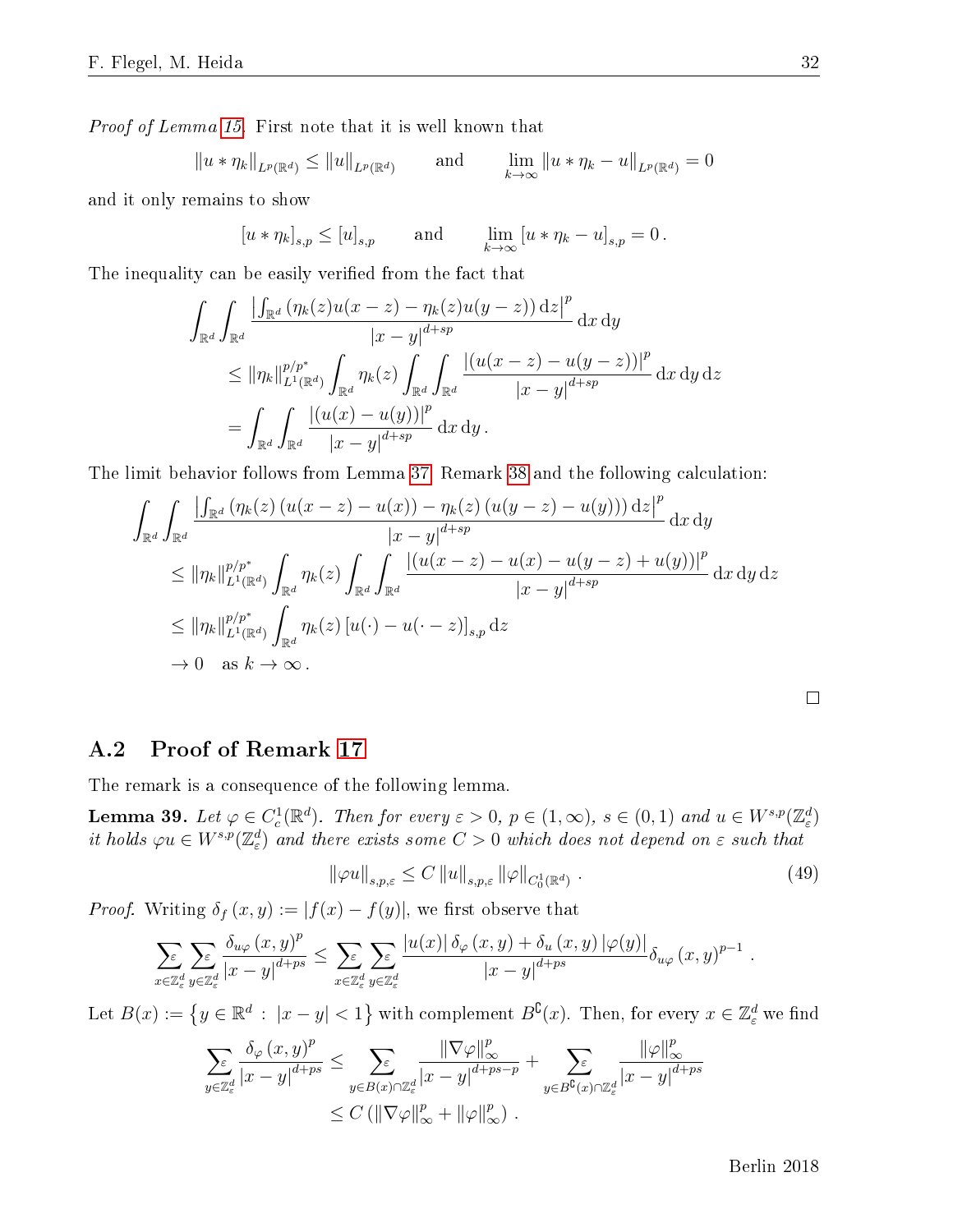Proof of Lemma [15.](#page-13-2) First note that it is well known that

$$
||u * \eta_k||_{L^p(\mathbb{R}^d)} \le ||u||_{L^p(\mathbb{R}^d)}
$$
 and  $\lim_{k \to \infty} ||u * \eta_k - u||_{L^p(\mathbb{R}^d)} = 0$ 

and it only remains to show

$$
[u * \eta_k]_{s,p} \le [u]_{s,p} \quad \text{and} \quad \lim_{k \to \infty} [u * \eta_k - u]_{s,p} = 0.
$$

The inequality can be easily verified from the fact that

$$
\int_{\mathbb{R}^d} \int_{\mathbb{R}^d} \frac{\left| \int_{\mathbb{R}^d} (\eta_k(z)u(x-z) - \eta_k(z)u(y-z)) \,dz \right|^p}{|x-y|^{d+sp}} dx dy
$$
\n
$$
\leq ||\eta_k||_{L^1(\mathbb{R}^d)}^{p/p^*} \int_{\mathbb{R}^d} \eta_k(z) \int_{\mathbb{R}^d} \int_{\mathbb{R}^d} \frac{|(u(x-z) - u(y-z))|^p}{|x-y|^{d+sp}} dx dy dz
$$
\n
$$
= \int_{\mathbb{R}^d} \int_{\mathbb{R}^d} \frac{|(u(x) - u(y))|^p}{|x-y|^{d+sp}} dx dy.
$$

The limit behavior follows from Lemma [37,](#page-30-1) Remark [38](#page-31-0) and the following calculation:

$$
\int_{\mathbb{R}^d} \int_{\mathbb{R}^d} \frac{\left| \int_{\mathbb{R}^d} (\eta_k(z) \left( u(x-z) - u(x) \right) - \eta_k(z) \left( u(y-z) - u(y) \right) \right) dz \right|^p}{|x - y|^{d + sp}} dx dy
$$
\n
$$
\leq ||\eta_k||_{L^1(\mathbb{R}^d)}^{p/p^*} \int_{\mathbb{R}^d} \eta_k(z) \int_{\mathbb{R}^d} \int_{\mathbb{R}^d} \frac{\left| \left( u(x-z) - u(x) - u(y-z) + u(y) \right) \right|^p}{|x - y|^{d + sp}} dx dy dz
$$
\n
$$
\leq ||\eta_k||_{L^1(\mathbb{R}^d)}^{p/p^*} \int_{\mathbb{R}^d} \eta_k(z) \left[ u(\cdot) - u(\cdot - z) \right]_{s,p} dz
$$
\n
$$
\to 0 \quad \text{as } k \to \infty.
$$

 $\Box$ 

### A.2 Proof of Remark [17](#page-13-3)

The remark is a consequence of the following lemma.

**Lemma 39.** Let  $\varphi \in C_c^1(\mathbb{R}^d)$ . Then for every  $\varepsilon > 0$ ,  $p \in (1, \infty)$ ,  $s \in (0, 1)$  and  $u \in W^{s,p}(\mathbb{Z}_\varepsilon^d)$ it holds  $\varphi u \in W^{s,p}(\mathbb{Z}_{\varepsilon}^d)$  and there exists some  $C>0$  which does not depend on  $\varepsilon$  such that

<span id="page-32-0"></span>
$$
\|\varphi u\|_{s,p,\varepsilon} \le C \|u\|_{s,p,\varepsilon} \|\varphi\|_{C_0^1(\mathbb{R}^d)} \tag{49}
$$

*Proof.* Writing  $\delta_f(x, y) := |f(x) - f(y)|$ , we first observe that

$$
\sum_{x \in \mathbb{Z}_{\varepsilon}^{d}} \sum_{y \in \mathbb{Z}_{\varepsilon}^{d}} \frac{\delta_{u\varphi}(x,y)^{p}}{|x-y|^{d+ps}} \leq \sum_{x \in \mathbb{Z}_{\varepsilon}^{d}} \sum_{y \in \mathbb{Z}_{\varepsilon}^{d}} \frac{|u(x)| \delta_{\varphi}(x,y) + \delta_{u}(x,y)|\varphi(y)|}{|x-y|^{d+ps}} \delta_{u\varphi}(x,y)^{p-1}.
$$

Let  $B(x):=\left\{y\in\mathbb{R}^d\,:\,\,|x-y|<1\right\}$  with complement  $B^\complement(x).$  Then, for every  $x\in\mathbb{Z}^d_\varepsilon$  we find

$$
\sum_{y \in \mathbb{Z}_{\varepsilon}^d} \frac{\delta_{\varphi}(x,y)^p}{|x-y|^{d+ps}} \leq \sum_{y \in B(x) \cap \mathbb{Z}_{\varepsilon}^d} \frac{\|\nabla \varphi\|_{\infty}^p}{|x-y|^{d+ps-p}} + \sum_{y \in B^{\complement}(x) \cap \mathbb{Z}_{\varepsilon}^d} \frac{\|\varphi\|_{\infty}^p}{|x-y|^{d+ps}} \leq C \left( \|\nabla \varphi\|_{\infty}^p + \|\varphi\|_{\infty}^p \right).
$$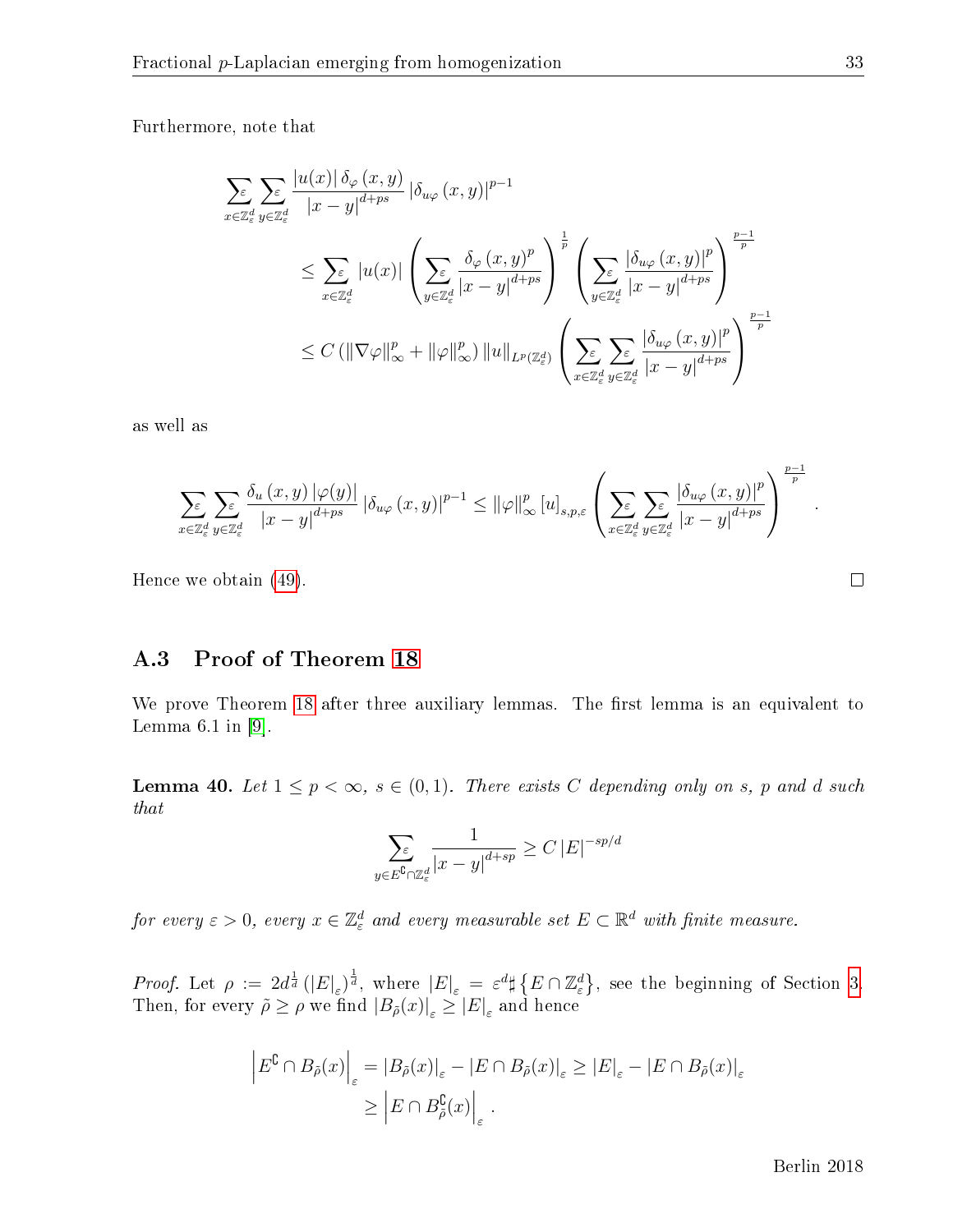Furthermore, note that

$$
\sum_{x \in \mathbb{Z}_{\varepsilon}^{d}} \sum_{y \in \mathbb{Z}_{\varepsilon}^{d}} \frac{|u(x)| \delta_{\varphi}(x, y)}{|x - y|^{d + ps}} | \delta_{u\varphi}(x, y)|^{p-1} \leq \sum_{x \in \mathbb{Z}_{\varepsilon}^{d}} |u(x)| \left( \sum_{y \in \mathbb{Z}_{\varepsilon}^{d}} \frac{\delta_{\varphi}(x, y)^{p}}{|x - y|^{d + ps}} \right)^{\frac{1}{p}} \left( \sum_{y \in \mathbb{Z}_{\varepsilon}^{d}} \frac{|\delta_{u\varphi}(x, y)|^{p}}{|x - y|^{d + ps}} \right)^{\frac{p-1}{p}}
$$
  

$$
\leq C \left( \|\nabla \varphi\|_{\infty}^{p} + \|\varphi\|_{\infty}^{p} \right) \|u\|_{L^{p}(\mathbb{Z}_{\varepsilon}^{d})} \left( \sum_{x \in \mathbb{Z}_{\varepsilon}^{d}} \sum_{y \in \mathbb{Z}_{\varepsilon}^{d}} \frac{|\delta_{u\varphi}(x, y)|^{p}}{|x - y|^{d + ps}} \right)^{\frac{p-1}{p}}
$$

as well as

$$
\sum_{x\in\mathbb{Z}_{\varepsilon}^{d}}\sum_{y\in\mathbb{Z}_{\varepsilon}^{d}}\frac{\delta_{u}\left(x,y\right)|\varphi(y)|}{\left|x-y\right|^{d+ps}}\left|\delta_{u\varphi}\left(x,y\right)\right|^{p-1}\leq\left\|\varphi\right\|^{p}_{\infty}\left[u\right]_{s,p,\varepsilon}\left(\sum_{x\in\mathbb{Z}_{\varepsilon}^{d}}\sum_{y\in\mathbb{Z}_{\varepsilon}^{d}}\frac{\left|\delta_{u\varphi}\left(x,y\right)\right|^{p}}{\left|x-y\right|^{d+ps}}\right)^{\frac{p-1}{p}}
$$

Hence we obtain [\(49\)](#page-32-0).

### A.3 Proof of Theorem [18](#page-14-0)

We prove Theorem [18](#page-14-0) after three auxiliary lemmas. The first lemma is an equivalent to Lemma  $6.1$  in [\[9\]](#page-41-4).

<span id="page-33-0"></span>**Lemma 40.** Let  $1 \leq p < \infty$ ,  $s \in (0,1)$ . There exists C depending only on s, p and d such that

$$
\sum_{y \in E^{\complement} \cap \mathbb{Z}_e^d} \frac{1}{|x - y|^{d + sp}} \ge C \, |E|^{-sp/d}
$$

for every  $\varepsilon > 0$ , every  $x \in \mathbb{Z}_\varepsilon^d$  and every measurable set  $E \subset \mathbb{R}^d$  with finite measure.

Proof. Let  $\rho := 2d^{\frac{1}{d}}(|E|_{\varepsilon})^{\frac{1}{d}}$ , where  $|E|_{\varepsilon} = \varepsilon^{d} \sharp \{ E \cap \mathbb{Z}_{\varepsilon}^{d} \}$ , see the beginning of Section [3.](#page-11-0) Then, for every  $\tilde{\rho} \ge \rho$  we find  $|B_{\tilde{\rho}}(x)|_{\varepsilon} \ge |E|_{\varepsilon}$  and hence

$$
\left| E^{\mathbb{C}} \cap B_{\tilde{\rho}}(x) \right|_{\varepsilon} = \left| B_{\tilde{\rho}}(x) \right|_{\varepsilon} - \left| E \cap B_{\tilde{\rho}}(x) \right|_{\varepsilon} \ge \left| E \right|_{\varepsilon} - \left| E \cap B_{\tilde{\rho}}(x) \right|_{\varepsilon}
$$

$$
\ge \left| E \cap B_{\tilde{\rho}}^{\mathbb{C}}(x) \right|_{\varepsilon}.
$$

.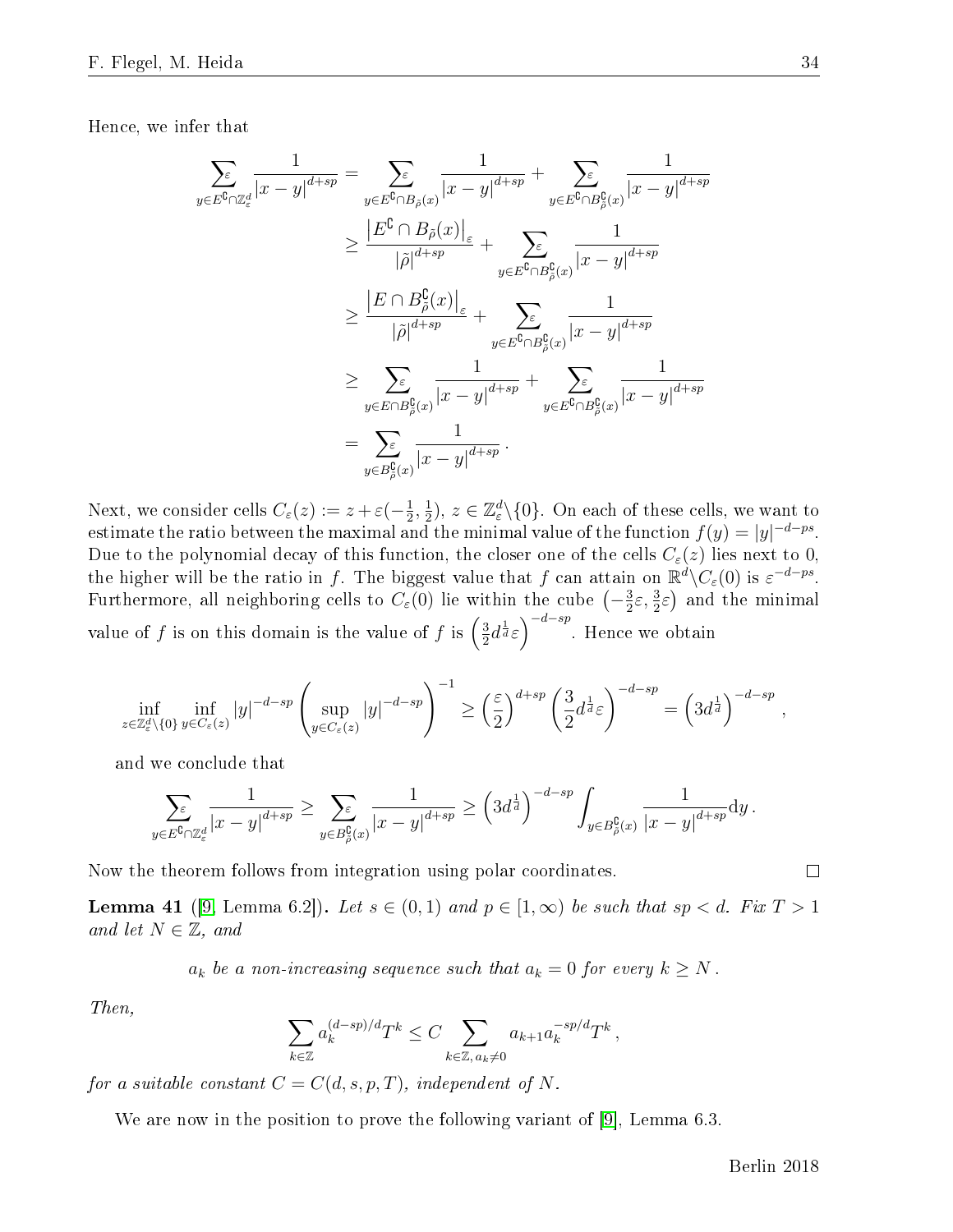Hence, we infer that

$$
\sum_{y \in E^{\complement} \cap \mathbb{Z}_{\varepsilon}^{d}} \frac{1}{|x - y|^{d + sp}} = \sum_{y \in E^{\complement} \cap B_{\tilde{\rho}}(x)} \frac{1}{|x - y|^{d + sp}} + \sum_{y \in E^{\complement} \cap B_{\tilde{\rho}}^{\complement}(x)} \frac{1}{|x - y|^{d + sp}} \n\geq \frac{|E^{\complement} \cap B_{\tilde{\rho}}(x)|_{\varepsilon}}{|\tilde{\rho}|^{d + sp}} + \sum_{y \in E^{\complement} \cap B_{\tilde{\rho}}^{\complement}(x)} \frac{1}{|x - y|^{d + sp}} \n\geq \frac{|E \cap B_{\tilde{\rho}}^{\complement}(x)|_{\varepsilon}}{|\tilde{\rho}|^{d + sp}} + \sum_{y \in E^{\complement} \cap B_{\tilde{\rho}}^{\complement}(x)} \frac{1}{|x - y|^{d + sp}} \n\geq \sum_{y \in E \cap B_{\tilde{\rho}}^{\complement}(x)} \frac{1}{|x - y|^{d + sp}} + \sum_{y \in E^{\complement} \cap B_{\tilde{\rho}}^{\complement}(x)} \frac{1}{|x - y|^{d + sp}} \n= \sum_{y \in B_{\tilde{\rho}}^{\complement}(x)} \frac{1}{|x - y|^{d + sp}}.
$$

Next, we consider cells  $C_{\varepsilon}(z) := z + \varepsilon(-\frac{1}{2})$  $\frac{1}{2}, \frac{1}{2}$  $(\frac{1}{2}), z \in \mathbb{Z}_{\varepsilon}^d \setminus \{0\}.$  On each of these cells, we want to estimate the ratio between the maximal and the minimal value of the function  $f(y) = |y|^{-d-ps}$ . Due to the polynomial decay of this function, the closer one of the cells  $C_{\varepsilon}(z)$  lies next to 0, the higher will be the ratio in f. The biggest value that f can attain on  $\mathbb{R}^d\setminus C_\varepsilon(0)$  is  $\varepsilon^{-d-ps}$ . Furthermore, all neighboring cells to  $C_{\varepsilon}(0)$  lie within the cube  $\left(-\frac{3}{2}\right)$  $(\frac{3}{2}\varepsilon, \frac{3}{2}\varepsilon)$  and the minimal value of f is on this domain is the value of f is  $\left(\frac{3}{2}\right)$  $\frac{3}{2}d^{\frac{1}{d}}\varepsilon\Big)^{-d-sp}$ . Hence we obtain

$$
\inf_{z \in \mathbb{Z}_{\varepsilon}^d \setminus \{0\}} \inf_{y \in C_{\varepsilon}(z)} |y|^{-d - sp} \left( \sup_{y \in C_{\varepsilon}(z)} |y|^{-d - sp} \right)^{-1} \ge \left( \frac{\varepsilon}{2} \right)^{d + sp} \left( \frac{3}{2} d^{\frac{1}{d}} \varepsilon \right)^{-d - sp} = \left( 3d^{\frac{1}{d}} \right)^{-d - sp},
$$

and we conclude that

$$
\sum_{y\in E^\complement\cap\mathbb{Z}_\varepsilon^d}\frac{1}{|x-y|^{d+sp}}\geq \sum_{y\in B^\complement_{\tilde{\rho}}(x)}\frac{1}{|x-y|^{d+sp}}\geq \left(3d^{\frac{1}{d}}\right)^{-d-sp}\int_{y\in B^\complement_{\tilde{\rho}}(x)}\frac{1}{|x-y|^{d+sp}}\mathrm{d} y\,.
$$

Now the theorem follows from integration using polar coordinates.

<span id="page-34-0"></span>**Lemma 41** ([\[9,](#page-41-4) Lemma 6.2]). Let  $s \in (0,1)$  and  $p \in [1,\infty)$  be such that  $sp < d$ . Fix  $T > 1$ and let  $N \in \mathbb{Z}$ , and

 $a_k$  be a non-increasing sequence such that  $a_k = 0$  for every  $k \geq N$ .

Then,

$$
\sum_{k\in\mathbb{Z}} a_k^{(d-sp)/d} T^k \leq C \sum_{k\in\mathbb{Z}, a_k\neq 0} a_{k+1} a_k^{-sp/d} T^k,
$$

for a suitable constant  $C = C(d, s, p, T)$ , independent of N.

We are now in the position to prove the following variant of [\[9\]](#page-41-4), Lemma 6.3.

$$
\qquad \qquad \Box
$$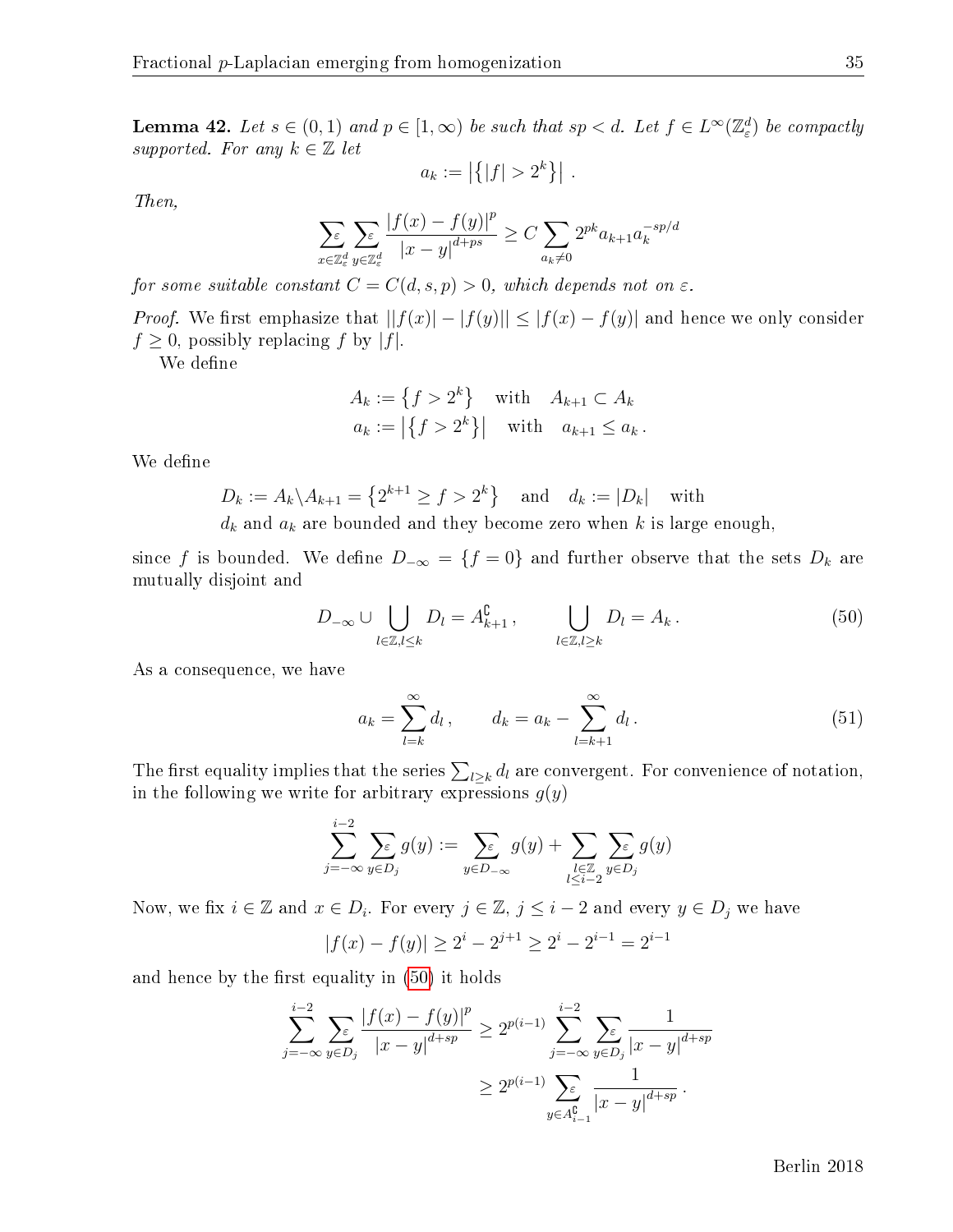<span id="page-35-2"></span>**Lemma 42.** Let  $s \in (0,1)$  and  $p \in [1,\infty)$  be such that  $sp < d$ . Let  $f \in L^{\infty}(\mathbb{Z}_{\varepsilon}^{d})$  be compactly supported. For any  $k \in \mathbb{Z}$  let

$$
a_k := \left| \left\{ |f| > 2^k \right\} \right| \, .
$$

Then,

$$
\sum_{x \in \mathbb{Z}_\varepsilon^d} \sum_{y \in \mathbb{Z}_\varepsilon^d} \frac{|f(x) - f(y)|^p}{|x - y|^{d + ps}} \ge C \sum_{a_k \neq 0} 2^{pk} a_{k+1} a_k^{-sp/d}
$$

for some suitable constant  $C = C(d, s, p) > 0$ , which depends not on  $\varepsilon$ .

*Proof.* We first emphasize that  $||f(x)| - |f(y)|| \leq |f(x) - f(y)|$  and hence we only consider  $f \geq 0$ , possibly replacing f by |f|.

We define

$$
A_k := \{ f > 2^k \} \quad \text{with} \quad A_{k+1} \subset A_k
$$
  

$$
a_k := \left| \{ f > 2^k \} \right| \quad \text{with} \quad a_{k+1} \le a_k.
$$

We define

$$
D_k := A_k \backslash A_{k+1} = \left\{ 2^{k+1} \ge f > 2^k \right\} \text{ and } d_k := |D_k| \text{ with }
$$

 $d_k$  and  $a_k$  are bounded and they become zero when k is large enough,

since f is bounded. We define  $D_{-\infty} = \{f = 0\}$  and further observe that the sets  $D_k$  are mutually disjoint and

<span id="page-35-0"></span>
$$
D_{-\infty} \cup \bigcup_{l \in \mathbb{Z}, l \le k} D_l = A_{k+1}^{\complement}, \qquad \bigcup_{l \in \mathbb{Z}, l \ge k} D_l = A_k. \tag{50}
$$

As a consequence, we have

<span id="page-35-1"></span>
$$
a_k = \sum_{l=k}^{\infty} d_l, \qquad d_k = a_k - \sum_{l=k+1}^{\infty} d_l.
$$
 (51)

The first equality implies that the series  $\sum_{l\geq k}d_l$  are convergent. For convenience of notation, in the following we write for arbitrary expressions  $g(y)$ 

$$
\sum_{j=-\infty}^{i-2} \sum_{y \in D_j} g(y) := \sum_{y \in D_{-\infty}} g(y) + \sum_{\substack{l \in \mathbb{Z} \\ l \leq i-2}} \sum_{y \in D_j} g(y)
$$

Now, we fix  $i \in \mathbb{Z}$  and  $x \in D_i$ . For every  $j \in \mathbb{Z}$ ,  $j \leq i-2$  and every  $y \in D_j$  we have

$$
|f(x) - f(y)| \ge 2^i - 2^{j+1} \ge 2^i - 2^{i-1} = 2^{i-1}
$$

and hence by the first equality in  $(50)$  it holds

$$
\sum_{j=-\infty}^{i-2} \sum_{y \in D_j} \frac{|f(x) - f(y)|^p}{|x - y|^{d + sp}} \ge 2^{p(i-1)} \sum_{j=-\infty}^{i-2} \sum_{y \in D_j} \frac{1}{|x - y|^{d + sp}}
$$

$$
\ge 2^{p(i-1)} \sum_{y \in A_{i-1}^{\mathbb{C}}} \frac{1}{|x - y|^{d + sp}}.
$$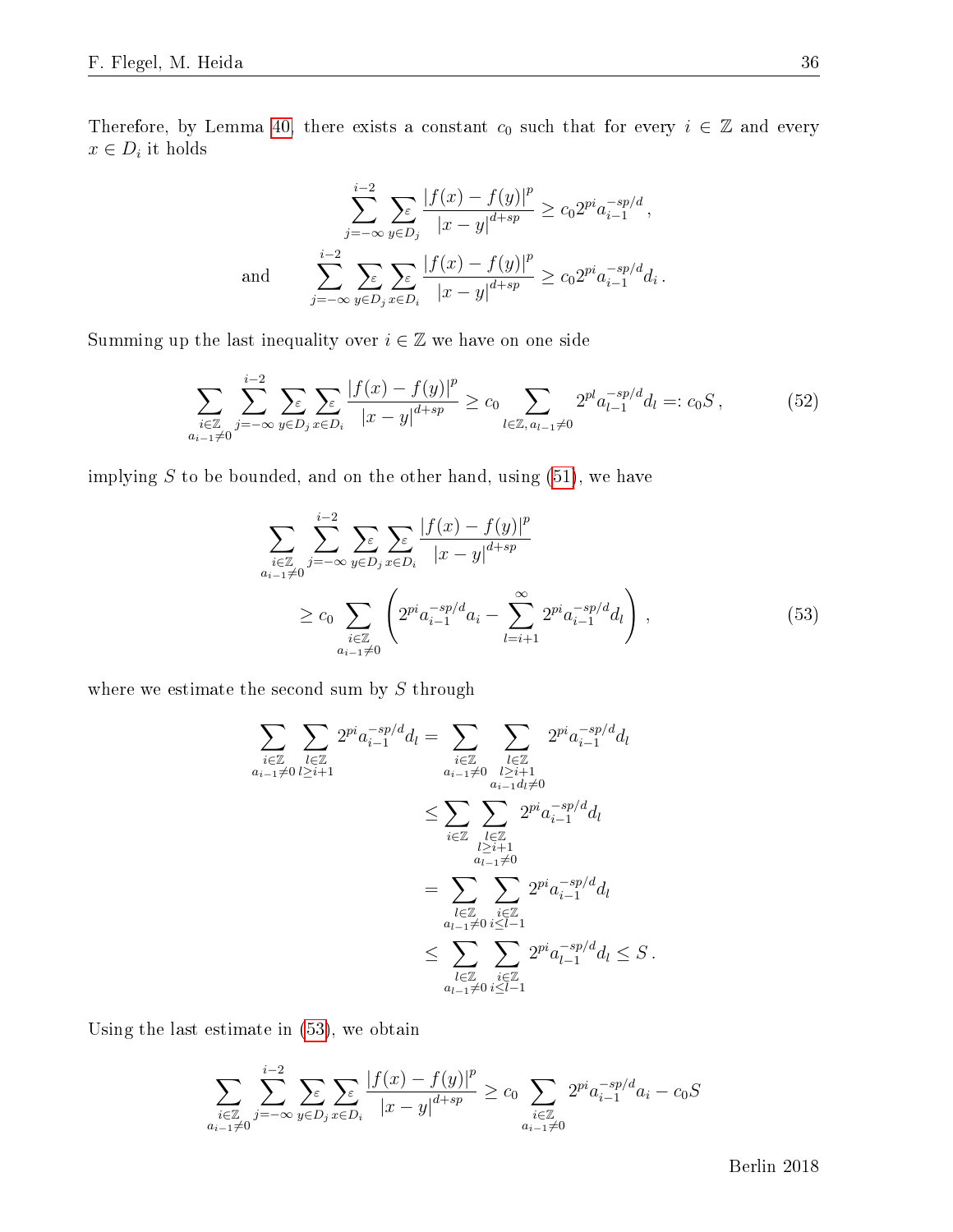Therefore, by Lemma [40,](#page-33-0) there exists a constant  $c_0$  such that for every  $i \in \mathbb{Z}$  and every  $x \in D_i$  it holds

$$
\sum_{j=-\infty}^{i-2} \sum_{y \in D_j} \frac{|f(x) - f(y)|^p}{|x - y|^{d + sp}} \ge c_0 2^{pi} a_{i-1}^{-sp/d},
$$
  
and 
$$
\sum_{j=-\infty}^{i-2} \sum_{y \in D_j} \sum_{x \in D_i} \frac{|f(x) - f(y)|^p}{|x - y|^{d + sp}} \ge c_0 2^{pi} a_{i-1}^{-sp/d} d_i.
$$

Summing up the last inequality over  $i \in \mathbb{Z}$  we have on one side

<span id="page-36-1"></span>
$$
\sum_{\substack{i\in\mathbb{Z}\\a_{i-1}\neq 0}} \sum_{j=-\infty}^{i-2} \sum_{y\in D_j} \sum_{x\in D_i} \frac{|f(x)-f(y)|^p}{|x-y|^{d+sp}} \ge c_0 \sum_{l\in\mathbb{Z}, a_{l-1}\neq 0} 2^{pl} a_{l-1}^{-sp/d} d_l =: c_0 S,
$$
\n(52)

implying  $S$  to be bounded, and on the other hand, using  $(51)$ , we have

<span id="page-36-0"></span>
$$
\sum_{\substack{i \in \mathbb{Z} \\ a_{i-1} \neq 0}} \sum_{j=-\infty}^{i-2} \sum_{y \in D_j} \sum_{x \in D_i} \frac{|f(x) - f(y)|^p}{|x - y|^{d + sp}} \\
\geq c_0 \sum_{\substack{i \in \mathbb{Z} \\ a_{i-1} \neq 0}} \left( 2^{pi} a_{i-1}^{-sp/d} a_i - \sum_{l=i+1}^{\infty} 2^{pi} a_{i-1}^{-sp/d} d_l \right),
$$
\n(53)

where we estimate the second sum by  $S$  through

$$
\sum_{\substack{i \in \mathbb{Z} \\ a_{i-1} \neq 0}} \sum_{\substack{l \in \mathbb{Z} \\ l \geq i+1}} 2^{pi} a_{i-1}^{-sp/d} d_l = \sum_{\substack{i \in \mathbb{Z} \\ a_{i-1} \neq 0}} \sum_{\substack{l \in \mathbb{Z} \\ l \geq i+1 \\ l \geq i+1}} 2^{pi} a_{i-1}^{-sp/d} d_l
$$
  

$$
\leq \sum_{i \in \mathbb{Z}} \sum_{\substack{l \in \mathbb{Z} \\ l \geq i+1 \\ a_{l-1} \neq 0}} 2^{pi} a_{i-1}^{-sp/d} d_l
$$
  

$$
= \sum_{\substack{l \in \mathbb{Z} \\ a_{l-1} \neq 0}} \sum_{\substack{i \in \mathbb{Z} \\ i \leq l-1}} 2^{pi} a_{i-1}^{-sp/d} d_l
$$
  

$$
\leq \sum_{\substack{l \in \mathbb{Z} \\ a_{l-1} \neq 0}} \sum_{\substack{i \in \mathbb{Z} \\ i \leq l-1}} 2^{pi} a_{i-1}^{-sp/d} d_l \leq S.
$$

Using the last estimate in [\(53\)](#page-36-0), we obtain

$$
\sum_{\substack{i \in \mathbb{Z} \\ a_{i-1} \neq 0}} \sum_{j=-\infty}^{i-2} \sum_{y \in D_j} \sum_{x \in D_i} \frac{|f(x) - f(y)|^p}{|x - y|^{d + sp}} \ge c_0 \sum_{\substack{i \in \mathbb{Z} \\ a_{i-1} \neq 0}} 2^{pi} a_{i-1}^{-sp/d} a_i - c_0 S
$$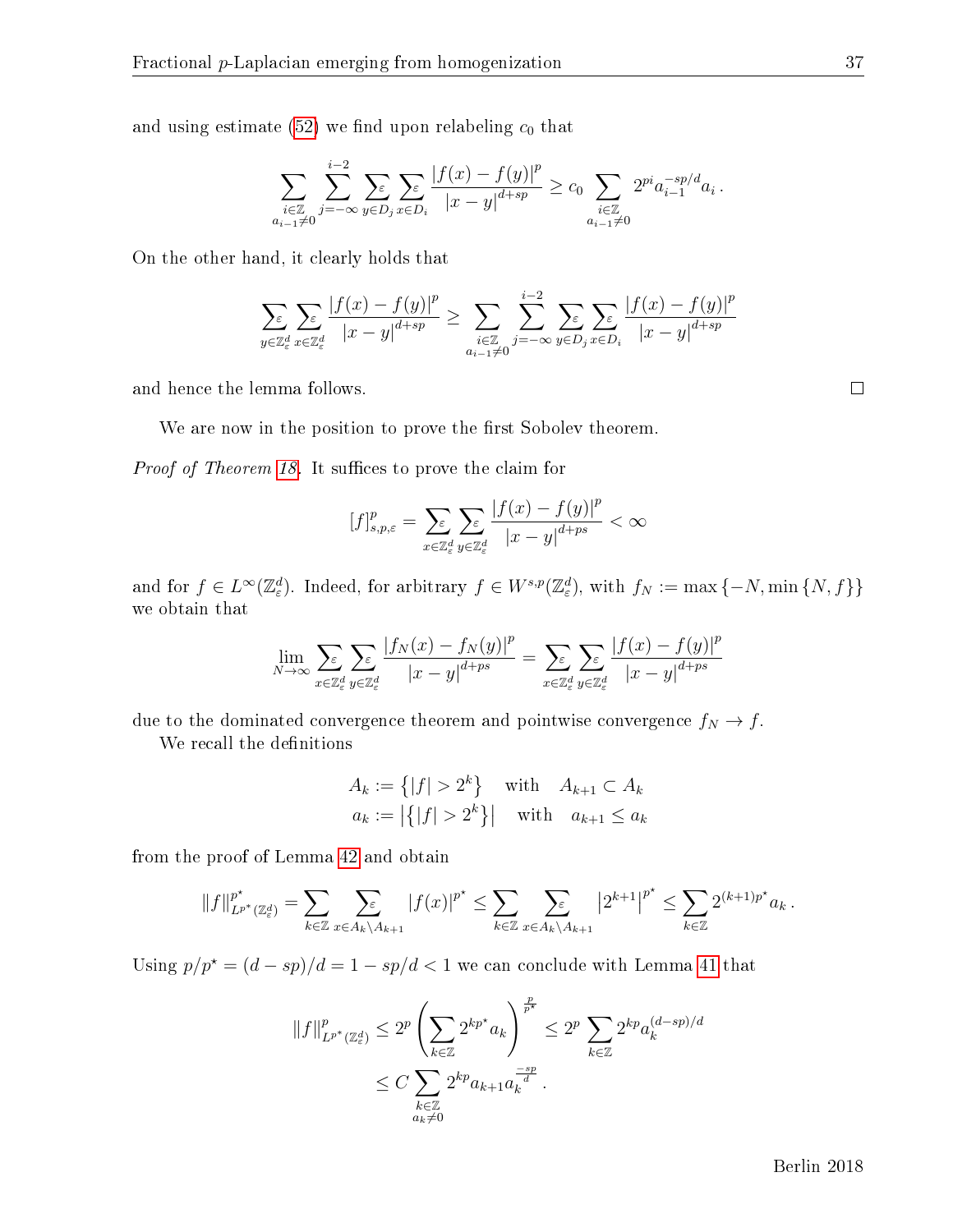and using estimate  $(52)$  we find upon relabeling  $c_0$  that

$$
\sum_{\substack{i\in\mathbb{Z}\\a_{i-1}\neq 0}}\sum_{j=-\infty}^{i-2}\sum_{y\in D_j}\sum_{x\in D_i}\frac{|f(x)-f(y)|^p}{|x-y|^{d+sp}}\geq c_0\sum_{\substack{i\in\mathbb{Z}\\a_{i-1}\neq 0}}2^{pi}a_{i-1}^{-sp/d}a_i.
$$

On the other hand, it clearly holds that

$$
\sum_{y \in \mathbb{Z}_\varepsilon^d} \sum_{x \in \mathbb{Z}_\varepsilon^d} \frac{|f(x) - f(y)|^p}{|x - y|^{d + sp}} \ge \sum_{\substack{i \in \mathbb{Z} \\ a_{i-1} \neq 0}} \sum_{j = -\infty}^{i-2} \sum_{y \in D_j} \sum_{x \in D_i} \frac{|f(x) - f(y)|^p}{|x - y|^{d + sp}}
$$

and hence the lemma follows.

We are now in the position to prove the first Sobolev theorem.

*Proof of Theorem [18.](#page-14-0)* It suffices to prove the claim for

$$
\left[f\right]_{s,p,\varepsilon}^p = \sum_{x \in \mathbb{Z}_{\varepsilon}^d} \sum_{y \in \mathbb{Z}_{\varepsilon}^d} \frac{|f(x) - f(y)|^p}{|x - y|^{d + ps}} < \infty
$$

and for  $f \in L^{\infty}(\mathbb{Z}_{\varepsilon}^d)$ . Indeed, for arbitrary  $f \in W^{s,p}(\mathbb{Z}_{\varepsilon}^d)$ , with  $f_N := \max\{-N, \min\{N, f\}\}\$ we obtain that

$$
\lim_{N \to \infty} \sum_{x \in \mathbb{Z}_\varepsilon^d} \sum_{y \in \mathbb{Z}_\varepsilon^d} \frac{|f_N(x) - f_N(y)|^p}{|x - y|^{d + ps}} = \sum_{x \in \mathbb{Z}_\varepsilon^d} \sum_{y \in \mathbb{Z}_\varepsilon^d} \frac{|f(x) - f(y)|^p}{|x - y|^{d + ps}}
$$

due to the dominated convergence theorem and pointwise convergence  $f_N \to f$ .

We recall the definitions

$$
A_k := \{|f| > 2^k\} \quad \text{with} \quad A_{k+1} \subset A_k
$$
  

$$
a_k := |\{|f| > 2^k\}| \quad \text{with} \quad a_{k+1} \le a_k
$$

from the proof of Lemma [42](#page-35-2) and obtain

$$
||f||_{L^{p^*}(\mathbb{Z}_{\varepsilon}^d)}^{p^*} = \sum_{k \in \mathbb{Z}} \sum_{x \in A_k \setminus A_{k+1}} |f(x)|^{p^*} \leq \sum_{k \in \mathbb{Z}} \sum_{x \in A_k \setminus A_{k+1}} |2^{k+1}|^{p^*} \leq \sum_{k \in \mathbb{Z}} 2^{(k+1)p^*} a_k.
$$

Using  $p/p^* = (d - sp)/d = 1 - sp/d < 1$  we can conclude with Lemma [41](#page-34-0) that

$$
||f||_{L^{p^*}(\mathbb{Z}_\varepsilon^d)}^p \le 2^p \left( \sum_{k \in \mathbb{Z}} 2^{kp^*} a_k \right)^{\frac{p}{p^*}} \le 2^p \sum_{k \in \mathbb{Z}} 2^{kp} a_k^{(d-sp)/d}
$$
  

$$
\le C \sum_{\substack{k \in \mathbb{Z} \\ a_k \ne 0}} 2^{kp} a_{k+1} a_k^{\frac{-sp}{d}}.
$$

Berlin 2018

 $\Box$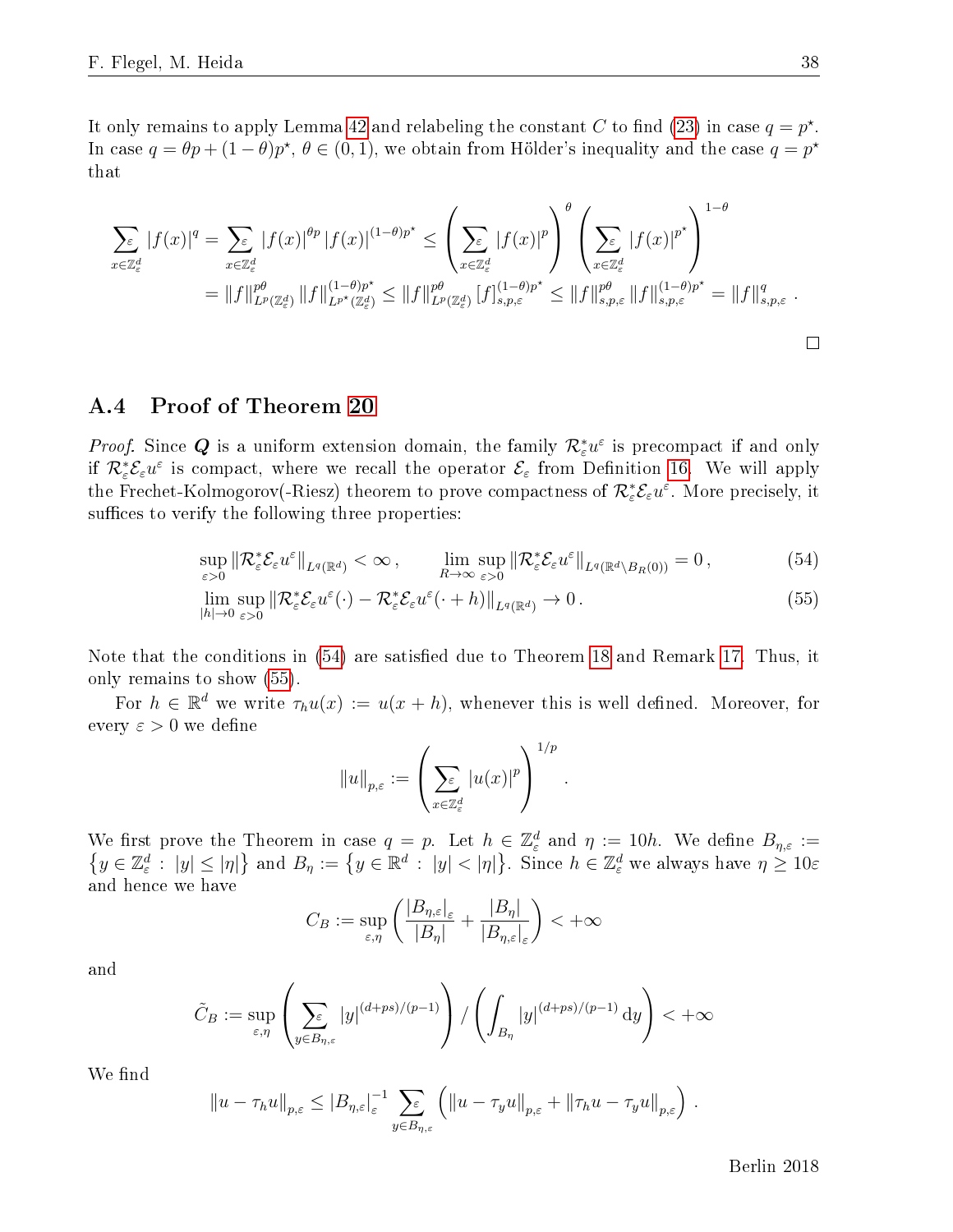It only remains to apply Lemma [42](#page-35-2) and relabeling the constant C to find [\(23\)](#page-14-4) in case  $q = p^*$ . In case  $q = \theta p + (1 - \theta)p^*$ ,  $\theta \in (0, 1)$ , we obtain from Hölder's inequality and the case  $q = p^*$ that

$$
\sum_{x \in \mathbb{Z}_{\epsilon}^{d}} |f(x)|^{q} = \sum_{x \in \mathbb{Z}_{\epsilon}^{d}} |f(x)|^{\theta p} |f(x)|^{(1-\theta)p^{\star}} \leq \left(\sum_{x \in \mathbb{Z}_{\epsilon}^{d}} |f(x)|^{p}\right)^{\theta} \left(\sum_{x \in \mathbb{Z}_{\epsilon}^{d}} |f(x)|^{p^{\star}}\right)^{1-\theta}
$$
\n
$$
= \|f\|_{L^{p}(\mathbb{Z}_{\epsilon}^{d})}^{p\theta} \|f\|_{L^{p^{\star}}(\mathbb{Z}_{\epsilon}^{d})}^{(1-\theta)p^{\star}} \leq \|f\|_{L^{p}(\mathbb{Z}_{\epsilon}^{d})}^{p\theta} |f\|_{s,p,\varepsilon}^{(1-\theta)p^{\star}} \leq \|f\|_{s,p,\varepsilon}^{p\theta} \|f\|_{s,p,\varepsilon}^{(1-\theta)p^{\star}} = \|f\|_{s,p,\varepsilon}^{q}.
$$

#### A.4 Proof of Theorem [20](#page-14-2)

*Proof.* Since  $Q$  is a uniform extension domain, the family  $\mathcal{R}^*_\varepsilon u^\varepsilon$  is precompact if and only if  $\mathcal{R}^*_\varepsilon \mathcal{E}_\varepsilon u^\varepsilon$  is compact, where we recall the operator  $\mathcal{E}_\varepsilon$  from Definition [16.](#page-13-0) We will apply the Frechet-Kolmogorov(-Riesz) theorem to prove compactness of  $\mathcal{R}_{\varepsilon}^*\mathcal{E}_{\varepsilon}u^\varepsilon$ . More precisely, it suffices to verify the following three properties:

$$
\sup_{\varepsilon>0} \|\mathcal{R}_{\varepsilon}^* \mathcal{E}_{\varepsilon} u^{\varepsilon}\|_{L^q(\mathbb{R}^d)} < \infty , \qquad \lim_{R \to \infty} \sup_{\varepsilon>0} \|\mathcal{R}_{\varepsilon}^* \mathcal{E}_{\varepsilon} u^{\varepsilon}\|_{L^q(\mathbb{R}^d \setminus B_R(0))} = 0 , \tag{54}
$$

$$
\lim_{|h| \to 0} \sup_{\varepsilon > 0} \left\| \mathcal{R}_{\varepsilon}^* \mathcal{E}_{\varepsilon} u^{\varepsilon}(\cdot) - \mathcal{R}_{\varepsilon}^* \mathcal{E}_{\varepsilon} u^{\varepsilon}(\cdot + h) \right\|_{L^{q}(\mathbb{R}^d)} \to 0.
$$
\n(55)

Note that the conditions in [\(54\)](#page-38-0) are satisfied due to Theorem [18](#page-14-0) and Remark [17.](#page-13-3) Thus, it only remains to show [\(55\)](#page-38-1).

For  $h \in \mathbb{R}^d$  we write  $\tau_h u(x) := u(x+h)$ , whenever this is well defined. Moreover, for every  $\varepsilon > 0$  we define

<span id="page-38-1"></span><span id="page-38-0"></span>
$$
||u||_{p,\varepsilon} := \left(\sum_{x \in \mathbb{Z}_{\varepsilon}^d} |u(x)|^p\right)^{1/p}.
$$

We first prove the Theorem in case  $q = p$ . Let  $h \in \mathbb{Z}_{\varepsilon}^d$  and  $\eta := 10h$ . We define  $B_{\eta,\varepsilon} :=$  $\{y \in \mathbb{Z}_{\varepsilon}^d : |y| \leq |\eta|\}$  and  $B_{\eta} := \{y \in \mathbb{R}^d : |y| < |\eta|\}$ . Since  $h \in \mathbb{Z}_{\varepsilon}^d$  we always have  $\eta \geq 10\varepsilon$ and hence we have

$$
C_B := \sup_{\varepsilon,\eta} \left( \frac{|B_{\eta,\varepsilon}|_{\varepsilon}}{|B_{\eta}|} + \frac{|B_{\eta}|}{|B_{\eta,\varepsilon}|_{\varepsilon}} \right) < +\infty
$$

and

$$
\tilde{C}_B := \sup_{\varepsilon,\eta} \left( \sum_{y \in B_{\eta,\varepsilon}} |y|^{(d+ps)/(p-1)} \right) / \left( \int_{B_{\eta}} |y|^{(d+ps)/(p-1)} dy \right) < +\infty
$$

We find

$$
||u - \tau_h u||_{p,\varepsilon} \leq |B_{\eta,\varepsilon}|_{\varepsilon}^{-1} \sum_{y \in B_{\eta,\varepsilon}} \left( ||u - \tau_y u||_{p,\varepsilon} + ||\tau_h u - \tau_y u||_{p,\varepsilon} \right).
$$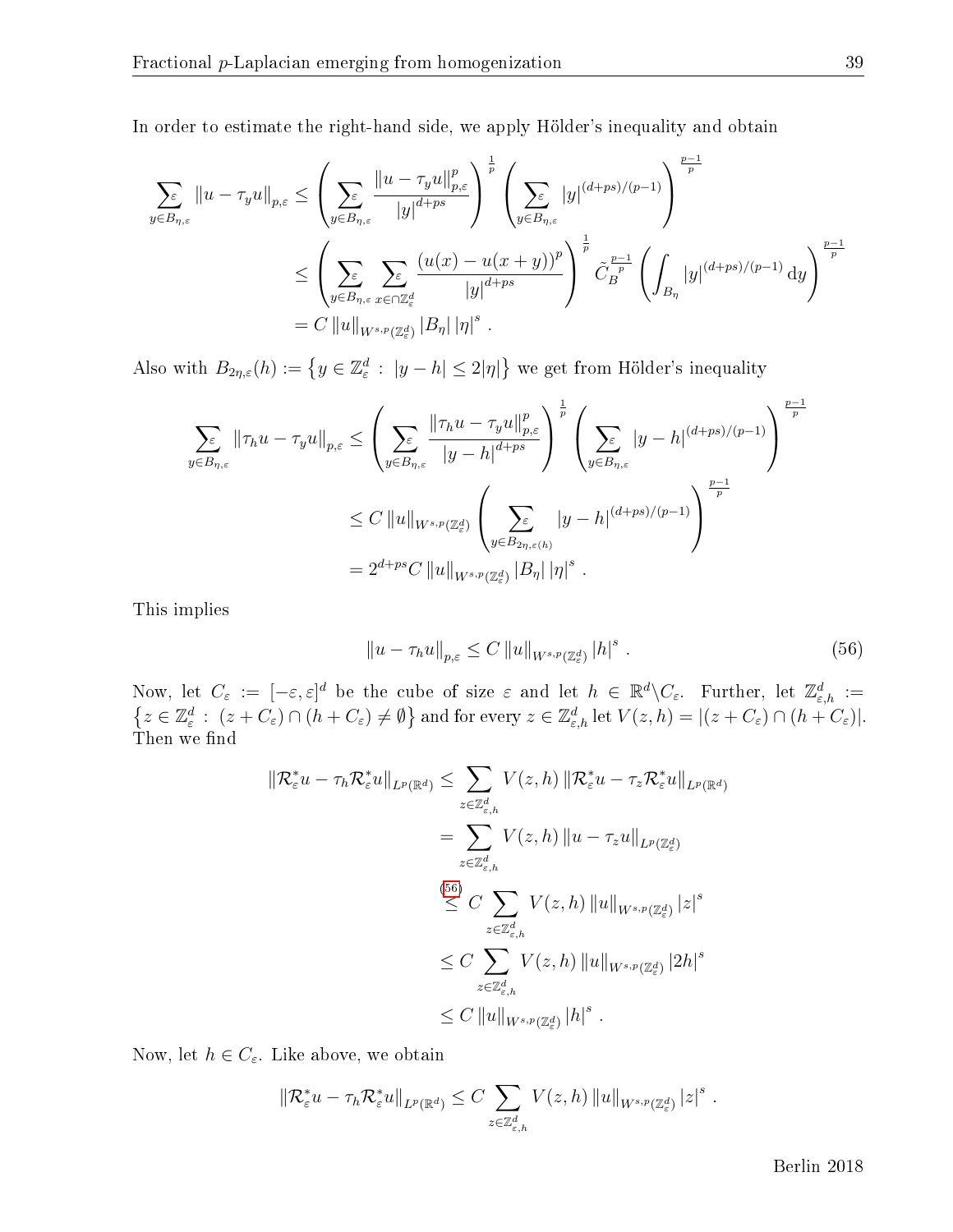In order to estimate the right-hand side, we apply Hölder's inequality and obtain

$$
\sum_{y \in B_{\eta,\varepsilon}} ||u - \tau_y u||_{p,\varepsilon} \le \left( \sum_{y \in B_{\eta,\varepsilon}} \frac{||u - \tau_y u||_{p,\varepsilon}^p}{|y|^{d+ps}} \right)^{\frac{1}{p}} \left( \sum_{y \in B_{\eta,\varepsilon}} |y|^{(d+ps)/(p-1)} \right)^{\frac{p-1}{p}}
$$
  

$$
\le \left( \sum_{y \in B_{\eta,\varepsilon}} \sum_{x \in \cap \mathbb{Z}_{\varepsilon}^d} \frac{(u(x) - u(x+y))^p}{|y|^{d+ps}} \right)^{\frac{1}{p}} \tilde{C}_B^{\frac{p-1}{p}} \left( \int_{B_{\eta}} |y|^{(d+ps)/(p-1)} dy \right)^{\frac{p-1}{p}}
$$
  

$$
= C ||u||_{W^{s,p}(\mathbb{Z}_{\varepsilon}^d)} |B_{\eta}| |\eta|^{s} .
$$

Also with  $B_{2\eta,\varepsilon}(h) := \left\{ y \in \mathbb{Z}_{\varepsilon}^d : |y-h| \leq 2|\eta| \right\}$  we get from Hölder's inequality

$$
\sum_{y \in B_{\eta,\varepsilon}} \|\tau_h u - \tau_y u\|_{p,\varepsilon} \le \left(\sum_{y \in B_{\eta,\varepsilon}} \frac{\|\tau_h u - \tau_y u\|_{p,\varepsilon}^p}{|y - h|^{d + ps}}\right)^{\frac{1}{p}} \left(\sum_{y \in B_{\eta,\varepsilon}} |y - h|^{(d + ps)/(p-1)}\right)^{\frac{p-1}{p}}
$$
  

$$
\le C \|\|u\|_{W^{s,p}(\mathbb{Z}_{\varepsilon}^d)} \left(\sum_{y \in B_{2\eta,\varepsilon(h)}} |y - h|^{(d + ps)/(p-1)}\right)^{\frac{p-1}{p}}
$$
  

$$
= 2^{d + ps} C \|\|u\|_{W^{s,p}(\mathbb{Z}_{\varepsilon}^d)} |B_{\eta}| |\eta|^{s}.
$$

This implies

<span id="page-39-0"></span>
$$
||u - \tau_h u||_{p,\varepsilon} \le C ||u||_{W^{s,p}(\mathbb{Z}_\varepsilon^d)} |h|^s .
$$
 (56)

Now, let  $C_{\varepsilon} := [-\varepsilon, \varepsilon]^d$  be the cube of size  $\varepsilon$  and let  $h \in \mathbb{R}^d \setminus C_{\varepsilon}$ . Further, let  $\mathbb{Z}_{\varepsilon,h}^d :=$  $\{z\in\mathbb{Z}_{\varepsilon}^d\,:\,\,(z+C_{\varepsilon})\cap(h+C_{\varepsilon})\neq\emptyset\}$  and for every  $z\in\mathbb{Z}_{\varepsilon,h}^d$  let  $V(z,h)=|(z+C_{\varepsilon})\cap(h+C_{\varepsilon})|.$ Then we find

$$
\begin{split} \|\mathcal{R}_{\varepsilon}^{*}u-\tau_{h}\mathcal{R}_{\varepsilon}^{*}u\|_{L^{p}(\mathbb{R}^{d})}&\leq \sum_{z\in\mathbb{Z}_{\varepsilon,h}^{d}}V(z,h)\|\mathcal{R}_{\varepsilon}^{*}u-\tau_{z}\mathcal{R}_{\varepsilon}^{*}u\|_{L^{p}(\mathbb{R}^{d})} \\ &=\sum_{z\in\mathbb{Z}_{\varepsilon,h}^{d}}V(z,h)\|u-\tau_{z}u\|_{L^{p}(\mathbb{Z}_{\varepsilon}^{d})} \\ &\stackrel{(56)}{\leq}C\sum_{z\in\mathbb{Z}_{\varepsilon,h}^{d}}V(z,h)\|u\|_{W^{s,p}(\mathbb{Z}_{\varepsilon}^{d})}|z|^{s} \\ &\leq C\sum_{z\in\mathbb{Z}_{\varepsilon,h}^{d}}V(z,h)\|u\|_{W^{s,p}(\mathbb{Z}_{\varepsilon}^{d})}|2h|^{s} \\ &\leq C\|u\|_{W^{s,p}(\mathbb{Z}_{\varepsilon}^{d})}|h|^{s} \ .\end{split}
$$

Now, let  $h \in C_{\varepsilon}$ . Like above, we obtain

$$
\|\mathcal{R}_{\varepsilon}^* u - \tau_h \mathcal{R}_{\varepsilon}^* u\|_{L^p(\mathbb{R}^d)} \leq C \sum_{z \in \mathbb{Z}_{\varepsilon,h}^d} V(z,h) \|u\|_{W^{s,p}(\mathbb{Z}_{\varepsilon}^d)} |z|^s.
$$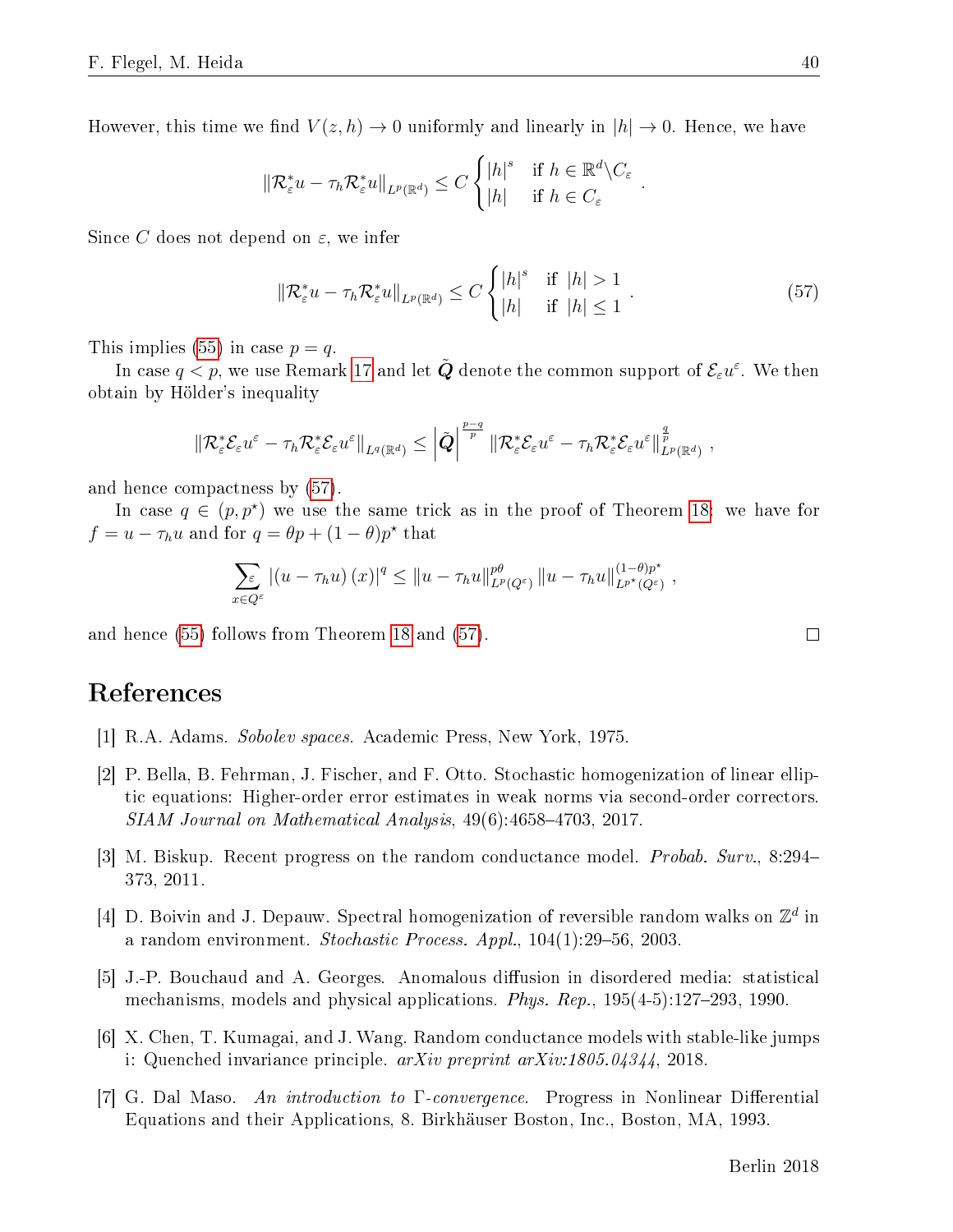However, this time we find  $V(z,h) \to 0$  uniformly and linearly in  $|h| \to 0$ . Hence, we have

$$
\|\mathcal{R}_{\varepsilon}^* u - \tau_h \mathcal{R}_{\varepsilon}^* u\|_{L^p(\mathbb{R}^d)} \le C \begin{cases} |h|^s & \text{if } h \in \mathbb{R}^d \setminus C_{\varepsilon} \\ |h| & \text{if } h \in C_{\varepsilon} \end{cases}.
$$

Since C does not depend on  $\varepsilon$ , we infer

<span id="page-40-7"></span>
$$
\|\mathcal{R}_{\varepsilon}^* u - \tau_h \mathcal{R}_{\varepsilon}^* u\|_{L^p(\mathbb{R}^d)} \le C \begin{cases} |h|^s & \text{if } |h| > 1\\ |h| & \text{if } |h| \le 1 \end{cases} . \tag{57}
$$

This implies [\(55\)](#page-38-1) in case  $p = q$ .

In case  $q < p,$  we use Remark [17](#page-13-3) and let  $\tilde{\bm{Q}}$  denote the common support of  $\mathcal{E}_\varepsilon u^\varepsilon.$  We then obtain by Hölder's inequality

$$
\left\|\mathcal{R}_{\varepsilon}^* \mathcal{E}_{\varepsilon} u^{\varepsilon}-\tau_h \mathcal{R}_{\varepsilon}^* \mathcal{E}_{\varepsilon} u^{\varepsilon}\right\|_{L^q(\mathbb{R}^d)} \leq \left|\tilde{Q}\right|^{\frac{p-q}{p}} \left\|\mathcal{R}_{\varepsilon}^* \mathcal{E}_{\varepsilon} u^{\varepsilon}-\tau_h \mathcal{R}_{\varepsilon}^* \mathcal{E}_{\varepsilon} u^{\varepsilon}\right\|_{L^p(\mathbb{R}^d)}^{\frac{q}{p}},
$$

and hence compactness by [\(57\)](#page-40-7).

In case  $q \in (p, p^*)$  we use the same trick as in the proof of Theorem [18:](#page-14-0) we have for  $f = u - \tau_h u$  and for  $q = \theta p + (1 - \theta)p^*$  that

$$
\sum_{x \in Q^{\varepsilon}} |(u - \tau_h u)(x)|^q \le ||u - \tau_h u||_{L^p(Q^{\varepsilon})}^{p\theta} ||u - \tau_h u||_{L^{p^{\star}}(Q^{\varepsilon})}^{(1-\theta)p^{\star}},
$$

and hence [\(55\)](#page-38-1) follows from Theorem [18](#page-14-0) and [\(57\)](#page-40-7).

## References

- <span id="page-40-5"></span>[1] R.A. Adams. Sobolev spaces. Academic Press, New York, 1975.
- <span id="page-40-2"></span>[2] P. Bella, B. Fehrman, J. Fischer, and F. Otto. Stochastic homogenization of linear elliptic equations: Higher-order error estimates in weak norms via second-order correctors.  $SIAM\ Journal\ on\ Mathematical\ Analysis,\ 49(6):4658–4703,\ 2017.$
- <span id="page-40-0"></span>[3] M. Biskup. Recent progress on the random conductance model. Probab. Surv., 8:294 373, 2011.
- <span id="page-40-6"></span>[4] D. Boivin and J. Depauw. Spectral homogenization of reversible random walks on  $\mathbb{Z}^d$  in a random environment. Stochastic Process. Appl.,  $104(1):29-56$ , 2003.
- <span id="page-40-1"></span>[5] J.-P. Bouchaud and A. Georges. Anomalous diffusion in disordered media: statistical mechanisms, models and physical applications. Phys. Rep.,  $195(4-5)$ :127-293, 1990.
- <span id="page-40-3"></span>[6] X. Chen, T. Kumagai, and J. Wang. Random conductance models with stable-like jumps i: Quenched invariance principle.  $arXiv$  preprint  $arXiv:1805.04344$ , 2018.
- <span id="page-40-4"></span>[7] G. Dal Maso. An introduction to  $\Gamma$ -convergence. Progress in Nonlinear Differential Equations and their Applications, 8. Birkhäuser Boston, Inc., Boston, MA, 1993.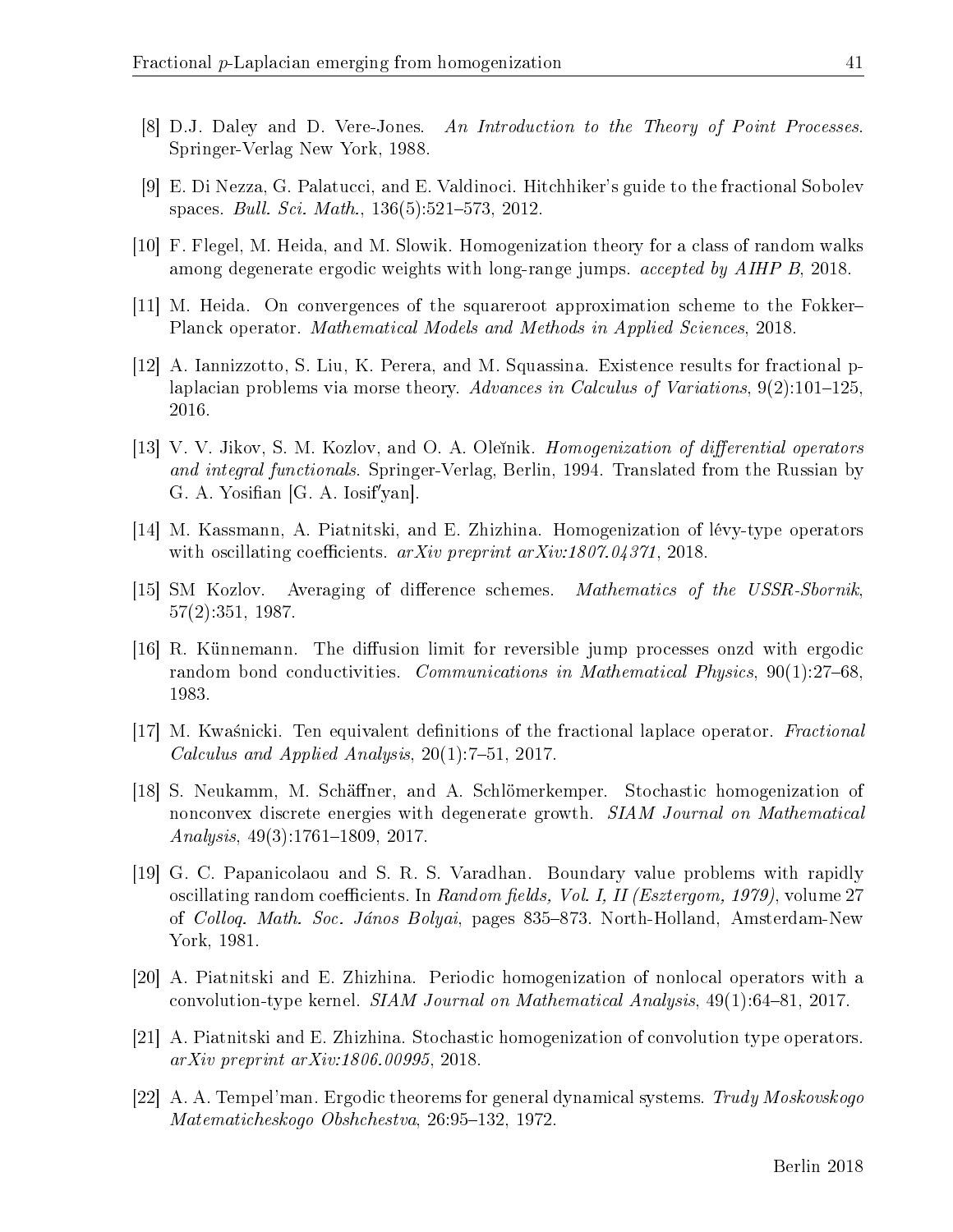- <span id="page-41-13"></span>[8] D.J. Daley and D. Vere-Jones. An Introduction to the Theory of Point Processes. Springer-Verlag New York, 1988.
- <span id="page-41-4"></span>[9] E. Di Nezza, G. Palatucci, and E. Valdinoci. Hitchhiker's guide to the fractional Sobolev spaces. *Bull. Sci. Math.*,  $136(5):521-573$ , 2012.
- <span id="page-41-0"></span>[10] F. Flegel, M. Heida, and M. Slowik. Homogenization theory for a class of random walks among degenerate ergodic weights with long-range jumps. accepted by AIHP B, 2018.
- <span id="page-41-7"></span>[11] M. Heida. On convergences of the squareroot approximation scheme to the Fokker Planck operator. Mathematical Models and Methods in Applied Sciences, 2018.
- <span id="page-41-3"></span>[12] A. Iannizzotto, S. Liu, K. Perera, and M. Squassina. Existence results for fractional plaplacian problems via morse theory. Advances in Calculus of Variations,  $9(2):101-125$ , 2016.
- <span id="page-41-11"></span>[13] V. V. Jikov, S. M. Kozlov, and O. A. Oleinik. *Homogenization of differential operators* and integral functionals. Springer-Verlag, Berlin, 1994. Translated from the Russian by G. A. Yosifian [G. A. Iosif'yan].
- <span id="page-41-9"></span>[14] M. Kassmann, A. Piatnitski, and E. Zhizhina. Homogenization of lévy-type operators with oscillating coefficients.  $arXiv$  preprint  $arXiv:1807.04371$ , 2018.
- <span id="page-41-6"></span>[15] SM Kozlov. Averaging of difference schemes. Mathematics of the USSR-Sbornik, 57(2):351, 1987.
- <span id="page-41-5"></span>[16] R. Künnemann. The diffusion limit for reversible jump processes onzd with ergodic random bond conductivities. *Communications in Mathematical Physics*, 90(1):27–68, 1983.
- <span id="page-41-1"></span>[17] M. Kwaśnicki. Ten equivalent definitions of the fractional laplace operator. *Fractional* Calculus and Applied Analysis,  $20(1)$ :7-51, 2017.
- <span id="page-41-2"></span>[18] S. Neukamm, M. Schäner, and A. Schlömerkemper. Stochastic homogenization of nonconvex discrete energies with degenerate growth. SIAM Journal on Mathematical  $Analysis, 49(3):1761-1809, 2017.$
- <span id="page-41-12"></span>[19] G. C. Papanicolaou and S. R. S. Varadhan. Boundary value problems with rapidly oscillating random coefficients. In Random fields, Vol. I, II (Esztergom, 1979), volume 27 of *Collog. Math. Soc. János Bolyai*, pages 835–873. North-Holland, Amsterdam-New York, 1981.
- <span id="page-41-8"></span>[20] A. Piatnitski and E. Zhizhina. Periodic homogenization of nonlocal operators with a convolution-type kernel. SIAM Journal on Mathematical Analysis, 49(1):64-81, 2017.
- <span id="page-41-10"></span>[21] A. Piatnitski and E. Zhizhina. Stochastic homogenization of convolution type operators. arXiv preprint arXiv:1806.00995, 2018.
- <span id="page-41-14"></span>[22] A. A. Tempel'man. Ergodic theorems for general dynamical systems.  $Trudy Moskovskogo$ Matematicheskogo Obshchestva, 26:95-132, 1972.